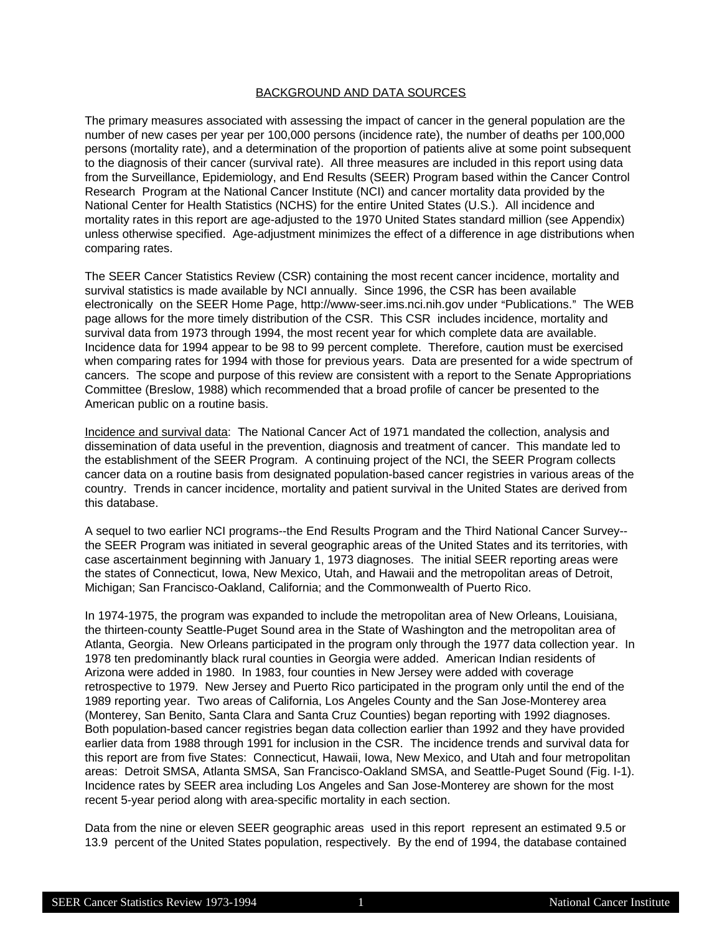### BACKGROUND AND DATA SOURCES

The primary measures associated with assessing the impact of cancer in the general population are the number of new cases per year per 100,000 persons (incidence rate), the number of deaths per 100,000 persons (mortality rate), and a determination of the proportion of patients alive at some point subsequent to the diagnosis of their cancer (survival rate). All three measures are included in this report using data from the Surveillance, Epidemiology, and End Results (SEER) Program based within the Cancer Control Research Program at the National Cancer Institute (NCI) and cancer mortality data provided by the National Center for Health Statistics (NCHS) for the entire United States (U.S.). All incidence and mortality rates in this report are age-adjusted to the 1970 United States standard million (see Appendix) unless otherwise specified. Age-adjustment minimizes the effect of a difference in age distributions when comparing rates.

The SEER Cancer Statistics Review (CSR) containing the most recent cancer incidence, mortality and survival statistics is made available by NCI annually. Since 1996, the CSR has been available electronically on the SEER Home Page, http://www-seer.ims.nci.nih.gov under "Publications." The WEB page allows for the more timely distribution of the CSR. This CSR includes incidence, mortality and survival data from 1973 through 1994, the most recent year for which complete data are available. Incidence data for 1994 appear to be 98 to 99 percent complete. Therefore, caution must be exercised when comparing rates for 1994 with those for previous years. Data are presented for a wide spectrum of cancers. The scope and purpose of this review are consistent with a report to the Senate Appropriations Committee (Breslow, 1988) which recommended that a broad profile of cancer be presented to the American public on a routine basis.

Incidence and survival data: The National Cancer Act of 1971 mandated the collection, analysis and dissemination of data useful in the prevention, diagnosis and treatment of cancer. This mandate led to the establishment of the SEER Program. A continuing project of the NCI, the SEER Program collects cancer data on a routine basis from designated population-based cancer registries in various areas of the country. Trends in cancer incidence, mortality and patient survival in the United States are derived from this database.

A sequel to two earlier NCI programs--the End Results Program and the Third National Cancer Survey- the SEER Program was initiated in several geographic areas of the United States and its territories, with case ascertainment beginning with January 1, 1973 diagnoses. The initial SEER reporting areas were the states of Connecticut, Iowa, New Mexico, Utah, and Hawaii and the metropolitan areas of Detroit, Michigan; San Francisco-Oakland, California; and the Commonwealth of Puerto Rico.

In 1974-1975, the program was expanded to include the metropolitan area of New Orleans, Louisiana, the thirteen-county Seattle-Puget Sound area in the State of Washington and the metropolitan area of Atlanta, Georgia. New Orleans participated in the program only through the 1977 data collection year. In 1978 ten predominantly black rural counties in Georgia were added. American Indian residents of Arizona were added in 1980. In 1983, four counties in New Jersey were added with coverage retrospective to 1979. New Jersey and Puerto Rico participated in the program only until the end of the 1989 reporting year. Two areas of California, Los Angeles County and the San Jose-Monterey area (Monterey, San Benito, Santa Clara and Santa Cruz Counties) began reporting with 1992 diagnoses. Both population-based cancer registries began data collection earlier than 1992 and they have provided earlier data from 1988 through 1991 for inclusion in the CSR. The incidence trends and survival data for this report are from five States: Connecticut, Hawaii, Iowa, New Mexico, and Utah and four metropolitan areas: Detroit SMSA, Atlanta SMSA, San Francisco-Oakland SMSA, and Seattle-Puget Sound (Fig. I-1). Incidence rates by SEER area including Los Angeles and San Jose-Monterey are shown for the most recent 5-year period along with area-specific mortality in each section.

Data from the nine or eleven SEER geographic areas used in this report represent an estimated 9.5 or 13.9 percent of the United States population, respectively. By the end of 1994, the database contained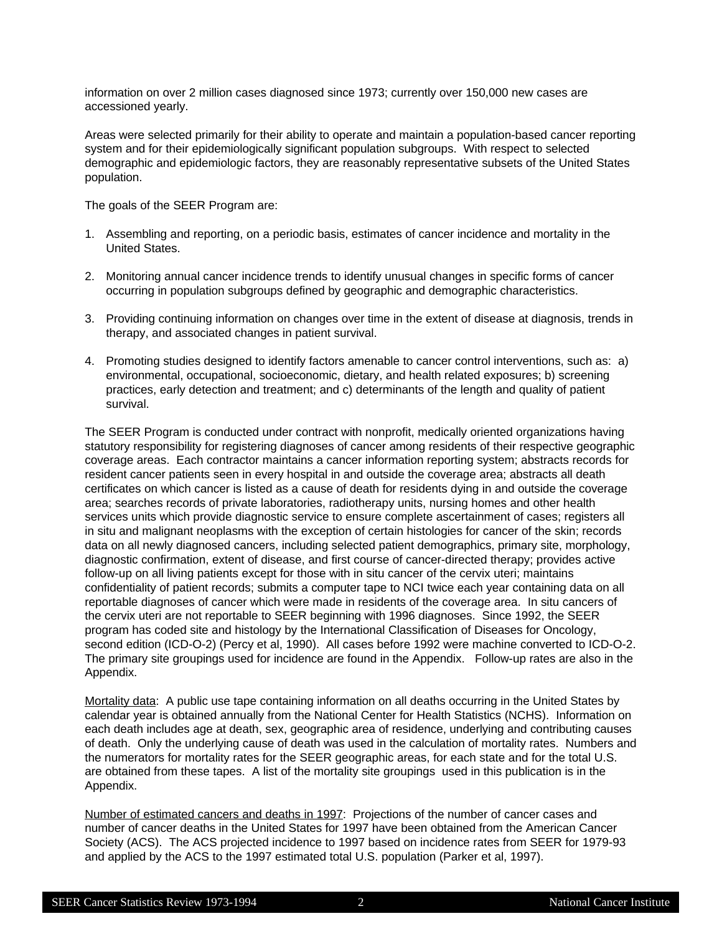information on over 2 million cases diagnosed since 1973; currently over 150,000 new cases are accessioned yearly.

Areas were selected primarily for their ability to operate and maintain a population-based cancer reporting system and for their epidemiologically significant population subgroups. With respect to selected demographic and epidemiologic factors, they are reasonably representative subsets of the United States population.

The goals of the SEER Program are:

- 1. Assembling and reporting, on a periodic basis, estimates of cancer incidence and mortality in the United States.
- 2. Monitoring annual cancer incidence trends to identify unusual changes in specific forms of cancer occurring in population subgroups defined by geographic and demographic characteristics.
- 3. Providing continuing information on changes over time in the extent of disease at diagnosis, trends in therapy, and associated changes in patient survival.
- 4. Promoting studies designed to identify factors amenable to cancer control interventions, such as: a) environmental, occupational, socioeconomic, dietary, and health related exposures; b) screening practices, early detection and treatment; and c) determinants of the length and quality of patient survival.

The SEER Program is conducted under contract with nonprofit, medically oriented organizations having statutory responsibility for registering diagnoses of cancer among residents of their respective geographic coverage areas. Each contractor maintains a cancer information reporting system; abstracts records for resident cancer patients seen in every hospital in and outside the coverage area; abstracts all death certificates on which cancer is listed as a cause of death for residents dying in and outside the coverage area; searches records of private laboratories, radiotherapy units, nursing homes and other health services units which provide diagnostic service to ensure complete ascertainment of cases; registers all in situ and malignant neoplasms with the exception of certain histologies for cancer of the skin; records data on all newly diagnosed cancers, including selected patient demographics, primary site, morphology, diagnostic confirmation, extent of disease, and first course of cancer-directed therapy; provides active follow-up on all living patients except for those with in situ cancer of the cervix uteri; maintains confidentiality of patient records; submits a computer tape to NCI twice each year containing data on all reportable diagnoses of cancer which were made in residents of the coverage area. In situ cancers of the cervix uteri are not reportable to SEER beginning with 1996 diagnoses. Since 1992, the SEER program has coded site and histology by the International Classification of Diseases for Oncology, second edition (ICD-O-2) (Percy et al, 1990). All cases before 1992 were machine converted to ICD-O-2. The primary site groupings used for incidence are found in the Appendix. Follow-up rates are also in the Appendix.

Mortality data: A public use tape containing information on all deaths occurring in the United States by calendar year is obtained annually from the National Center for Health Statistics (NCHS). Information on each death includes age at death, sex, geographic area of residence, underlying and contributing causes of death. Only the underlying cause of death was used in the calculation of mortality rates. Numbers and the numerators for mortality rates for the SEER geographic areas, for each state and for the total U.S. are obtained from these tapes. A list of the mortality site groupings used in this publication is in the Appendix.

Number of estimated cancers and deaths in 1997: Projections of the number of cancer cases and number of cancer deaths in the United States for 1997 have been obtained from the American Cancer Society (ACS). The ACS projected incidence to 1997 based on incidence rates from SEER for 1979-93 and applied by the ACS to the 1997 estimated total U.S. population (Parker et al, 1997).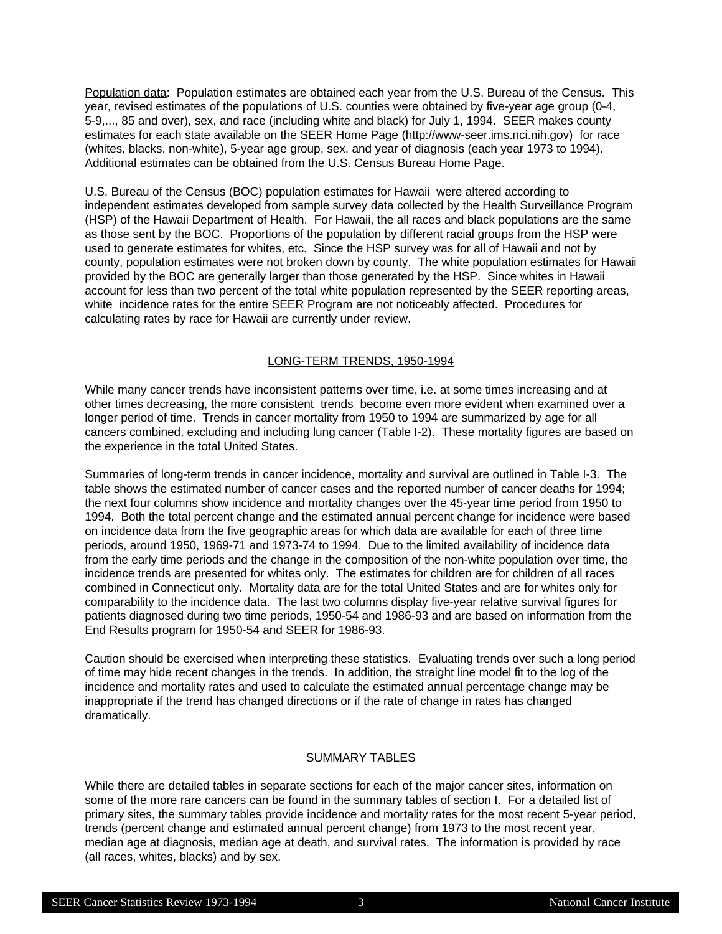Population data: Population estimates are obtained each year from the U.S. Bureau of the Census. This year, revised estimates of the populations of U.S. counties were obtained by five-year age group (0-4, 5-9,..., 85 and over), sex, and race (including white and black) for July 1, 1994. SEER makes county estimates for each state available on the SEER Home Page (http://www-seer.ims.nci.nih.gov) for race (whites, blacks, non-white), 5-year age group, sex, and year of diagnosis (each year 1973 to 1994). Additional estimates can be obtained from the U.S. Census Bureau Home Page.

U.S. Bureau of the Census (BOC) population estimates for Hawaii were altered according to independent estimates developed from sample survey data collected by the Health Surveillance Program (HSP) of the Hawaii Department of Health. For Hawaii, the all races and black populations are the same as those sent by the BOC. Proportions of the population by different racial groups from the HSP were used to generate estimates for whites, etc. Since the HSP survey was for all of Hawaii and not by county, population estimates were not broken down by county. The white population estimates for Hawaii provided by the BOC are generally larger than those generated by the HSP. Since whites in Hawaii account for less than two percent of the total white population represented by the SEER reporting areas, white incidence rates for the entire SEER Program are not noticeably affected. Procedures for calculating rates by race for Hawaii are currently under review.

### LONG-TERM TRENDS, 1950-1994

While many cancer trends have inconsistent patterns over time, i.e. at some times increasing and at other times decreasing, the more consistent trends become even more evident when examined over a longer period of time. Trends in cancer mortality from 1950 to 1994 are summarized by age for all cancers combined, excluding and including lung cancer (Table I-2). These mortality figures are based on the experience in the total United States.

Summaries of long-term trends in cancer incidence, mortality and survival are outlined in Table I-3. The table shows the estimated number of cancer cases and the reported number of cancer deaths for 1994; the next four columns show incidence and mortality changes over the 45-year time period from 1950 to 1994. Both the total percent change and the estimated annual percent change for incidence were based on incidence data from the five geographic areas for which data are available for each of three time periods, around 1950, 1969-71 and 1973-74 to 1994. Due to the limited availability of incidence data from the early time periods and the change in the composition of the non-white population over time, the incidence trends are presented for whites only. The estimates for children are for children of all races combined in Connecticut only. Mortality data are for the total United States and are for whites only for comparability to the incidence data. The last two columns display five-year relative survival figures for patients diagnosed during two time periods, 1950-54 and 1986-93 and are based on information from the End Results program for 1950-54 and SEER for 1986-93.

Caution should be exercised when interpreting these statistics. Evaluating trends over such a long period of time may hide recent changes in the trends. In addition, the straight line model fit to the log of the incidence and mortality rates and used to calculate the estimated annual percentage change may be inappropriate if the trend has changed directions or if the rate of change in rates has changed dramatically.

### SUMMARY TABLES

While there are detailed tables in separate sections for each of the major cancer sites, information on some of the more rare cancers can be found in the summary tables of section I. For a detailed list of primary sites, the summary tables provide incidence and mortality rates for the most recent 5-year period, trends (percent change and estimated annual percent change) from 1973 to the most recent year, median age at diagnosis, median age at death, and survival rates. The information is provided by race (all races, whites, blacks) and by sex.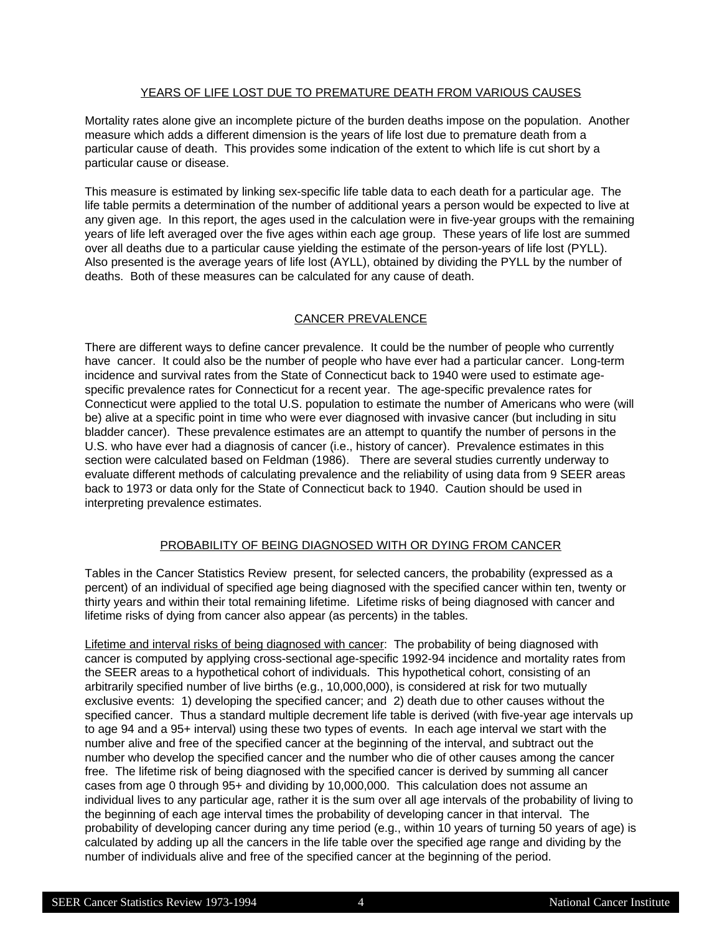### YEARS OF LIFE LOST DUE TO PREMATURE DEATH FROM VARIOUS CAUSES

Mortality rates alone give an incomplete picture of the burden deaths impose on the population. Another measure which adds a different dimension is the years of life lost due to premature death from a particular cause of death. This provides some indication of the extent to which life is cut short by a particular cause or disease.

This measure is estimated by linking sex-specific life table data to each death for a particular age. The life table permits a determination of the number of additional years a person would be expected to live at any given age. In this report, the ages used in the calculation were in five-year groups with the remaining years of life left averaged over the five ages within each age group. These years of life lost are summed over all deaths due to a particular cause yielding the estimate of the person-years of life lost (PYLL). Also presented is the average years of life lost (AYLL), obtained by dividing the PYLL by the number of deaths. Both of these measures can be calculated for any cause of death.

## CANCER PREVALENCE

There are different ways to define cancer prevalence. It could be the number of people who currently have cancer. It could also be the number of people who have ever had a particular cancer. Long-term incidence and survival rates from the State of Connecticut back to 1940 were used to estimate agespecific prevalence rates for Connecticut for a recent year. The age-specific prevalence rates for Connecticut were applied to the total U.S. population to estimate the number of Americans who were (will be) alive at a specific point in time who were ever diagnosed with invasive cancer (but including in situ bladder cancer). These prevalence estimates are an attempt to quantify the number of persons in the U.S. who have ever had a diagnosis of cancer (i.e., history of cancer). Prevalence estimates in this section were calculated based on Feldman (1986). There are several studies currently underway to evaluate different methods of calculating prevalence and the reliability of using data from 9 SEER areas back to 1973 or data only for the State of Connecticut back to 1940. Caution should be used in interpreting prevalence estimates.

## PROBABILITY OF BEING DIAGNOSED WITH OR DYING FROM CANCER

Tables in the Cancer Statistics Review present, for selected cancers, the probability (expressed as a percent) of an individual of specified age being diagnosed with the specified cancer within ten, twenty or thirty years and within their total remaining lifetime. Lifetime risks of being diagnosed with cancer and lifetime risks of dying from cancer also appear (as percents) in the tables.

Lifetime and interval risks of being diagnosed with cancer: The probability of being diagnosed with cancer is computed by applying cross-sectional age-specific 1992-94 incidence and mortality rates from the SEER areas to a hypothetical cohort of individuals. This hypothetical cohort, consisting of an arbitrarily specified number of live births (e.g., 10,000,000), is considered at risk for two mutually exclusive events: 1) developing the specified cancer; and 2) death due to other causes without the specified cancer. Thus a standard multiple decrement life table is derived (with five-year age intervals up to age 94 and a 95+ interval) using these two types of events. In each age interval we start with the number alive and free of the specified cancer at the beginning of the interval, and subtract out the number who develop the specified cancer and the number who die of other causes among the cancer free. The lifetime risk of being diagnosed with the specified cancer is derived by summing all cancer cases from age 0 through 95+ and dividing by 10,000,000. This calculation does not assume an individual lives to any particular age, rather it is the sum over all age intervals of the probability of living to the beginning of each age interval times the probability of developing cancer in that interval. The probability of developing cancer during any time period (e.g., within 10 years of turning 50 years of age) is calculated by adding up all the cancers in the life table over the specified age range and dividing by the number of individuals alive and free of the specified cancer at the beginning of the period.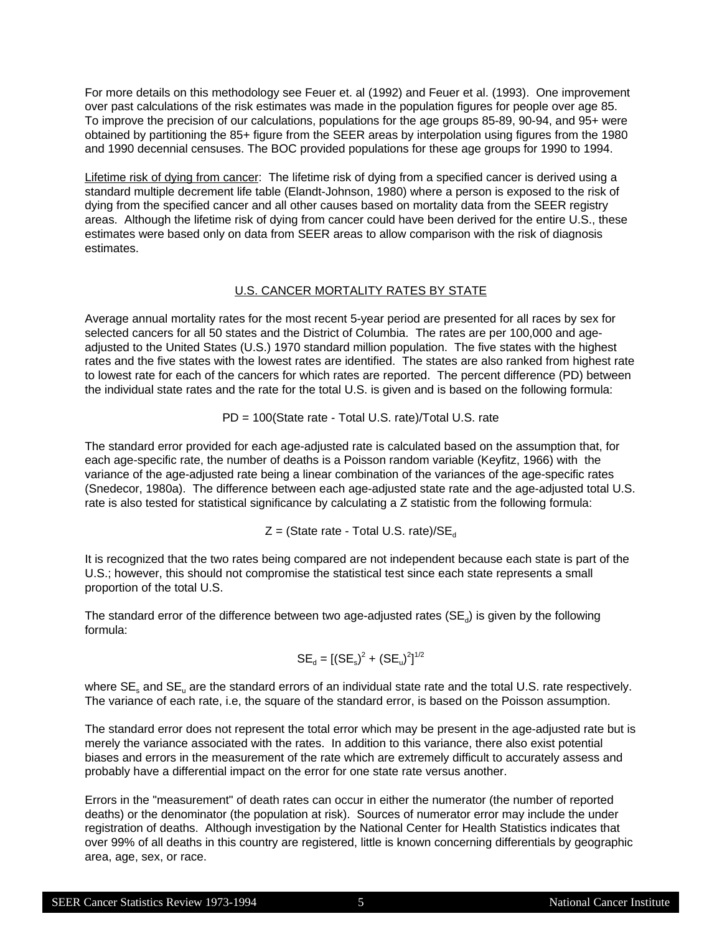For more details on this methodology see Feuer et. al (1992) and Feuer et al. (1993). One improvement over past calculations of the risk estimates was made in the population figures for people over age 85. To improve the precision of our calculations, populations for the age groups 85-89, 90-94, and 95+ were obtained by partitioning the 85+ figure from the SEER areas by interpolation using figures from the 1980 and 1990 decennial censuses. The BOC provided populations for these age groups for 1990 to 1994.

Lifetime risk of dying from cancer: The lifetime risk of dying from a specified cancer is derived using a standard multiple decrement life table (Elandt-Johnson, 1980) where a person is exposed to the risk of dying from the specified cancer and all other causes based on mortality data from the SEER registry areas. Although the lifetime risk of dying from cancer could have been derived for the entire U.S., these estimates were based only on data from SEER areas to allow comparison with the risk of diagnosis estimates.

## U.S. CANCER MORTALITY RATES BY STATE

Average annual mortality rates for the most recent 5-year period are presented for all races by sex for selected cancers for all 50 states and the District of Columbia. The rates are per 100,000 and ageadjusted to the United States (U.S.) 1970 standard million population. The five states with the highest rates and the five states with the lowest rates are identified. The states are also ranked from highest rate to lowest rate for each of the cancers for which rates are reported. The percent difference (PD) between the individual state rates and the rate for the total U.S. is given and is based on the following formula:

PD = 100(State rate - Total U.S. rate)/Total U.S. rate

The standard error provided for each age-adjusted rate is calculated based on the assumption that, for each age-specific rate, the number of deaths is a Poisson random variable (Keyfitz, 1966) with the variance of the age-adjusted rate being a linear combination of the variances of the age-specific rates (Snedecor, 1980a). The difference between each age-adjusted state rate and the age-adjusted total U.S. rate is also tested for statistical significance by calculating a Z statistic from the following formula:

 $Z = (State rate - Total U.S. rate)/SE_d$ 

It is recognized that the two rates being compared are not independent because each state is part of the U.S.; however, this should not compromise the statistical test since each state represents a small proportion of the total U.S.

The standard error of the difference between two age-adjusted rates (SE<sub>d</sub>) is given by the following formula:

$$
SE_{d} = [(SE_{s})^{2} + (SE_{u})^{2}]^{1/2}
$$

where  $SE_s$  and  $SE_u$  are the standard errors of an individual state rate and the total U.S. rate respectively. The variance of each rate, i.e, the square of the standard error, is based on the Poisson assumption.

The standard error does not represent the total error which may be present in the age-adjusted rate but is merely the variance associated with the rates. In addition to this variance, there also exist potential biases and errors in the measurement of the rate which are extremely difficult to accurately assess and probably have a differential impact on the error for one state rate versus another.

Errors in the "measurement" of death rates can occur in either the numerator (the number of reported deaths) or the denominator (the population at risk). Sources of numerator error may include the under registration of deaths. Although investigation by the National Center for Health Statistics indicates that over 99% of all deaths in this country are registered, little is known concerning differentials by geographic area, age, sex, or race.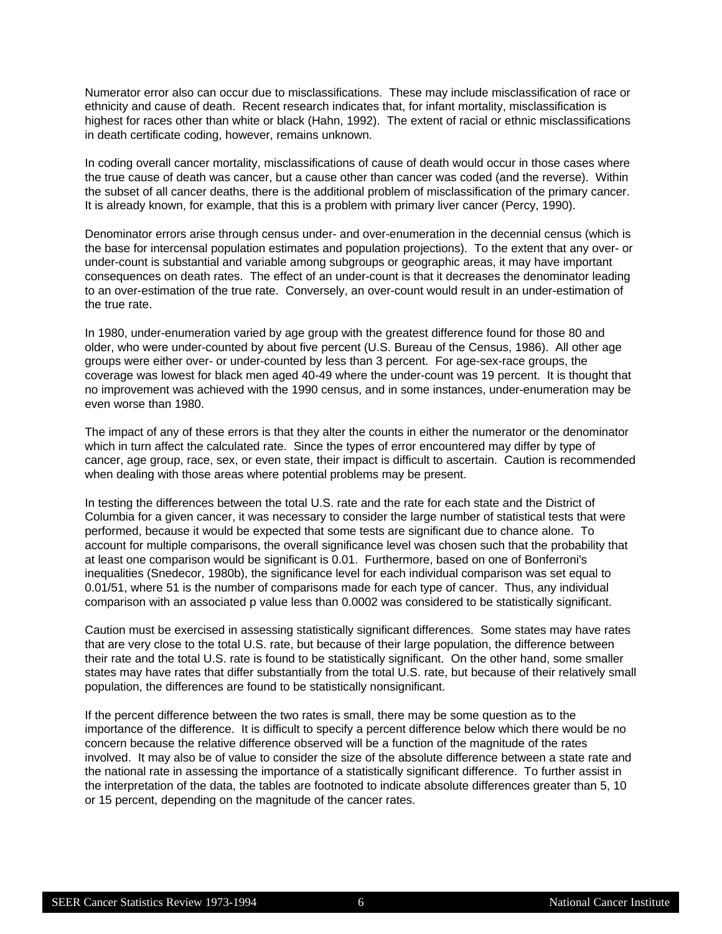Numerator error also can occur due to misclassifications. These may include misclassification of race or ethnicity and cause of death. Recent research indicates that, for infant mortality, misclassification is highest for races other than white or black (Hahn, 1992). The extent of racial or ethnic misclassifications in death certificate coding, however, remains unknown.

In coding overall cancer mortality, misclassifications of cause of death would occur in those cases where the true cause of death was cancer, but a cause other than cancer was coded (and the reverse). Within the subset of all cancer deaths, there is the additional problem of misclassification of the primary cancer. It is already known, for example, that this is a problem with primary liver cancer (Percy, 1990).

Denominator errors arise through census under- and over-enumeration in the decennial census (which is the base for intercensal population estimates and population projections). To the extent that any over- or under-count is substantial and variable among subgroups or geographic areas, it may have important consequences on death rates. The effect of an under-count is that it decreases the denominator leading to an over-estimation of the true rate. Conversely, an over-count would result in an under-estimation of the true rate.

In 1980, under-enumeration varied by age group with the greatest difference found for those 80 and older, who were under-counted by about five percent (U.S. Bureau of the Census, 1986). All other age groups were either over- or under-counted by less than 3 percent. For age-sex-race groups, the coverage was lowest for black men aged 40-49 where the under-count was 19 percent. It is thought that no improvement was achieved with the 1990 census, and in some instances, under-enumeration may be even worse than 1980.

The impact of any of these errors is that they alter the counts in either the numerator or the denominator which in turn affect the calculated rate. Since the types of error encountered may differ by type of cancer, age group, race, sex, or even state, their impact is difficult to ascertain. Caution is recommended when dealing with those areas where potential problems may be present.

In testing the differences between the total U.S. rate and the rate for each state and the District of Columbia for a given cancer, it was necessary to consider the large number of statistical tests that were performed, because it would be expected that some tests are significant due to chance alone. To account for multiple comparisons, the overall significance level was chosen such that the probability that at least one comparison would be significant is 0.01. Furthermore, based on one of Bonferroni's inequalities (Snedecor, 1980b), the significance level for each individual comparison was set equal to 0.01/51, where 51 is the number of comparisons made for each type of cancer. Thus, any individual comparison with an associated p value less than 0.0002 was considered to be statistically significant.

Caution must be exercised in assessing statistically significant differences. Some states may have rates that are very close to the total U.S. rate, but because of their large population, the difference between their rate and the total U.S. rate is found to be statistically significant. On the other hand, some smaller states may have rates that differ substantially from the total U.S. rate, but because of their relatively small population, the differences are found to be statistically nonsignificant.

If the percent difference between the two rates is small, there may be some question as to the importance of the difference. It is difficult to specify a percent difference below which there would be no concern because the relative difference observed will be a function of the magnitude of the rates involved. It may also be of value to consider the size of the absolute difference between a state rate and the national rate in assessing the importance of a statistically significant difference. To further assist in the interpretation of the data, the tables are footnoted to indicate absolute differences greater than 5, 10 or 15 percent, depending on the magnitude of the cancer rates.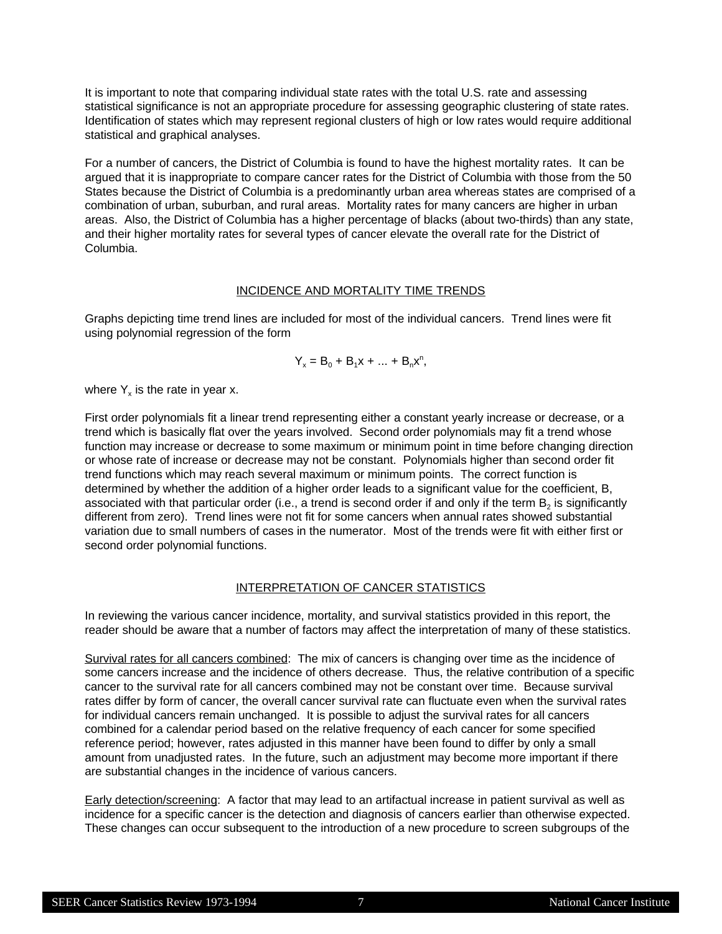It is important to note that comparing individual state rates with the total U.S. rate and assessing statistical significance is not an appropriate procedure for assessing geographic clustering of state rates. Identification of states which may represent regional clusters of high or low rates would require additional statistical and graphical analyses.

For a number of cancers, the District of Columbia is found to have the highest mortality rates. It can be argued that it is inappropriate to compare cancer rates for the District of Columbia with those from the 50 States because the District of Columbia is a predominantly urban area whereas states are comprised of a combination of urban, suburban, and rural areas. Mortality rates for many cancers are higher in urban areas. Also, the District of Columbia has a higher percentage of blacks (about two-thirds) than any state, and their higher mortality rates for several types of cancer elevate the overall rate for the District of Columbia.

### INCIDENCE AND MORTALITY TIME TRENDS

Graphs depicting time trend lines are included for most of the individual cancers. Trend lines were fit using polynomial regression of the form

$$
Y_x = B_0 + B_1 x + \dots + B_n x^n,
$$

where  $Y_x$  is the rate in year x.

First order polynomials fit a linear trend representing either a constant yearly increase or decrease, or a trend which is basically flat over the years involved. Second order polynomials may fit a trend whose function may increase or decrease to some maximum or minimum point in time before changing direction or whose rate of increase or decrease may not be constant. Polynomials higher than second order fit trend functions which may reach several maximum or minimum points. The correct function is determined by whether the addition of a higher order leads to a significant value for the coefficient, B, associated with that particular order (i.e., a trend is second order if and only if the term  $\mathsf{B}_2$  is significantly different from zero). Trend lines were not fit for some cancers when annual rates showed substantial variation due to small numbers of cases in the numerator. Most of the trends were fit with either first or second order polynomial functions.

### INTERPRETATION OF CANCER STATISTICS

In reviewing the various cancer incidence, mortality, and survival statistics provided in this report, the reader should be aware that a number of factors may affect the interpretation of many of these statistics.

Survival rates for all cancers combined: The mix of cancers is changing over time as the incidence of some cancers increase and the incidence of others decrease. Thus, the relative contribution of a specific cancer to the survival rate for all cancers combined may not be constant over time. Because survival rates differ by form of cancer, the overall cancer survival rate can fluctuate even when the survival rates for individual cancers remain unchanged. It is possible to adjust the survival rates for all cancers combined for a calendar period based on the relative frequency of each cancer for some specified reference period; however, rates adjusted in this manner have been found to differ by only a small amount from unadjusted rates. In the future, such an adjustment may become more important if there are substantial changes in the incidence of various cancers.

Early detection/screening: A factor that may lead to an artifactual increase in patient survival as well as incidence for a specific cancer is the detection and diagnosis of cancers earlier than otherwise expected. These changes can occur subsequent to the introduction of a new procedure to screen subgroups of the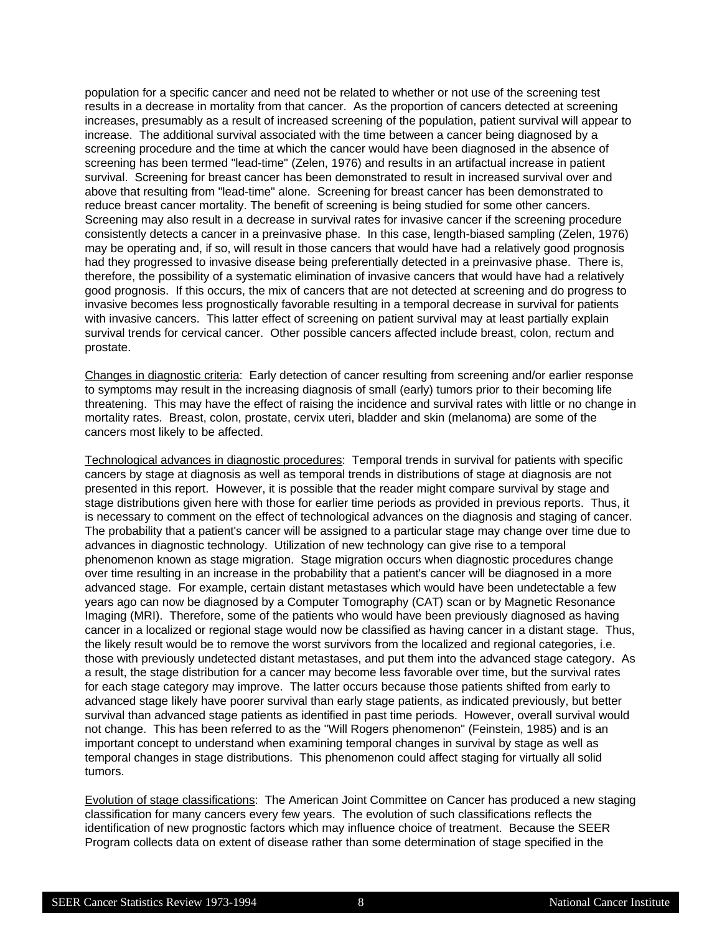population for a specific cancer and need not be related to whether or not use of the screening test results in a decrease in mortality from that cancer. As the proportion of cancers detected at screening increases, presumably as a result of increased screening of the population, patient survival will appear to increase. The additional survival associated with the time between a cancer being diagnosed by a screening procedure and the time at which the cancer would have been diagnosed in the absence of screening has been termed "lead-time" (Zelen, 1976) and results in an artifactual increase in patient survival. Screening for breast cancer has been demonstrated to result in increased survival over and above that resulting from "lead-time" alone. Screening for breast cancer has been demonstrated to reduce breast cancer mortality. The benefit of screening is being studied for some other cancers. Screening may also result in a decrease in survival rates for invasive cancer if the screening procedure consistently detects a cancer in a preinvasive phase. In this case, length-biased sampling (Zelen, 1976) may be operating and, if so, will result in those cancers that would have had a relatively good prognosis had they progressed to invasive disease being preferentially detected in a preinvasive phase. There is, therefore, the possibility of a systematic elimination of invasive cancers that would have had a relatively good prognosis. If this occurs, the mix of cancers that are not detected at screening and do progress to invasive becomes less prognostically favorable resulting in a temporal decrease in survival for patients with invasive cancers. This latter effect of screening on patient survival may at least partially explain survival trends for cervical cancer. Other possible cancers affected include breast, colon, rectum and prostate.

Changes in diagnostic criteria: Early detection of cancer resulting from screening and/or earlier response to symptoms may result in the increasing diagnosis of small (early) tumors prior to their becoming life threatening. This may have the effect of raising the incidence and survival rates with little or no change in mortality rates. Breast, colon, prostate, cervix uteri, bladder and skin (melanoma) are some of the cancers most likely to be affected.

Technological advances in diagnostic procedures: Temporal trends in survival for patients with specific cancers by stage at diagnosis as well as temporal trends in distributions of stage at diagnosis are not presented in this report. However, it is possible that the reader might compare survival by stage and stage distributions given here with those for earlier time periods as provided in previous reports. Thus, it is necessary to comment on the effect of technological advances on the diagnosis and staging of cancer. The probability that a patient's cancer will be assigned to a particular stage may change over time due to advances in diagnostic technology. Utilization of new technology can give rise to a temporal phenomenon known as stage migration. Stage migration occurs when diagnostic procedures change over time resulting in an increase in the probability that a patient's cancer will be diagnosed in a more advanced stage. For example, certain distant metastases which would have been undetectable a few years ago can now be diagnosed by a Computer Tomography (CAT) scan or by Magnetic Resonance Imaging (MRI). Therefore, some of the patients who would have been previously diagnosed as having cancer in a localized or regional stage would now be classified as having cancer in a distant stage. Thus, the likely result would be to remove the worst survivors from the localized and regional categories, i.e. those with previously undetected distant metastases, and put them into the advanced stage category. As a result, the stage distribution for a cancer may become less favorable over time, but the survival rates for each stage category may improve. The latter occurs because those patients shifted from early to advanced stage likely have poorer survival than early stage patients, as indicated previously, but better survival than advanced stage patients as identified in past time periods. However, overall survival would not change. This has been referred to as the "Will Rogers phenomenon" (Feinstein, 1985) and is an important concept to understand when examining temporal changes in survival by stage as well as temporal changes in stage distributions. This phenomenon could affect staging for virtually all solid tumors.

Evolution of stage classifications: The American Joint Committee on Cancer has produced a new staging classification for many cancers every few years. The evolution of such classifications reflects the identification of new prognostic factors which may influence choice of treatment. Because the SEER Program collects data on extent of disease rather than some determination of stage specified in the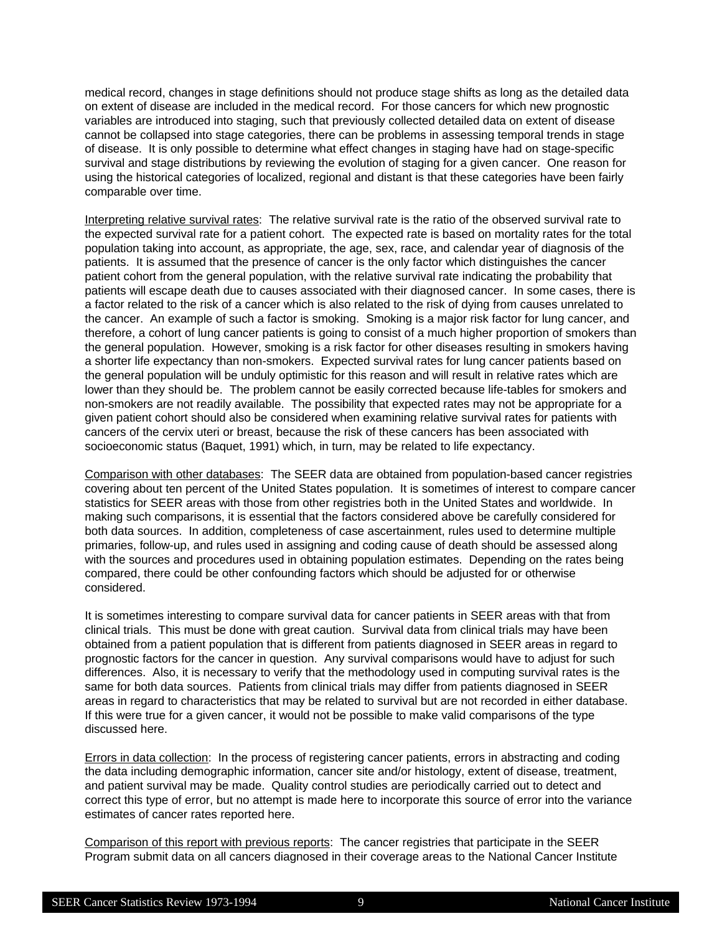medical record, changes in stage definitions should not produce stage shifts as long as the detailed data on extent of disease are included in the medical record. For those cancers for which new prognostic variables are introduced into staging, such that previously collected detailed data on extent of disease cannot be collapsed into stage categories, there can be problems in assessing temporal trends in stage of disease. It is only possible to determine what effect changes in staging have had on stage-specific survival and stage distributions by reviewing the evolution of staging for a given cancer. One reason for using the historical categories of localized, regional and distant is that these categories have been fairly comparable over time.

Interpreting relative survival rates: The relative survival rate is the ratio of the observed survival rate to the expected survival rate for a patient cohort. The expected rate is based on mortality rates for the total population taking into account, as appropriate, the age, sex, race, and calendar year of diagnosis of the patients. It is assumed that the presence of cancer is the only factor which distinguishes the cancer patient cohort from the general population, with the relative survival rate indicating the probability that patients will escape death due to causes associated with their diagnosed cancer. In some cases, there is a factor related to the risk of a cancer which is also related to the risk of dying from causes unrelated to the cancer. An example of such a factor is smoking. Smoking is a major risk factor for lung cancer, and therefore, a cohort of lung cancer patients is going to consist of a much higher proportion of smokers than the general population. However, smoking is a risk factor for other diseases resulting in smokers having a shorter life expectancy than non-smokers. Expected survival rates for lung cancer patients based on the general population will be unduly optimistic for this reason and will result in relative rates which are lower than they should be. The problem cannot be easily corrected because life-tables for smokers and non-smokers are not readily available. The possibility that expected rates may not be appropriate for a given patient cohort should also be considered when examining relative survival rates for patients with cancers of the cervix uteri or breast, because the risk of these cancers has been associated with socioeconomic status (Baquet, 1991) which, in turn, may be related to life expectancy.

Comparison with other databases: The SEER data are obtained from population-based cancer registries covering about ten percent of the United States population. It is sometimes of interest to compare cancer statistics for SEER areas with those from other registries both in the United States and worldwide. In making such comparisons, it is essential that the factors considered above be carefully considered for both data sources. In addition, completeness of case ascertainment, rules used to determine multiple primaries, follow-up, and rules used in assigning and coding cause of death should be assessed along with the sources and procedures used in obtaining population estimates. Depending on the rates being compared, there could be other confounding factors which should be adjusted for or otherwise considered.

It is sometimes interesting to compare survival data for cancer patients in SEER areas with that from clinical trials. This must be done with great caution. Survival data from clinical trials may have been obtained from a patient population that is different from patients diagnosed in SEER areas in regard to prognostic factors for the cancer in question. Any survival comparisons would have to adjust for such differences. Also, it is necessary to verify that the methodology used in computing survival rates is the same for both data sources. Patients from clinical trials may differ from patients diagnosed in SEER areas in regard to characteristics that may be related to survival but are not recorded in either database. If this were true for a given cancer, it would not be possible to make valid comparisons of the type discussed here.

Errors in data collection: In the process of registering cancer patients, errors in abstracting and coding the data including demographic information, cancer site and/or histology, extent of disease, treatment, and patient survival may be made. Quality control studies are periodically carried out to detect and correct this type of error, but no attempt is made here to incorporate this source of error into the variance estimates of cancer rates reported here.

Comparison of this report with previous reports: The cancer registries that participate in the SEER Program submit data on all cancers diagnosed in their coverage areas to the National Cancer Institute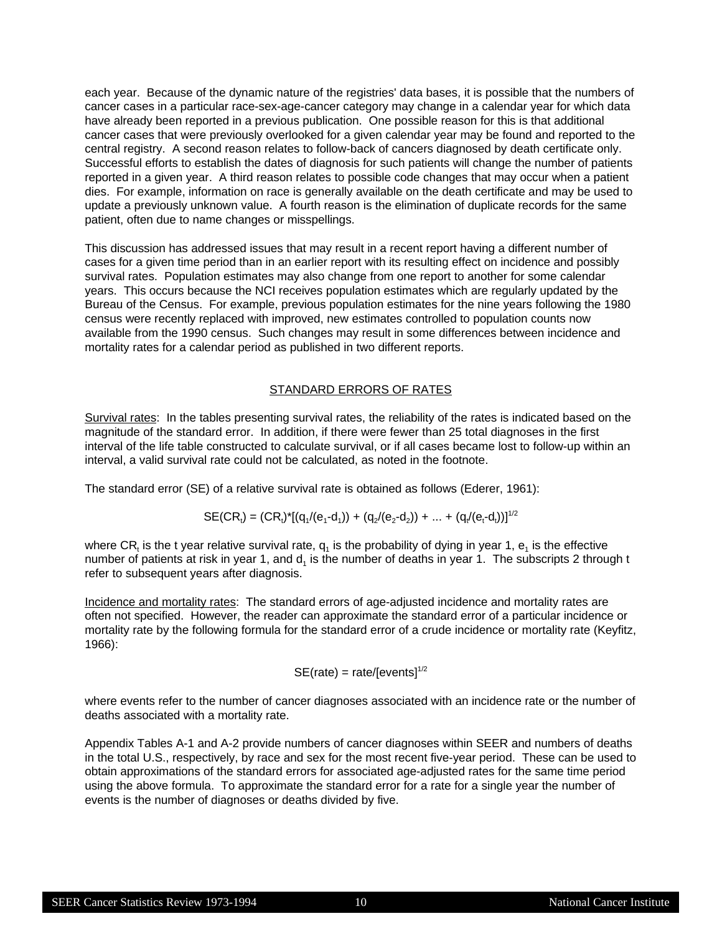each year. Because of the dynamic nature of the registries' data bases, it is possible that the numbers of cancer cases in a particular race-sex-age-cancer category may change in a calendar year for which data have already been reported in a previous publication. One possible reason for this is that additional cancer cases that were previously overlooked for a given calendar year may be found and reported to the central registry. A second reason relates to follow-back of cancers diagnosed by death certificate only. Successful efforts to establish the dates of diagnosis for such patients will change the number of patients reported in a given year. A third reason relates to possible code changes that may occur when a patient dies. For example, information on race is generally available on the death certificate and may be used to update a previously unknown value. A fourth reason is the elimination of duplicate records for the same patient, often due to name changes or misspellings.

This discussion has addressed issues that may result in a recent report having a different number of cases for a given time period than in an earlier report with its resulting effect on incidence and possibly survival rates. Population estimates may also change from one report to another for some calendar years. This occurs because the NCI receives population estimates which are regularly updated by the Bureau of the Census. For example, previous population estimates for the nine years following the 1980 census were recently replaced with improved, new estimates controlled to population counts now available from the 1990 census. Such changes may result in some differences between incidence and mortality rates for a calendar period as published in two different reports.

### STANDARD ERRORS OF RATES

Survival rates: In the tables presenting survival rates, the reliability of the rates is indicated based on the magnitude of the standard error. In addition, if there were fewer than 25 total diagnoses in the first interval of the life table constructed to calculate survival, or if all cases became lost to follow-up within an interval, a valid survival rate could not be calculated, as noted in the footnote.

The standard error (SE) of a relative survival rate is obtained as follows (Ederer, 1961):

$$
SE(CR_i) = (CR_i)^*[(q_1/(e_1-d_1)) + (q_2/(e_2-d_2)) + ... + (q_t/(e_t-d_t))]^{1/2}
$$

where CR<sub>t</sub> is the t year relative survival rate, q<sub>1</sub> is the probability of dying in year 1, e<sub>1</sub> is the effective number of patients at risk in year 1, and  $d<sub>1</sub>$  is the number of deaths in year 1. The subscripts 2 through t refer to subsequent years after diagnosis.

Incidence and mortality rates: The standard errors of age-adjusted incidence and mortality rates are often not specified. However, the reader can approximate the standard error of a particular incidence or mortality rate by the following formula for the standard error of a crude incidence or mortality rate (Keyfitz, 1966):

### $SE(rate) = rate/[events]$ <sup>1/2</sup>

where events refer to the number of cancer diagnoses associated with an incidence rate or the number of deaths associated with a mortality rate.

Appendix Tables A-1 and A-2 provide numbers of cancer diagnoses within SEER and numbers of deaths in the total U.S., respectively, by race and sex for the most recent five-year period. These can be used to obtain approximations of the standard errors for associated age-adjusted rates for the same time period using the above formula. To approximate the standard error for a rate for a single year the number of events is the number of diagnoses or deaths divided by five.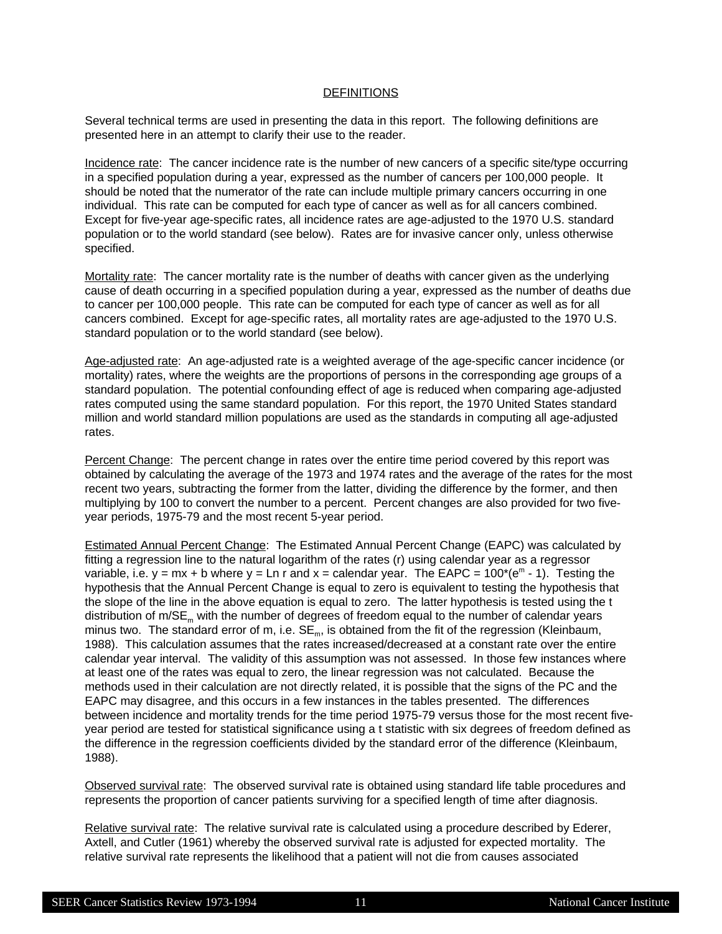### **DEFINITIONS**

Several technical terms are used in presenting the data in this report. The following definitions are presented here in an attempt to clarify their use to the reader.

Incidence rate: The cancer incidence rate is the number of new cancers of a specific site/type occurring in a specified population during a year, expressed as the number of cancers per 100,000 people. It should be noted that the numerator of the rate can include multiple primary cancers occurring in one individual. This rate can be computed for each type of cancer as well as for all cancers combined. Except for five-year age-specific rates, all incidence rates are age-adjusted to the 1970 U.S. standard population or to the world standard (see below). Rates are for invasive cancer only, unless otherwise specified.

Mortality rate: The cancer mortality rate is the number of deaths with cancer given as the underlying cause of death occurring in a specified population during a year, expressed as the number of deaths due to cancer per 100,000 people. This rate can be computed for each type of cancer as well as for all cancers combined. Except for age-specific rates, all mortality rates are age-adjusted to the 1970 U.S. standard population or to the world standard (see below).

Age-adjusted rate: An age-adjusted rate is a weighted average of the age-specific cancer incidence (or mortality) rates, where the weights are the proportions of persons in the corresponding age groups of a standard population. The potential confounding effect of age is reduced when comparing age-adjusted rates computed using the same standard population. For this report, the 1970 United States standard million and world standard million populations are used as the standards in computing all age-adjusted rates.

Percent Change: The percent change in rates over the entire time period covered by this report was obtained by calculating the average of the 1973 and 1974 rates and the average of the rates for the most recent two years, subtracting the former from the latter, dividing the difference by the former, and then multiplying by 100 to convert the number to a percent. Percent changes are also provided for two fiveyear periods, 1975-79 and the most recent 5-year period.

Estimated Annual Percent Change: The Estimated Annual Percent Change (EAPC) was calculated by fitting a regression line to the natural logarithm of the rates (r) using calendar year as a regressor variable, i.e.  $y = mx + b$  where  $y = Ln r$  and  $x = cab$  calendar year. The EAPC = 100\*( $e<sup>m</sup> - 1$ ). Testing the hypothesis that the Annual Percent Change is equal to zero is equivalent to testing the hypothesis that the slope of the line in the above equation is equal to zero. The latter hypothesis is tested using the t distribution of  $m/SE_m$  with the number of degrees of freedom equal to the number of calendar years minus two. The standard error of m, i.e.  $SE<sub>m</sub>$ , is obtained from the fit of the regression (Kleinbaum, 1988). This calculation assumes that the rates increased/decreased at a constant rate over the entire calendar year interval. The validity of this assumption was not assessed. In those few instances where at least one of the rates was equal to zero, the linear regression was not calculated. Because the methods used in their calculation are not directly related, it is possible that the signs of the PC and the EAPC may disagree, and this occurs in a few instances in the tables presented. The differences between incidence and mortality trends for the time period 1975-79 versus those for the most recent fiveyear period are tested for statistical significance using a t statistic with six degrees of freedom defined as the difference in the regression coefficients divided by the standard error of the difference (Kleinbaum, 1988).

Observed survival rate: The observed survival rate is obtained using standard life table procedures and represents the proportion of cancer patients surviving for a specified length of time after diagnosis.

Relative survival rate: The relative survival rate is calculated using a procedure described by Ederer, Axtell, and Cutler (1961) whereby the observed survival rate is adjusted for expected mortality. The relative survival rate represents the likelihood that a patient will not die from causes associated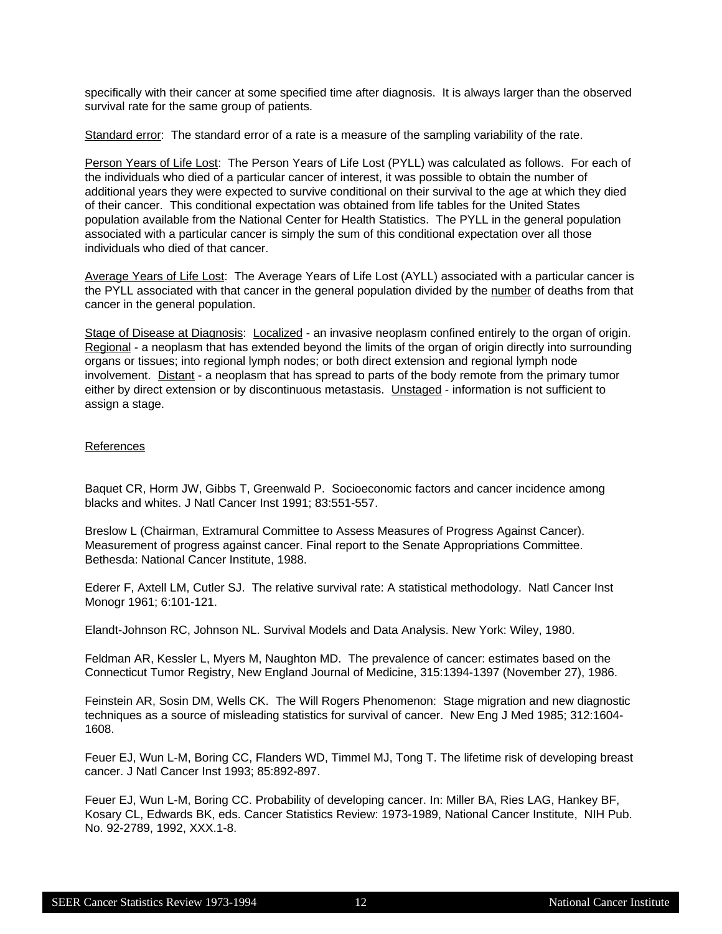specifically with their cancer at some specified time after diagnosis. It is always larger than the observed survival rate for the same group of patients.

Standard error: The standard error of a rate is a measure of the sampling variability of the rate.

Person Years of Life Lost: The Person Years of Life Lost (PYLL) was calculated as follows. For each of the individuals who died of a particular cancer of interest, it was possible to obtain the number of additional years they were expected to survive conditional on their survival to the age at which they died of their cancer. This conditional expectation was obtained from life tables for the United States population available from the National Center for Health Statistics. The PYLL in the general population associated with a particular cancer is simply the sum of this conditional expectation over all those individuals who died of that cancer.

Average Years of Life Lost: The Average Years of Life Lost (AYLL) associated with a particular cancer is the PYLL associated with that cancer in the general population divided by the number of deaths from that cancer in the general population.

Stage of Disease at Diagnosis: Localized - an invasive neoplasm confined entirely to the organ of origin. Regional - a neoplasm that has extended beyond the limits of the organ of origin directly into surrounding organs or tissues; into regional lymph nodes; or both direct extension and regional lymph node involvement. Distant - a neoplasm that has spread to parts of the body remote from the primary tumor either by direct extension or by discontinuous metastasis. Unstaged - information is not sufficient to assign a stage.

### References

Baquet CR, Horm JW, Gibbs T, Greenwald P. Socioeconomic factors and cancer incidence among blacks and whites. J Natl Cancer Inst 1991; 83:551-557.

Breslow L (Chairman, Extramural Committee to Assess Measures of Progress Against Cancer). Measurement of progress against cancer. Final report to the Senate Appropriations Committee. Bethesda: National Cancer Institute, 1988.

Ederer F, Axtell LM, Cutler SJ. The relative survival rate: A statistical methodology. Natl Cancer Inst Monogr 1961; 6:101-121.

Elandt-Johnson RC, Johnson NL. Survival Models and Data Analysis. New York: Wiley, 1980.

Feldman AR, Kessler L, Myers M, Naughton MD. The prevalence of cancer: estimates based on the Connecticut Tumor Registry, New England Journal of Medicine, 315:1394-1397 (November 27), 1986.

Feinstein AR, Sosin DM, Wells CK. The Will Rogers Phenomenon: Stage migration and new diagnostic techniques as a source of misleading statistics for survival of cancer. New Eng J Med 1985; 312:1604- 1608.

Feuer EJ, Wun L-M, Boring CC, Flanders WD, Timmel MJ, Tong T. The lifetime risk of developing breast cancer. J Natl Cancer Inst 1993; 85:892-897.

Feuer EJ, Wun L-M, Boring CC. Probability of developing cancer. In: Miller BA, Ries LAG, Hankey BF, Kosary CL, Edwards BK, eds. Cancer Statistics Review: 1973-1989, National Cancer Institute, NIH Pub. No. 92-2789, 1992, XXX.1-8.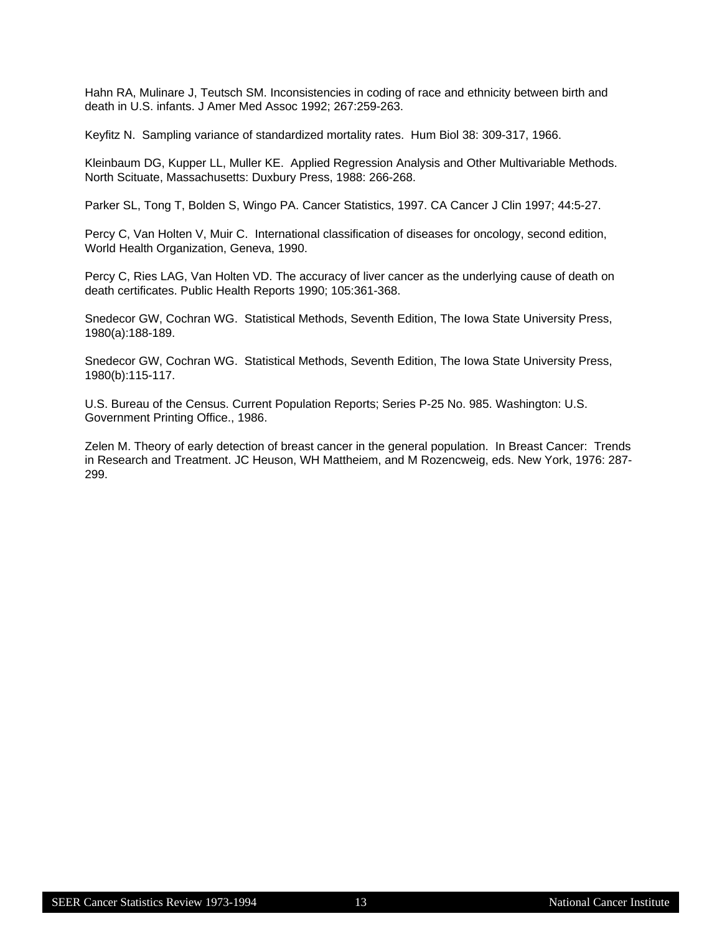Hahn RA, Mulinare J, Teutsch SM. Inconsistencies in coding of race and ethnicity between birth and death in U.S. infants. J Amer Med Assoc 1992; 267:259-263.

Keyfitz N. Sampling variance of standardized mortality rates. Hum Biol 38: 309-317, 1966.

Kleinbaum DG, Kupper LL, Muller KE. Applied Regression Analysis and Other Multivariable Methods. North Scituate, Massachusetts: Duxbury Press, 1988: 266-268.

Parker SL, Tong T, Bolden S, Wingo PA. Cancer Statistics, 1997. CA Cancer J Clin 1997; 44:5-27.

Percy C, Van Holten V, Muir C. International classification of diseases for oncology, second edition, World Health Organization, Geneva, 1990.

Percy C, Ries LAG, Van Holten VD. The accuracy of liver cancer as the underlying cause of death on death certificates. Public Health Reports 1990; 105:361-368.

Snedecor GW, Cochran WG. Statistical Methods, Seventh Edition, The Iowa State University Press, 1980(a):188-189.

Snedecor GW, Cochran WG. Statistical Methods, Seventh Edition, The Iowa State University Press, 1980(b):115-117.

U.S. Bureau of the Census. Current Population Reports; Series P-25 No. 985. Washington: U.S. Government Printing Office., 1986.

Zelen M. Theory of early detection of breast cancer in the general population. In Breast Cancer: Trends in Research and Treatment. JC Heuson, WH Mattheiem, and M Rozencweig, eds. New York, 1976: 287- 299.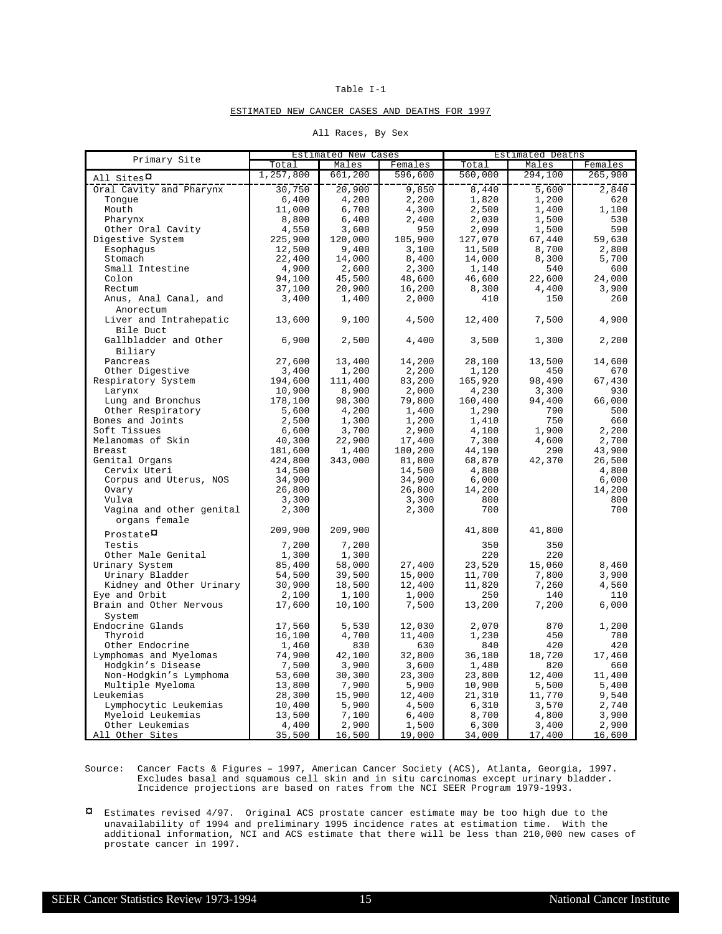#### ESTIMATED NEW CANCER CASES AND DEATHS FOR 1997

|  | All Races, By Sex |  |  |
|--|-------------------|--|--|
|--|-------------------|--|--|

| Primary Site                  |           | <b>Estimated New Cases</b> |         |         | Estimated Deaths |         |
|-------------------------------|-----------|----------------------------|---------|---------|------------------|---------|
|                               | Total     | Males                      | Females | Total   | Males            | Females |
| All Sites <sup><i>Q</i></sup> | 1,257,800 | 661,200                    | 596,600 | 560,000 | 294,100          | 265,900 |
| Oral Cavity and Pharynx       | 30,750    | 20,900                     | 9,850   | 8,440   | 5,600            | 2,840   |
| Tonque                        | 6,400     | 4,200                      | 2,200   | 1,820   | 1,200            | 620     |
| Mouth                         | 11,000    | 6,700                      | 4,300   | 2,500   | 1,400            | 1,100   |
| Pharynx                       | 8,800     | 6,400                      | 2,400   | 2,030   | 1,500            | 530     |
| Other Oral Cavity             | 4,550     | 3,600                      | 950     | 2,090   | 1,500            | 590     |
| Digestive System              | 225,900   | 120,000                    | 105,900 | 127,070 | 67,440           | 59,630  |
| Esophagus                     | 12,500    | 9,400                      | 3,100   | 11,500  | 8,700            | 2,800   |
| Stomach                       | 22,400    | 14,000                     | 8,400   | 14,000  | 8,300            | 5,700   |
| Small Intestine               | 4,900     | 2,600                      | 2,300   | 1,140   | 540              | 600     |
| Colon                         | 94,100    | 45,500                     | 48,600  | 46,600  | 22,600           | 24,000  |
| Rectum                        |           | 20,900                     | 16,200  | 8,300   |                  | 3,900   |
|                               | 37,100    |                            |         |         | 4,400            |         |
| Anus, Anal Canal, and         | 3,400     | 1,400                      | 2,000   | 410     | 150              | 260     |
| Anorectum                     |           |                            |         |         |                  |         |
| Liver and Intrahepatic        | 13,600    | 9,100                      | 4,500   | 12,400  | 7,500            | 4,900   |
| Bile Duct                     |           |                            |         |         |                  |         |
| Gallbladder and Other         | 6,900     | 2,500                      | 4,400   | 3,500   | 1,300            | 2,200   |
| Biliary                       |           |                            |         |         |                  |         |
| Pancreas                      | 27,600    | 13,400                     | 14,200  | 28,100  | 13,500           | 14,600  |
| Other Digestive               | 3,400     | 1,200                      | 2,200   | 1,120   | 450              | 670     |
| Respiratory System            | 194,600   | 111,400                    | 83,200  | 165,920 | 98,490           | 67,430  |
| Larynx                        | 10,900    | 8,900                      | 2,000   | 4,230   | 3,300            | 930     |
| Lung and Bronchus             | 178,100   | 98,300                     | 79,800  | 160,400 | 94,400           | 66,000  |
| Other Respiratory             | 5,600     | 4,200                      | 1,400   | 1,290   | 790              | 500     |
| Bones and Joints              | 2,500     | 1,300                      | 1,200   | 1,410   | 750              | 660     |
| Soft Tissues                  | 6,600     | 3,700                      | 2,900   | 4,100   | 1,900            | 2,200   |
| Melanomas of Skin             | 40,300    | 22,900                     | 17,400  | 7,300   | 4,600            | 2,700   |
| Breast                        | 181,600   | 1,400                      | 180,200 | 44,190  | 290              | 43,900  |
| Genital Organs                | 424,800   | 343,000                    | 81,800  | 68,870  | 42,370           | 26,500  |
| Cervix Uteri                  | 14,500    |                            | 14,500  | 4,800   |                  | 4,800   |
| Corpus and Uterus, NOS        | 34,900    |                            | 34,900  | 6,000   |                  | 6,000   |
| Ovary                         | 26,800    |                            | 26,800  | 14,200  |                  | 14,200  |
| Vulva                         | 3,300     |                            | 3,300   | 800     |                  | 800     |
| Vagina and other genital      | 2,300     |                            | 2,300   | 700     |                  | 700     |
| organs female                 |           |                            |         |         |                  |         |
| $Prostate$ $\alpha$           | 209,900   | 209,900                    |         | 41,800  | 41,800           |         |
| Testis                        | 7,200     | 7,200                      |         | 350     | 350              |         |
| Other Male Genital            | 1,300     | 1,300                      |         | 220     | 220              |         |
| Urinary System                | 85,400    | 58,000                     | 27,400  | 23,520  | 15,060           | 8,460   |
| Urinary Bladder               | 54,500    | 39,500                     | 15,000  | 11,700  | 7,800            | 3,900   |
| Kidney and Other Urinary      | 30,900    | 18,500                     | 12,400  | 11,820  | 7,260            | 4,560   |
| Eye and Orbit                 | 2,100     | 1,100                      | 1,000   | 250     | 140              | 110     |
| Brain and Other Nervous       | 17,600    | 10,100                     | 7,500   | 13,200  | 7,200            | 6,000   |
| System                        |           |                            |         |         |                  |         |
| Endocrine Glands              | 17,560    | 5,530                      | 12,030  | 2,070   | 870              | 1,200   |
| Thyroid                       | 16,100    | 4,700                      | 11,400  | 1,230   | 450              | 780     |
| Other Endocrine               | 1,460     | 830                        | 630     | 840     | 420              | 420     |
| Lymphomas and Myelomas        | 74,900    | 42,100                     | 32,800  | 36,180  | 18,720           | 17,460  |
| Hodgkin's Disease             | 7,500     | 3,900                      | 3,600   | 1,480   | 820              | 660     |
| Non-Hodgkin's Lymphoma        | 53,600    | 30,300                     | 23,300  | 23,800  | 12,400           | 11,400  |
| Multiple Myeloma              | 13,800    | 7,900                      | 5,900   | 10,900  | 5,500            | 5,400   |
| Leukemias                     | 28,300    | 15,900                     | 12,400  | 21,310  | 11,770           | 9,540   |
| Lymphocytic Leukemias         | 10,400    | 5,900                      | 4,500   | 6,310   | 3,570            | 2,740   |
| Myeloid Leukemias             | 13,500    | 7,100                      | 6,400   | 8,700   | 4,800            | 3,900   |
| Other Leukemias               | 4,400     | 2,900                      | 1,500   | 6,300   | 3,400            | 2,900   |
| All Other Sites               | 35,500    | 16,500                     | 19,000  | 34,000  | 17,400           | 16,600  |
|                               |           |                            |         |         |                  |         |

Source: Cancer Facts & Figures - 1997, American Cancer Society (ACS), Atlanta, Georgia, 1997. Excludes basal and squamous cell skin and in situ carcinomas except urinary bladder. Incidence projections are based on rates from the NCI SEER Program 1979-1993.

¤ Estimates revised 4/97. Original ACS prostate cancer estimate may be too high due to the unavailability of 1994 and preliminary 1995 incidence rates at estimation time. With the additional information, NCI and ACS estimate that there will be less than 210,000 new cases of prostate cancer in 1997.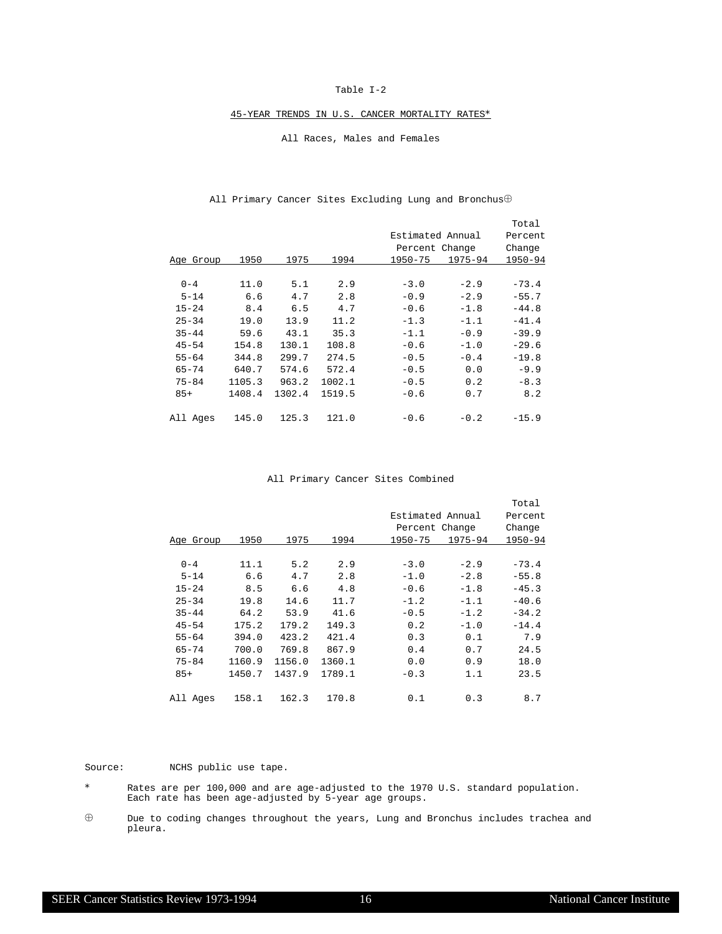#### 45-YEAR TRENDS IN U.S. CANCER MORTALITY RATES\*

#### All Races, Males and Females

|           |        |        |        |                  |             | Total   |
|-----------|--------|--------|--------|------------------|-------------|---------|
|           |        |        |        | Estimated Annual |             | Percent |
|           |        |        |        | Percent Change   |             | Change  |
| Age Group | 1950   | 1975   | 1994   | 1950-75          | $1975 - 94$ | 1950-94 |
|           |        |        |        |                  |             |         |
| $0 - 4$   | 11.0   | 5.1    | 2.9    | $-3.0$           | $-2.9$      | $-73.4$ |
| $5 - 14$  | 6.6    | 4.7    | 2.8    | $-0.9$           | $-2.9$      | $-55.7$ |
| $15 - 24$ | 8.4    | 6.5    | 4.7    | $-0.6$           | $-1.8$      | $-44.8$ |
| $25 - 34$ | 19.0   | 13.9   | 11.2   | $-1.3$           | $-1.1$      | $-41.4$ |
| $35 - 44$ | 59.6   | 43.1   | 35.3   | $-1.1$           | $-0.9$      | $-39.9$ |
| $45 - 54$ | 154.8  | 130.1  | 108.8  | $-0.6$           | $-1.0$      | $-29.6$ |
| $55 - 64$ | 344.8  | 299.7  | 274.5  | $-0.5$           | $-0.4$      | $-19.8$ |
| $65 - 74$ | 640.7  | 574.6  | 572.4  | $-0.5$           | 0.0         | $-9.9$  |
| $75 - 84$ | 1105.3 | 963.2  | 1002.1 | $-0.5$           | 0.2         | $-8.3$  |
| $85+$     | 1408.4 | 1302.4 | 1519.5 | $-0.6$           | 0.7         | 8.2     |
|           |        |        |        |                  |             |         |
| All Ages  | 145.0  | 125.3  | 121.0  | $-0.6$           | $-0.2$      | $-15.9$ |

#### All Primary Cancer Sites Excluding Lung and Bronchus $\oplus$

#### All Primary Cancer Sites Combined

|           |        |        |        |                  |             | Total   |
|-----------|--------|--------|--------|------------------|-------------|---------|
|           |        |        |        | Estimated Annual |             | Percent |
|           |        |        |        | Percent Change   |             | Change  |
| Age Group | 1950   | 1975   | 1994   | $1950 - 75$      | $1975 - 94$ | 1950-94 |
|           |        |        |        |                  |             |         |
| $0 - 4$   | 11.1   | 5.2    | 2.9    | $-3.0$           | $-2.9$      | $-73.4$ |
| $5 - 14$  | 6.6    | 4.7    | 2.8    | $-1.0$           | $-2.8$      | $-55.8$ |
| $15 - 24$ | 8.5    | 6.6    | 4.8    | $-0.6$           | $-1.8$      | $-45.3$ |
| $25 - 34$ | 19.8   | 14.6   | 11.7   | $-1.2$           | $-1.1$      | $-40.6$ |
| $35 - 44$ | 64.2   | 53.9   | 41.6   | $-0.5$           | $-1.2$      | $-34.2$ |
| $45 - 54$ | 175.2  | 179.2  | 149.3  | 0.2              | $-1.0$      | $-14.4$ |
| $55 - 64$ | 394.0  | 423.2  | 421.4  | 0.3              | 0.1         | 7.9     |
| $65 - 74$ | 700.0  | 769.8  | 867.9  | 0.4              | 0.7         | 24.5    |
| $75 - 84$ | 1160.9 | 1156.0 | 1360.1 | 0.0              | 0.9         | 18.0    |
| $85+$     | 1450.7 | 1437.9 | 1789.1 | $-0.3$           | 1.1         | 23.5    |
| All Ages  | 158.1  | 162.3  | 170.8  | 0.1              | 0.3         | 8.7     |

Source: NCHS public use tape.

- \* Rates are per 100,000 and are age-adjusted to the 1970 U.S. standard population. Each rate has been age-adjusted by 5-year age groups.
- $\oplus$  Due to coding changes throughout the years, Lung and Bronchus includes trachea and pleura.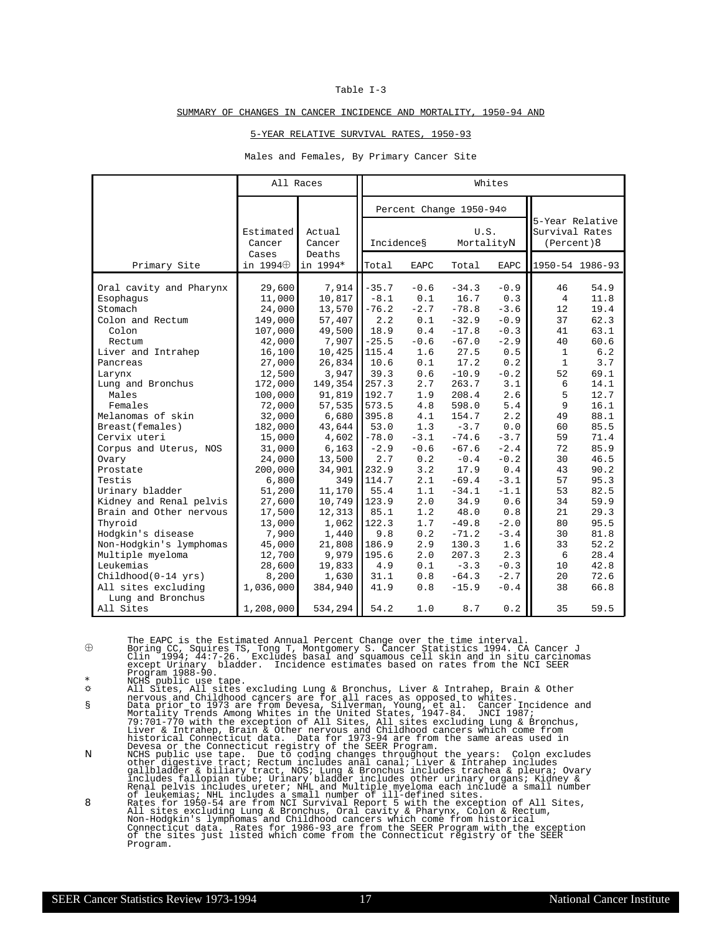#### SUMMARY OF CHANGES IN CANCER INCIDENCE AND MORTALITY, 1950-94 AND

#### 5-YEAR RELATIVE SURVIVAL RATES, 1950-93

#### Males and Females, By Primary Cancer Site

|                                                                                                                                                                                                                                                                                                                                                                                                                                                       | All Races                                                                                                                                                                                                                                                            |                                                                                                                                                                                                                                                       | Whites                                                                                                                                                                                                                               |                                                                                                                                                                                                   |                                                                                                                                                                                                                                                            |                                                                                                                                                                                                                           |                                                                                                                                                              |                                                                                                                                                                                                            |  |  |
|-------------------------------------------------------------------------------------------------------------------------------------------------------------------------------------------------------------------------------------------------------------------------------------------------------------------------------------------------------------------------------------------------------------------------------------------------------|----------------------------------------------------------------------------------------------------------------------------------------------------------------------------------------------------------------------------------------------------------------------|-------------------------------------------------------------------------------------------------------------------------------------------------------------------------------------------------------------------------------------------------------|--------------------------------------------------------------------------------------------------------------------------------------------------------------------------------------------------------------------------------------|---------------------------------------------------------------------------------------------------------------------------------------------------------------------------------------------------|------------------------------------------------------------------------------------------------------------------------------------------------------------------------------------------------------------------------------------------------------------|---------------------------------------------------------------------------------------------------------------------------------------------------------------------------------------------------------------------------|--------------------------------------------------------------------------------------------------------------------------------------------------------------|------------------------------------------------------------------------------------------------------------------------------------------------------------------------------------------------------------|--|--|
|                                                                                                                                                                                                                                                                                                                                                                                                                                                       |                                                                                                                                                                                                                                                                      |                                                                                                                                                                                                                                                       |                                                                                                                                                                                                                                      | Percent Change 1950-94*                                                                                                                                                                           |                                                                                                                                                                                                                                                            |                                                                                                                                                                                                                           |                                                                                                                                                              |                                                                                                                                                                                                            |  |  |
|                                                                                                                                                                                                                                                                                                                                                                                                                                                       | Estimated<br>Cancer                                                                                                                                                                                                                                                  | Actual<br>Cancer                                                                                                                                                                                                                                      | Incidences                                                                                                                                                                                                                           |                                                                                                                                                                                                   | U.S.<br>MortalityN                                                                                                                                                                                                                                         |                                                                                                                                                                                                                           | 5-Year Relative<br>Survival Rates<br>(Percent)                                                                                                               |                                                                                                                                                                                                            |  |  |
| Primary Site                                                                                                                                                                                                                                                                                                                                                                                                                                          | Cases<br>in $1994\oplus$                                                                                                                                                                                                                                             | Deaths<br>in 1994*                                                                                                                                                                                                                                    | Total                                                                                                                                                                                                                                | <b>EAPC</b>                                                                                                                                                                                       | Total                                                                                                                                                                                                                                                      | EAPC                                                                                                                                                                                                                      | 1950-54 1986-93                                                                                                                                              |                                                                                                                                                                                                            |  |  |
| Oral cavity and Pharynx<br>Esophagus<br>Stomach<br>Colon and Rectum<br>Colon<br>Rectum<br>Liver and Intrahep<br>Pancreas<br>Larynx<br>Lung and Bronchus<br>Males<br>Females<br>Melanomas of skin<br>Breast (females)<br>Cervix uteri<br>Corpus and Uterus, NOS<br>Ovary<br>Prostate<br>Testis<br>Urinary bladder<br>Kidney and Renal pelvis<br>Brain and Other nervous<br>Thyroid<br>Hodgkin's disease<br>Non-Hodgkin's lymphomas<br>Multiple myeloma | 29,600<br>11,000<br>24,000<br>149,000<br>107,000<br>42,000<br>16,100<br>27,000<br>12,500<br>172,000<br>100,000<br>72,000<br>32,000<br>182,000<br>15,000<br>31,000<br>24,000<br>200,000<br>6,800<br>51,200<br>27,600<br>17,500<br>13,000<br>7,900<br>45,000<br>12,700 | 7,914<br>10,817<br>13,570<br>57,407<br>49,500<br>7,907<br>10,425<br>26,834<br>3,947<br>149,354<br>91,819<br>57,535<br>6,680<br>43,644<br>4,602<br>6,163<br>13,500<br>34,901<br>349<br>11,170<br>10,749<br>12,313<br>1,062<br>1,440<br>21,808<br>9,979 | $-35.7$<br>$-8.1$<br>$-76.2$<br>2.2<br>18.9<br>$-25.5$<br>115.4<br>10.6<br>39.3<br>257.3<br>192.7<br>573.5<br>395.8<br>53.0<br>$-78.0$<br>$-2.9$<br>2.7<br>232.9<br>114.7<br>55.4<br>123.9<br>85.1<br>122.3<br>9.8<br>186.9<br>195.6 | $-0.6$<br>0.1<br>$-2.7$<br>0.1<br>0.4<br>$-0.6$<br>1.6<br>0.1<br>0.6<br>2.7<br>1.9<br>4.8<br>4.1<br>1.3<br>$-3.1$<br>$-0.6$<br>0.2<br>3.2<br>2.1<br>1.1<br>2.0<br>1.2<br>1.7<br>0.2<br>2.9<br>2.0 | $-34.3$<br>16.7<br>$-78.8$<br>$-32.9$<br>$-17.8$<br>$-67.0$<br>27.5<br>17.2<br>$-10.9$<br>263.7<br>208.4<br>598.0<br>154.7<br>$-3.7$<br>$-74.6$<br>$-67.6$<br>$-0.4$<br>17.9<br>$-69.4$<br>$-34.1$<br>34.9<br>48.0<br>$-49.8$<br>$-71.2$<br>130.3<br>207.3 | $-0.9$<br>0.3<br>$-3.6$<br>$-0.9$<br>$-0.3$<br>$-2.9$<br>0.5<br>0.2<br>$-0.2$<br>3.1<br>2.6<br>5.4<br>2.2<br>0.0<br>$-3.7$<br>$-2.4$<br>$-0.2$<br>0.4<br>$-3.1$<br>$-1.1$<br>0.6<br>0.8<br>$-2.0$<br>$-3.4$<br>1.6<br>2.3 | 46<br>4<br>12<br>37<br>41<br>40<br>1<br>$\mathbf{1}$<br>52<br>6<br>5<br>9<br>49<br>60<br>59<br>72<br>30<br>43<br>57<br>53<br>34<br>21<br>80<br>30<br>33<br>6 | 54.9<br>11.8<br>19.4<br>62.3<br>63.1<br>60.6<br>6.2<br>3.7<br>69.1<br>14.1<br>12.7<br>16.1<br>88.1<br>85.5<br>71.4<br>85.9<br>46.5<br>90.2<br>95.3<br>82.5<br>59.9<br>29.3<br>95.5<br>81.8<br>52.2<br>28.4 |  |  |
| Leukemias<br>$Childhood(0-14 yrs)$<br>All sites excluding                                                                                                                                                                                                                                                                                                                                                                                             | 28,600<br>8,200<br>1,036,000                                                                                                                                                                                                                                         | 19,833<br>1,630<br>384,940                                                                                                                                                                                                                            | 4.9<br>31.1<br>41.9                                                                                                                                                                                                                  | 0.1<br>0.8<br>0.8                                                                                                                                                                                 | $-3.3$<br>$-64.3$<br>$-15.9$                                                                                                                                                                                                                               | $-0.3$<br>$-2.7$<br>$-0.4$                                                                                                                                                                                                | 10<br>$20^{\circ}$<br>38                                                                                                                                     | 42.8<br>72.6<br>66.8                                                                                                                                                                                       |  |  |
| Lung and Bronchus<br>All Sites                                                                                                                                                                                                                                                                                                                                                                                                                        | 1,208,000                                                                                                                                                                                                                                                            | 534,294                                                                                                                                                                                                                                               | 54.2                                                                                                                                                                                                                                 | 1.0                                                                                                                                                                                               | 8.7                                                                                                                                                                                                                                                        | 0.2                                                                                                                                                                                                                       | 35                                                                                                                                                           | 59.5                                                                                                                                                                                                       |  |  |

The EAPC is the Estimated Annual Percent Change over the time interval.<br>  $\oplus$  Boring CC, Squires TS, Tong T, Montgomery S. Cancer Statistics 1994. CA Cancer J<br>
Clin 1994; 44:7-26. Excludes basal and squamous cell skin an except Urinary bladder. Incidence estimates based on rates from the NCI SEER<br>Program 1988-90.

'

- 
- Program 1988-90.<br>
Welfs public use tape.<br>
Welfs Photons are for all races as opposed to whites.<br>
NII Sites, All sites excluding Lung & Bronchus, Liver & Intrahep, Brain & Other<br>
nervous and Childhood cancers are for all ra
- All sites excluding Lung & Bronchus, Oral cavity & Pharynx, Colon & Rectum,<br>Non-Hodgkin's lymphomas and Childhood cancers which come from historical<br>Connecticut data. Rates for 1986-93 are from the SEER Program with the ex Program.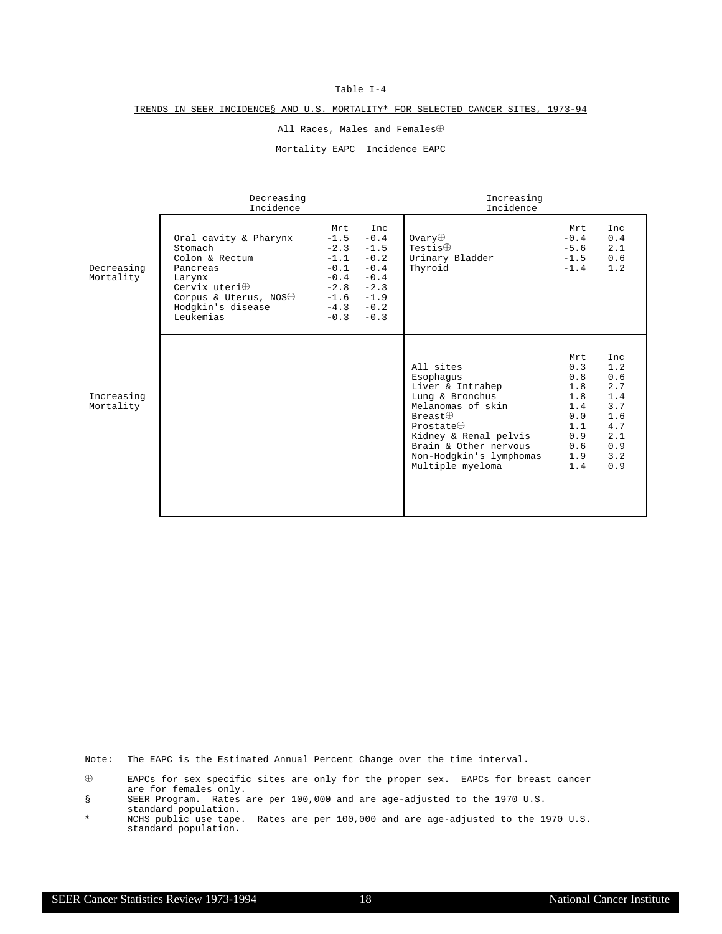#### TRENDS IN SEER INCIDENCE§ AND U.S. MORTALITY\* FOR SELECTED CANCER SITES, 1973-94

All Races, Males and Females $\oplus$ 

Mortality EAPC Incidence EAPC

|                         | Decreasing<br>Incidence                                                                                                                                              |                                                                                               |                                                                                               | Increasing<br>Incidence                                                                                                                                                                                           |                                                                                  |                                                                                         |
|-------------------------|----------------------------------------------------------------------------------------------------------------------------------------------------------------------|-----------------------------------------------------------------------------------------------|-----------------------------------------------------------------------------------------------|-------------------------------------------------------------------------------------------------------------------------------------------------------------------------------------------------------------------|----------------------------------------------------------------------------------|-----------------------------------------------------------------------------------------|
| Decreasing<br>Mortality | Oral cavity & Pharynx<br>Stomach<br>Colon & Rectum<br>Pancreas<br>Larynx<br>Cervix uteri $\oplus$<br>Corpus & Uterus, NOS $\oplus$<br>Hodgkin's disease<br>Leukemias | Mrt<br>$-1.5$<br>$-2.3$<br>$-1.1$<br>$-0.1$<br>$-0.4$<br>$-2.8$<br>$-1.6$<br>$-4.3$<br>$-0.3$ | Inc<br>$-0.4$<br>$-1.5$<br>$-0.2$<br>$-0.4$<br>$-0.4$<br>$-2.3$<br>$-1.9$<br>$-0.2$<br>$-0.3$ | $0$ varv $\oplus$<br>Testis $\oplus$<br>Urinary Bladder<br>Thyroid                                                                                                                                                | Mrt<br>$-0.4$<br>$-5.6$<br>$-1.5$<br>$-1.4$                                      | <b>Inc</b><br>0.4<br>2.1<br>0.6<br>1.2                                                  |
| Increasing<br>Mortality |                                                                                                                                                                      |                                                                                               |                                                                                               | All sites<br>Esophagus<br>Liver & Intrahep<br>Lung & Bronchus<br>Melanomas of skin<br>Breat<br>Prostate $\oplus$<br>Kidney & Renal pelvis<br>Brain & Other nervous<br>Non-Hodgkin's lymphomas<br>Multiple myeloma | Mrt<br>0.3<br>0.8<br>1.8<br>1.8<br>1.4<br>0.0<br>1.1<br>0.9<br>0.6<br>1.9<br>1.4 | <b>Inc</b><br>1.2<br>0.6<br>2.7<br>1.4<br>3.7<br>1.6<br>4.7<br>2.1<br>0.9<br>3.2<br>0.9 |

Note: The EAPC is the Estimated Annual Percent Change over the time interval.

 $\oplus$  EAPCs for sex specific sites are only for the proper sex. EAPCs for breast cancer are for females only.

<sup>§</sup> SEER Program. Rates are per 100,000 and are age-adjusted to the 1970 U.S. standard population.

<sup>\*</sup> NCHS public use tape. Rates are per 100,000 and are age-adjusted to the 1970 U.S. standard population.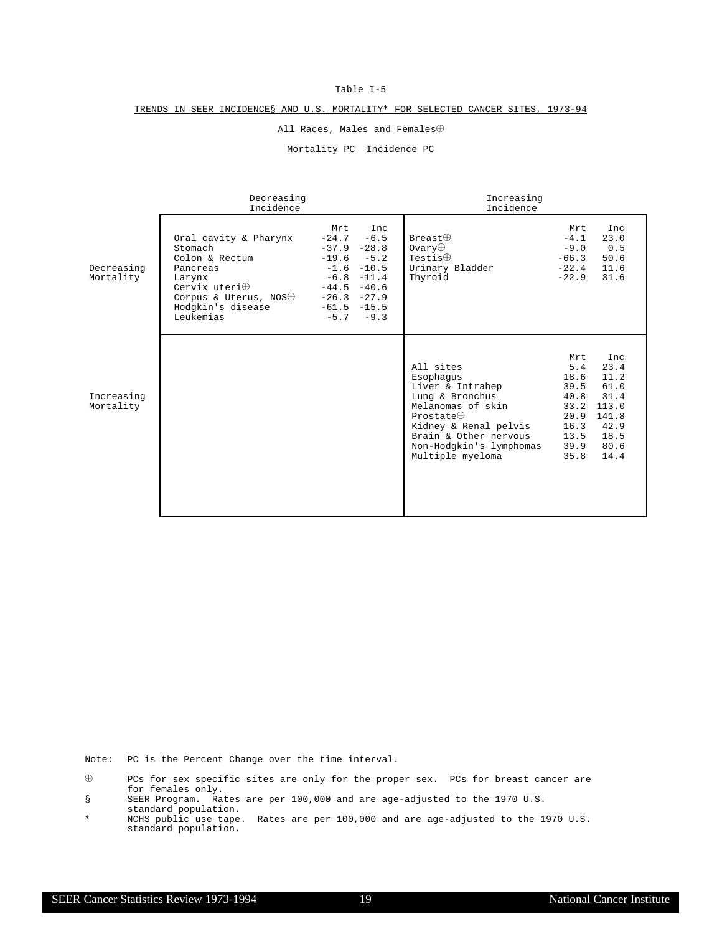#### TRENDS IN SEER INCIDENCE§ AND U.S. MORTALITY\* FOR SELECTED CANCER SITES, 1973-94

All Races, Males and Females $\oplus$ 

Mortality PC Incidence PC

|                         | Decreasing<br>Incidence                                                                                                                                              |                                                                                                             |                                                                          | Increasing<br>Incidence                                                                                                                                                                                  |                                                                                    |                                                                                       |
|-------------------------|----------------------------------------------------------------------------------------------------------------------------------------------------------------------|-------------------------------------------------------------------------------------------------------------|--------------------------------------------------------------------------|----------------------------------------------------------------------------------------------------------------------------------------------------------------------------------------------------------|------------------------------------------------------------------------------------|---------------------------------------------------------------------------------------|
| Decreasing<br>Mortality | Oral cavity & Pharynx<br>Stomach<br>Colon & Rectum<br>Pancreas<br>Larynx<br>Cervix uteri $\oplus$<br>Corpus & Uterus, NOS $\oplus$<br>Hodgkin's disease<br>Leukemias | Mrt<br>$-24.7$<br>$-37.9 -28.8$<br>$-19.6$<br>$-1.6$<br>$-44.5$<br>$-26.3 -27.9$<br>$-61.5 -15.5$<br>$-5.7$ | Inc<br>$-6.5$<br>$-5.2$<br>$-10.5$<br>$-6.8 - 11.4$<br>$-40.6$<br>$-9.3$ | Breat<br>$0$ vary $\oplus$<br>Testis $\oplus$<br>Urinary Bladder<br>Thyroid                                                                                                                              | Mrt<br>$-4.1$<br>$-9.0$<br>$-66.3$<br>$-22.4$<br>$-22.9$                           | Inc<br>23.0<br>0.5<br>50.6<br>11.6<br>31.6                                            |
| Increasing<br>Mortality |                                                                                                                                                                      |                                                                                                             |                                                                          | All sites<br>Esophaqus<br>Liver & Intrahep<br>Lung & Bronchus<br>Melanomas of skin<br>Prostate $\oplus$<br>Kidney & Renal pelvis<br>Brain & Other nervous<br>Non-Hodgkin's lymphomas<br>Multiple myeloma | Mrt<br>5.4<br>18.6<br>39.5<br>40.8<br>33.2<br>20.9<br>16.3<br>13.5<br>39.9<br>35.8 | Inc<br>23.4<br>11.2<br>61.0<br>31.4<br>113.0<br>141.8<br>42.9<br>18.5<br>80.6<br>14.4 |

Note: PC is the Percent Change over the time interval.

§ SEER Program. Rates are per 100,000 and are age-adjusted to the 1970 U.S. standard population.

 $\oplus$  PCs for sex specific sites are only for the proper sex. PCs for breast cancer are for females only.

<sup>\*</sup> NCHS public use tape. Rates are per 100,000 and are age-adjusted to the 1970 U.S. standard population.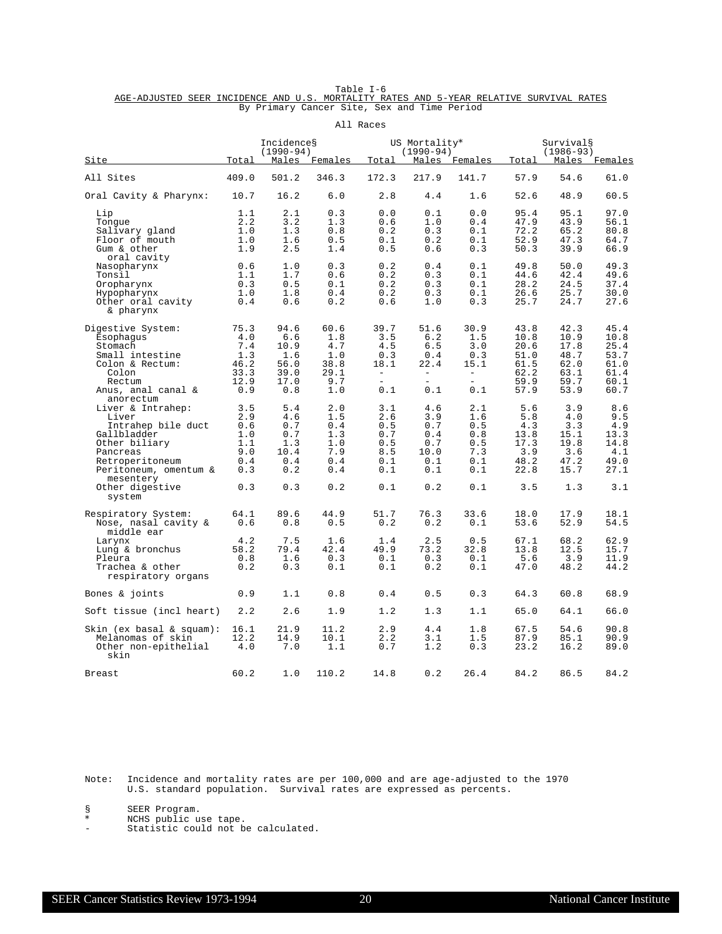Table I-6<br>AGE-ADJUSTED SEER INCIDENCE AND U.S. MORTALITY RATES AND 5-YEAR RELATIVE SURVIVAL RATES By Primary Cancer Site, Sex and Time Period

|                                                                                                                                                                                       |                                                             |                                                              |                                                             | All Races                                                        |                                                                                |                                                                  |                                                                 |                                                                 |                                                                 |
|---------------------------------------------------------------------------------------------------------------------------------------------------------------------------------------|-------------------------------------------------------------|--------------------------------------------------------------|-------------------------------------------------------------|------------------------------------------------------------------|--------------------------------------------------------------------------------|------------------------------------------------------------------|-----------------------------------------------------------------|-----------------------------------------------------------------|-----------------------------------------------------------------|
|                                                                                                                                                                                       | Total                                                       | Incidences<br>$(1990 - 94)$                                  | Males Females                                               | Total                                                            | US Mortality*<br>$(1990 - 94)$                                                 | Males Females                                                    | Total                                                           | Survival§<br>$(1986 - 93)$                                      | Males Females                                                   |
| <u>Site</u>                                                                                                                                                                           |                                                             |                                                              |                                                             |                                                                  |                                                                                |                                                                  |                                                                 |                                                                 |                                                                 |
| All Sites                                                                                                                                                                             | 409.0                                                       | 501.2                                                        | 346.3                                                       | 172.3                                                            | 217.9                                                                          | 141.7                                                            | 57.9                                                            | 54.6                                                            | 61.0                                                            |
| Oral Cavity & Pharynx:                                                                                                                                                                | 10.7                                                        | 16.2                                                         | 6.0                                                         | 2.8                                                              | 4.4                                                                            | 1.6                                                              | 52.6                                                            | 48.9                                                            | 60.5                                                            |
| Lip<br>Tonque<br>Salivary gland<br>Floor of mouth<br>Gum & other<br>oral cavity                                                                                                       | 1.1<br>2.2<br>1.0<br>1.0<br>1.9                             | 2.1<br>3.2<br>1.3<br>1.6<br>2.5                              | 0.3<br>1.3<br>0.8<br>0.5<br>1.4                             | 0.0<br>0.6<br>0.2<br>0.1<br>0.5                                  | 0.1<br>1.0<br>0.3<br>0.2<br>0.6                                                | 0.0<br>0.4<br>0.1<br>0.1<br>0.3                                  | 95.4<br>47.9<br>72.2<br>52.9<br>50.3                            | 95.1<br>43.9<br>65.2<br>47.3<br>39.9                            | 97.0<br>56.1<br>80.8<br>64.7<br>66.9                            |
| Nasopharynx<br>Tonsil<br>Oropharynx<br>Hypopharynx<br>Other oral cavity<br>& pharynx                                                                                                  | 0.6<br>1.1<br>0.3<br>1.0<br>0.4                             | 1.0<br>1.7<br>0.5<br>1.8<br>0.6                              | 0.3<br>0.6<br>0.1<br>0.4<br>0.2                             | 0.2<br>0.2<br>0.2<br>0.2<br>0.6                                  | 0.4<br>0.3<br>0.3<br>0.3<br>1.0                                                | 0.1<br>0.1<br>0.1<br>0.1<br>0.3                                  | 49.8<br>44.6<br>28.2<br>26.6<br>25.7                            | 50.0<br>42.4<br>24.5<br>25.7<br>24.7                            | 49.3<br>49.6<br>37.4<br>30.0<br>27.6                            |
| Digestive System:<br>Esophagus<br>Stomach<br>Small intestine<br>Colon & Rectum:<br>Colon<br>Rectum<br>Anus, anal canal &                                                              | 75.3<br>4.0<br>7.4<br>1.3<br>46.2<br>33.3<br>12.9<br>0.9    | 94.6<br>6.6<br>10.9<br>1.6<br>56.0<br>39.0<br>17.0<br>0.8    | 60.6<br>1.8<br>4.7<br>1.0<br>38.8<br>29.1<br>9.7<br>1.0     | 39.7<br>3.5<br>4.5<br>0.3<br>18.1<br>$\sim$<br>$\equiv$ .<br>0.1 | 51.6<br>6.2<br>6.5<br>0.4<br>22.4<br>$\overline{\phantom{a}}$<br>$\sim$<br>0.1 | 30.9<br>1.5<br>3.0<br>0.3<br>15.1<br>$\equiv$<br>$\equiv$<br>0.1 | 43.8<br>10.8<br>20.6<br>51.0<br>61.5<br>62.2<br>59.9<br>57.9    | 42.3<br>10.9<br>17.8<br>48.7<br>62.0<br>63.1<br>59.7<br>53.9    | 45.4<br>10.8<br>25.4<br>53.7<br>61.0<br>61.4<br>60.1<br>60.7    |
| anorectum<br>Liver & Intrahep:<br>Liver<br>Intrahep bile duct<br>Gallbladder<br>Other biliary<br>Pancreas<br>Retroperitoneum<br>Peritoneum, omentum &<br>mesentery<br>Other digestive | 3.5<br>2.9<br>0.6<br>1.0<br>1.1<br>9.0<br>0.4<br>0.3<br>0.3 | 5.4<br>4.6<br>0.7<br>0.7<br>1.3<br>10.4<br>0.4<br>0.2<br>0.3 | 2.0<br>1.5<br>0.4<br>1.3<br>1.0<br>7.9<br>0.4<br>0.4<br>0.2 | 3.1<br>2.6<br>0.5<br>0.7<br>0.5<br>8.5<br>0.1<br>0.1<br>0.1      | 4.6<br>3.9<br>0.7<br>0.4<br>0.7<br>10.0<br>0.1<br>0.1<br>0.2                   | 2.1<br>1.6<br>0.5<br>0.8<br>0.5<br>7.3<br>0.1<br>0.1<br>0.1      | 5.6<br>5.8<br>4.3<br>13.8<br>17.3<br>3.9<br>48.2<br>22.8<br>3.5 | 3.9<br>4.0<br>3.3<br>15.1<br>19.8<br>3.6<br>47.2<br>15.7<br>1.3 | 8.6<br>9.5<br>4.9<br>13.3<br>14.8<br>4.1<br>49.0<br>27.1<br>3.1 |
| system<br>Respiratory System:<br>Nose, nasal cavity &                                                                                                                                 | 64.1<br>0.6                                                 | 89.6<br>0.8                                                  | 44.9<br>0.5                                                 | 51.7<br>0.2                                                      | 76.3<br>0.2                                                                    | 33.6<br>0.1                                                      | 18.0<br>53.6                                                    | 17.9<br>52.9                                                    | 18.1<br>54.5                                                    |
| middle ear<br>Larynx<br>Lung & bronchus<br>Pleura<br>Trachea & other<br>respiratory organs                                                                                            | 4.2<br>58.2<br>0.8<br>0.2                                   | 7.5<br>79.4<br>1.6<br>0.3                                    | 1.6<br>42.4<br>0.3<br>0.1                                   | 1.4<br>49.9<br>0.1<br>0.1                                        | 2.5<br>73.2<br>0.3<br>0.2                                                      | 0.5<br>32.8<br>0.1<br>0.1                                        | 67.1<br>13.8<br>5.6<br>47.0                                     | 68.2<br>12.5<br>3.9<br>48.2                                     | 62.9<br>15.7<br>11.9<br>44.2                                    |
| Bones & joints                                                                                                                                                                        | 0.9                                                         | 1.1                                                          | 0.8                                                         | 0.4                                                              | 0.5                                                                            | 0.3                                                              | 64.3                                                            | 60.8                                                            | 68.9                                                            |
| Soft tissue (incl heart)                                                                                                                                                              | 2.2                                                         | 2.6                                                          | 1.9                                                         | 1.2                                                              | 1.3                                                                            | 1.1                                                              | 65.0                                                            | 64.1                                                            | 66.0                                                            |
| $\sin (\text{ex basal} \& \text{square}):$<br>Melanomas of skin<br>Other non-epithelial<br>skin                                                                                       | 16.1<br>12.2<br>4.0                                         | 21.9<br>14.9<br>7.0                                          | 11.2<br>10.1<br>1.1                                         | 2.9<br>2.2<br>0.7                                                | 4.4<br>3.1<br>1.2                                                              | 1.8<br>1.5<br>0.3                                                | 67.5<br>87.9<br>23.2                                            | 54.6<br>85.1<br>16.2                                            | 90.8<br>90.9<br>89.0                                            |
| <b>Breast</b>                                                                                                                                                                         | 60.2                                                        | 1.0                                                          | 110.2                                                       | 14.8                                                             | 0.2                                                                            | 26.4                                                             | 84.2                                                            | 86.5                                                            | 84.2                                                            |

Note: Incidence and mortality rates are per 100,000 and are age-adjusted to the 1970 U.S. standard population. Survival rates are expressed as percents.

§ SEER Program.<br>\* NCHS public us

\* NCHS public use tape.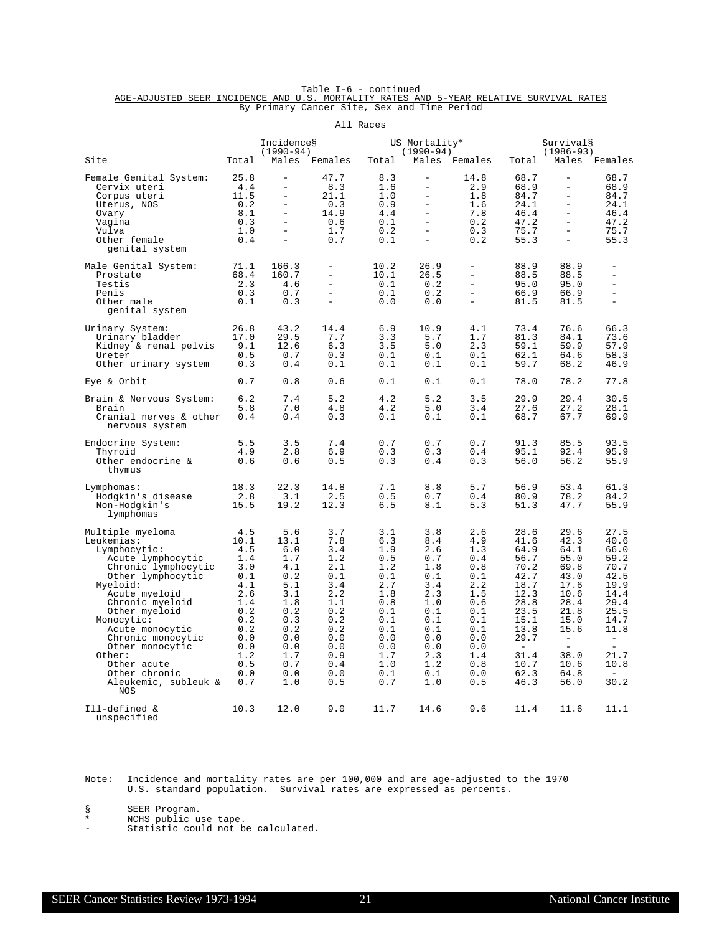|                                                                                         |  |  | Table I-6 - continued                       |  |  |  |
|-----------------------------------------------------------------------------------------|--|--|---------------------------------------------|--|--|--|
| AGE-ADJUSTED SEER INCIDENCE AND U.S. MORTALITY RATES AND 5-YEAR RELATIVE SURVIVAL RATES |  |  |                                             |  |  |  |
|                                                                                         |  |  | By Primary Cancer Site, Sex and Time Period |  |  |  |

|                                                                                                                                                                                                                                                                                                                                    |                                                                                                                             |                                                                                                                             |                                                                                                                            | All Races                                                                                                                  |                                                                                                                                                                      |                                                                                                                            |                                                                                                                                                                  |                                                                                                                                                                      |                                                                                                                                                        |
|------------------------------------------------------------------------------------------------------------------------------------------------------------------------------------------------------------------------------------------------------------------------------------------------------------------------------------|-----------------------------------------------------------------------------------------------------------------------------|-----------------------------------------------------------------------------------------------------------------------------|----------------------------------------------------------------------------------------------------------------------------|----------------------------------------------------------------------------------------------------------------------------|----------------------------------------------------------------------------------------------------------------------------------------------------------------------|----------------------------------------------------------------------------------------------------------------------------|------------------------------------------------------------------------------------------------------------------------------------------------------------------|----------------------------------------------------------------------------------------------------------------------------------------------------------------------|--------------------------------------------------------------------------------------------------------------------------------------------------------|
| <u>Site</u>                                                                                                                                                                                                                                                                                                                        | <u>Total</u>                                                                                                                | Incidences<br>$(1990 - 94)$                                                                                                 | Males Females                                                                                                              | Total                                                                                                                      | US Mortality*<br>$(1990 - 94)$                                                                                                                                       | Males Females                                                                                                              | Total                                                                                                                                                            | Survival§<br>$(1986 - 93)$                                                                                                                                           | Males Females                                                                                                                                          |
| Female Genital System:<br>Cervix uteri<br>Corpus uteri<br>Uterus, NOS<br>Ovary<br>Vagina<br>Vulva<br>Other female<br>genital system                                                                                                                                                                                                | 25.8<br>4.4<br>11.5<br>0.2<br>8.1<br>0.3<br>1.0<br>0.4                                                                      | $\qquad \qquad -$<br>$\equiv$<br>$\overline{\phantom{0}}$<br>$\equiv$<br>$\equiv$<br>$\equiv$<br>$\equiv$                   | 47.7<br>8.3<br>21.1<br>0.3<br>14.9<br>0.6<br>1.7<br>0.7                                                                    | 8.3<br>1.6<br>1.0<br>0.9<br>4.4<br>0.1<br>0.2<br>0.1                                                                       | $\qquad \qquad -$<br>$\overline{\phantom{a}}$<br>$\qquad \qquad -$<br>$\overline{\phantom{a}}$<br>$\equiv$<br>$\overline{a}$<br>$\overline{\phantom{m}}$<br>$\equiv$ | 14.8<br>2.9<br>1.8<br>1.6<br>7.8<br>0.2<br>0.3<br>0.2                                                                      | 68.7<br>68.9<br>84.7<br>24.1<br>46.4<br>47.2<br>75.7<br>55.3                                                                                                     | $\qquad \qquad -$<br>$\equiv$<br>$\overline{\phantom{0}}$<br>$\equiv$<br>$\equiv$<br>$\equiv$<br>$\qquad \qquad -$<br>$\overline{a}$                                 | 68.7<br>68.9<br>84.7<br>24.1<br>46.4<br>47.2<br>75.7<br>55.3                                                                                           |
| Male Genital System:<br>Prostate<br>Testis<br>Penis<br>Other male<br>genital system                                                                                                                                                                                                                                                | 71.1<br>68.4<br>2.3<br>0.3<br>0.1                                                                                           | 166.3<br>160.7<br>4.6<br>0.7<br>0.3                                                                                         | $\overline{\phantom{0}}$<br>$\overline{\phantom{0}}$<br>$\overline{\phantom{0}}$<br>$\overline{\phantom{a}}$               | 10.2<br>10.1<br>0.1<br>0.1<br>0.0                                                                                          | 26.9<br>26.5<br>0.2<br>0.2<br>0.0                                                                                                                                    | $\equiv$<br>$\overline{\phantom{a}}$<br>$\sim$<br>$\equiv$                                                                 | 88.9<br>88.5<br>95.0<br>66.9<br>81.5                                                                                                                             | 88.9<br>88.5<br>95.0<br>66.9<br>81.5                                                                                                                                 | $\overline{\phantom{a}}$<br>$\equiv$<br>$\equiv$                                                                                                       |
| Urinary System:<br>Urinary bladder<br>Kidney & renal pelvis<br>Ureter<br>Other urinary system                                                                                                                                                                                                                                      | 26.8<br>17.0<br>9.1<br>0.5<br>0.3                                                                                           | 43.2<br>29.5<br>12.6<br>0.7<br>0.4                                                                                          | 14.4<br>7.7<br>6.3<br>0.3<br>0.1                                                                                           | 6.9<br>3.3<br>3.5<br>0.1<br>0.1                                                                                            | 10.9<br>5.7<br>5.0<br>0.1<br>0.1                                                                                                                                     | 4.1<br>1.7<br>2.3<br>0.1<br>0.1                                                                                            | 73.4<br>81.3<br>59.1<br>62.1<br>59.7                                                                                                                             | 76.6<br>84.1<br>59.9<br>64.6<br>68.2                                                                                                                                 | 66.3<br>73.6<br>57.9<br>58.3<br>46.9                                                                                                                   |
| Eye & Orbit                                                                                                                                                                                                                                                                                                                        | 0.7                                                                                                                         | 0.8                                                                                                                         | 0.6                                                                                                                        | 0.1                                                                                                                        | 0.1                                                                                                                                                                  | 0.1                                                                                                                        | 78.0                                                                                                                                                             | 78.2                                                                                                                                                                 | 77.8                                                                                                                                                   |
| Brain & Nervous System:<br>Brain<br>Cranial nerves & other<br>nervous system                                                                                                                                                                                                                                                       | 6.2<br>5.8<br>0.4                                                                                                           | 7.4<br>7.0<br>0.4                                                                                                           | 5.2<br>4.8<br>0.3                                                                                                          | 4.2<br>4.2<br>0.1                                                                                                          | 5.2<br>5.0<br>$0.1$                                                                                                                                                  | 3.5<br>3.4<br>0.1                                                                                                          | 29.9<br>27.6<br>68.7                                                                                                                                             | 29.4<br>27.2<br>67.7                                                                                                                                                 | 30.5<br>28.1<br>69.9                                                                                                                                   |
| Endocrine System:<br>Thyroid<br>Other endocrine &<br>thymus                                                                                                                                                                                                                                                                        | 5.5<br>4.9<br>0.6                                                                                                           | 3.5<br>2.8<br>0.6                                                                                                           | 7.4<br>6.9<br>0.5                                                                                                          | 0.7<br>0.3<br>0.3                                                                                                          | 0.7<br>0.3<br>0.4                                                                                                                                                    | 0.7<br>0.4<br>0.3                                                                                                          | 91.3<br>95.1<br>56.0                                                                                                                                             | 85.5<br>92.4<br>56.2                                                                                                                                                 | 93.5<br>95.9<br>55.9                                                                                                                                   |
| Lymphomas:<br>Hodgkin's disease<br>Non-Hodgkin's<br>lymphomas                                                                                                                                                                                                                                                                      | 18.3<br>2.8<br>15.5                                                                                                         | 22.3<br>3.1<br>19.2                                                                                                         | 14.8<br>2.5<br>12.3                                                                                                        | 7.1<br>0.5<br>6.5                                                                                                          | 8.8<br>0.7<br>8.1                                                                                                                                                    | 5.7<br>0.4<br>5.3                                                                                                          | 56.9<br>80.9<br>51.3                                                                                                                                             | 53.4<br>78.2<br>47.7                                                                                                                                                 | 61.3<br>84.2<br>55.9                                                                                                                                   |
| Multiple myeloma<br>Leukemias:<br>Lymphocytic:<br>Acute lymphocytic<br>Chronic lymphocytic<br>Other lymphocytic<br>Myeloid:<br>Acute myeloid<br>Chronic myeloid<br>Other myeloid<br>Monocytic:<br>Acute monocytic<br>Chronic monocytic<br>Other monocytic<br>Other:<br>Other acute<br>Other chronic<br>Aleukemic, subleuk &<br>NOS | 4.5<br>10.1<br>4.5<br>1.4<br>3.0<br>0.1<br>4.1<br>2.6<br>1.4<br>0.2<br>0.2<br>0.2<br>0.0<br>0.0<br>1.2<br>0.5<br>0.0<br>0.7 | 5.6<br>13.1<br>6.0<br>1.7<br>4.1<br>0.2<br>5.1<br>3.1<br>1.8<br>0.2<br>0.3<br>0.2<br>0.0<br>0.0<br>1.7<br>0.7<br>0.0<br>1.0 | 3.7<br>7.8<br>3.4<br>1.2<br>2.1<br>0.1<br>3.4<br>2.2<br>1.1<br>0.2<br>0.2<br>0.2<br>0.0<br>0.0<br>0.9<br>0.4<br>0.0<br>0.5 | 3.1<br>6.3<br>1.9<br>0.5<br>1.2<br>0.1<br>2.7<br>1.8<br>0.8<br>0.1<br>0.1<br>0.1<br>0.0<br>0.0<br>1.7<br>1.0<br>0.1<br>0.7 | 3.8<br>8.4<br>2.6<br>0.7<br>1.8<br>0.1<br>3.4<br>2.3<br>1.0<br>0.1<br>0.1<br>0.1<br>0.0<br>0.0<br>2.3<br>1.2<br>$0.1$<br>1.0                                         | 2.6<br>4.9<br>1.3<br>0.4<br>0.8<br>0.1<br>2.2<br>1.5<br>0.6<br>0.1<br>0.1<br>0.1<br>0.0<br>0.0<br>1.4<br>0.8<br>0.0<br>0.5 | 28.6<br>41.6<br>64.9<br>56.7<br>70.2<br>42.7<br>18.7<br>12.3<br>28.8<br>23.5<br>15.1<br>13.8<br>29.7<br>$\overline{\phantom{a}}$<br>31.4<br>10.7<br>62.3<br>46.3 | 29.6<br>42.3<br>64.1<br>55.0<br>69.8<br>43.0<br>17.6<br>10.6<br>28.4<br>21.8<br>15.0<br>15.6<br>$\overline{\phantom{a}}$<br>$\equiv$<br>38.0<br>10.6<br>64.8<br>56.0 | 27.5<br>40.6<br>66.0<br>59.2<br>70.7<br>42.5<br>19.9<br>14.4<br>29.4<br>25.5<br>14.7<br>11.8<br>$\equiv$<br>$\equiv$<br>21.7<br>10.8<br>$\sim$<br>30.2 |
| Ill-defined &<br>unspecified                                                                                                                                                                                                                                                                                                       | 10.3                                                                                                                        | 12.0                                                                                                                        | 9.0                                                                                                                        | 11.7                                                                                                                       | 14.6                                                                                                                                                                 | 9.6                                                                                                                        | 11.4                                                                                                                                                             | 11.6                                                                                                                                                                 | 11.1                                                                                                                                                   |

Note: Incidence and mortality rates are per 100,000 and are age-adjusted to the 1970 U.S. standard population. Survival rates are expressed as percents.

§ SEER Program.<br>\* NCHS public us

\* NCHS public use tape.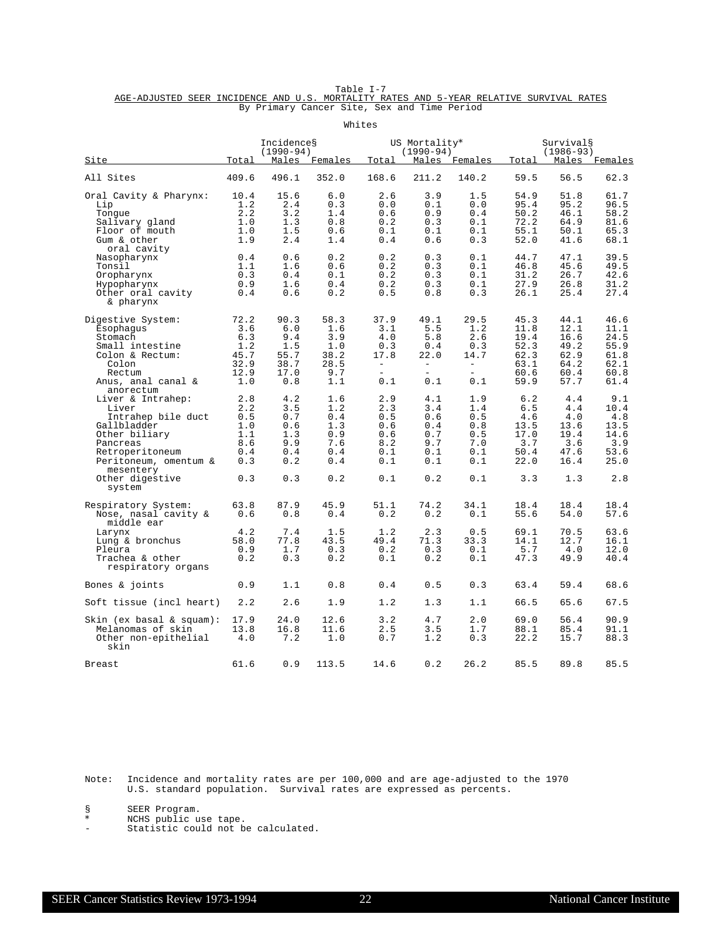Table I-7<br>AGE-ADJUSTED SEER INCIDENCE AND U.S. MORTALITY RATES AND 5-YEAR RELATIVE SURVIVAL RATES By Primary Cancer Site, Sex and Time Period

|                                                                                                                                                                                                 |                                                             |                                                             |                                                             | Whites                                                        |                                                                                                  |                                                                           |                                                                 |                                                                 |                                                                  |
|-------------------------------------------------------------------------------------------------------------------------------------------------------------------------------------------------|-------------------------------------------------------------|-------------------------------------------------------------|-------------------------------------------------------------|---------------------------------------------------------------|--------------------------------------------------------------------------------------------------|---------------------------------------------------------------------------|-----------------------------------------------------------------|-----------------------------------------------------------------|------------------------------------------------------------------|
| <u>Site</u>                                                                                                                                                                                     | Total                                                       | Incidences<br>$(1990 - 94)$                                 | Males Females                                               | Total                                                         | US Mortality*<br>$(1990 - 94)$                                                                   | Males Females                                                             | Total                                                           | Survival§<br>$(1986 - 93)$<br>Males Females                     |                                                                  |
|                                                                                                                                                                                                 | 409.6                                                       | 496.1                                                       | 352.0                                                       |                                                               |                                                                                                  | 140.2                                                                     | 59.5                                                            | 56.5                                                            | 62.3                                                             |
| All Sites                                                                                                                                                                                       |                                                             |                                                             |                                                             | 168.6                                                         | 211.2                                                                                            |                                                                           |                                                                 |                                                                 |                                                                  |
| Oral Cavity & Pharynx:<br>Lip<br>Tongue<br>Salivary gland<br>Floor of mouth<br>Gum & other<br>oral cavity                                                                                       | 10.4<br>1.2<br>2.2<br>1.0<br>1.0<br>1.9                     | 15.6<br>2.4<br>3.2<br>1.3<br>1.5<br>2.4                     | 6.0<br>0.3<br>1.4<br>0.8<br>0.6<br>1.4                      | 2.6<br>0.0<br>0.6<br>0.2<br>0.1<br>0.4                        | 3.9<br>0.1<br>0.9<br>0.3<br>0.1<br>0.6                                                           | 1.5<br>0.0<br>0.4<br>0.1<br>0.1<br>0.3                                    | 54.9<br>95.4<br>50.2<br>72.2<br>55.1<br>52.0                    | 51.8<br>95.2<br>46.1<br>64.9<br>50.1<br>41.6                    | 61.7<br>96.5<br>58.2<br>81.6<br>65.3<br>68.1                     |
| Nasopharynx<br>Tonsil<br>Oropharynx<br>Hypopharynx<br>Other oral cavity<br>& pharynx                                                                                                            | 0.4<br>1.1<br>0.3<br>0.9<br>0.4                             | 0.6<br>1.6<br>0.4<br>1.6<br>0.6                             | 0.2<br>0.6<br>0.1<br>0.4<br>0.2                             | 0.2<br>0.2<br>0.2<br>0.2<br>0.5                               | 0.3<br>0.3<br>0.3<br>0.3<br>0.8                                                                  | 0.1<br>0.1<br>0.1<br>0.1<br>0.3                                           | 44.7<br>46.8<br>31.2<br>27.9<br>26.1                            | 47.1<br>45.6<br>26.7<br>26.8<br>25.4                            | 39.5<br>49.5<br>42.6<br>31.2<br>27.4                             |
| Digestive System:<br>Esophagus<br>Stomach<br>Small intestine<br>Colon & Rectum:<br>Colon<br>Rectum<br>Anus, anal canal &                                                                        | 72.2<br>3.6<br>6.3<br>1.2<br>45.7<br>32.9<br>12.9<br>1.0    | 90.3<br>6.0<br>9.4<br>1.5<br>55.7<br>38.7<br>17.0<br>0.8    | 58.3<br>1.6<br>3.9<br>1.0<br>38.2<br>28.5<br>9.7<br>1.1     | 37.9<br>3.1<br>4.0<br>0.3<br>17.8<br>$ \,$<br>$\equiv$<br>0.1 | 49.1<br>5.5<br>5.8<br>0.4<br>22.0<br>$\overline{\phantom{a}}$<br>$\overline{\phantom{0}}$<br>0.1 | 29.5<br>1.2<br>2.6<br>0.3<br>14.7<br>$\equiv$<br>$\qquad \qquad =$<br>0.1 | 45.3<br>11.8<br>19.4<br>52.3<br>62.3<br>63.1<br>60.6<br>59.9    | 44.1<br>12.1<br>16.6<br>49.2<br>62.9<br>64.2<br>60.4<br>57.7    | 46.6<br>11.1<br>24.5<br>55.9<br>61.8<br>62.1<br>60.8<br>61.4     |
| anorectum<br>Liver & Intrahep:<br>Liver<br>Intrahep bile duct<br>Gallbladder<br>Other biliary<br>Pancreas<br>Retroperitoneum<br>Peritoneum, omentum &<br>mesentery<br>Other digestive<br>system | 2.8<br>2.2<br>0.5<br>1.0<br>1.1<br>8.6<br>0.4<br>0.3<br>0.3 | 4.2<br>3.5<br>0.7<br>0.6<br>1.3<br>9.9<br>0.4<br>0.2<br>0.3 | 1.6<br>1.2<br>0.4<br>1.3<br>0.9<br>7.6<br>0.4<br>0.4<br>0.2 | 2.9<br>2.3<br>0.5<br>0.6<br>0.6<br>8.2<br>0.1<br>0.1<br>0.1   | 4.1<br>3.4<br>0.6<br>0.4<br>0.7<br>9.7<br>0.1<br>0.1<br>0.2                                      | 1.9<br>1.4<br>0.5<br>0.8<br>0.5<br>7.0<br>0.1<br>0.1<br>0.1               | 6.2<br>6.5<br>4.6<br>13.5<br>17.0<br>3.7<br>50.4<br>22.0<br>3.3 | 4.4<br>4.4<br>4.0<br>13.6<br>19.4<br>3.6<br>47.6<br>16.4<br>1.3 | 9.1<br>10.4<br>4.8<br>13.5<br>14.6<br>3.9<br>53.6<br>25.0<br>2.8 |
| Respiratory System:<br>Nose, nasal cavity &<br>middle ear                                                                                                                                       | 63.8<br>0.6<br>4.2                                          | 87.9<br>0.8<br>7.4                                          | 45.9<br>0.4<br>1.5                                          | 51.1<br>0.2<br>1.2                                            | 74.2<br>0.2<br>2.3                                                                               | 34.1<br>0.1<br>0.5                                                        | 18.4<br>55.6<br>69.1                                            | 18.4<br>54.0<br>70.5                                            | 18.4<br>57.6<br>63.6                                             |
| Larynx<br>Lung & bronchus<br>Pleura<br>Trachea & other<br>respiratory organs                                                                                                                    | 58.0<br>0.9<br>0.2                                          | 77.8<br>1.7<br>0.3                                          | 43.5<br>0.3<br>0.2                                          | 49.4<br>0.2<br>0.1                                            | 71.3<br>0.3<br>0.2                                                                               | 33.3<br>0.1<br>0.1                                                        | 14.1<br>5.7<br>47.3                                             | 12.7<br>4.0<br>49.9                                             | 16.1<br>12.0<br>40.4                                             |
| Bones & joints                                                                                                                                                                                  | 0.9                                                         | 1.1                                                         | 0.8                                                         | 0.4                                                           | 0.5                                                                                              | 0.3                                                                       | 63.4                                                            | 59.4                                                            | 68.6                                                             |
| Soft tissue (incl heart)                                                                                                                                                                        | 2.2                                                         | 2.6                                                         | 1.9                                                         | 1.2                                                           | 1.3                                                                                              | 1.1                                                                       | 66.5                                                            | 65.6                                                            | 67.5                                                             |
| Skin (ex basal & squam):<br>Melanomas of skin<br>Other non-epithelial<br>skin                                                                                                                   | 17.9<br>13.8<br>4.0                                         | 24.0<br>16.8<br>7.2                                         | 12.6<br>11.6<br>1.0                                         | 3.2<br>2.5<br>0.7                                             | 4.7<br>3.5<br>1.2                                                                                | 2.0<br>1.7<br>0.3                                                         | 69.0<br>88.1<br>22.2                                            | 56.4<br>85.4<br>15.7                                            | 90.9<br>91.1<br>88.3                                             |
| Breast                                                                                                                                                                                          | 61.6                                                        | 0.9                                                         | 113.5                                                       | 14.6                                                          | 0.2                                                                                              | 26.2                                                                      | 85.5                                                            | 89.8                                                            | 85.5                                                             |

Note: Incidence and mortality rates are per 100,000 and are age-adjusted to the 1970 U.S. standard population. Survival rates are expressed as percents.

§ SEER Program.<br>\* NCHS public us

\* NCHS public use tape.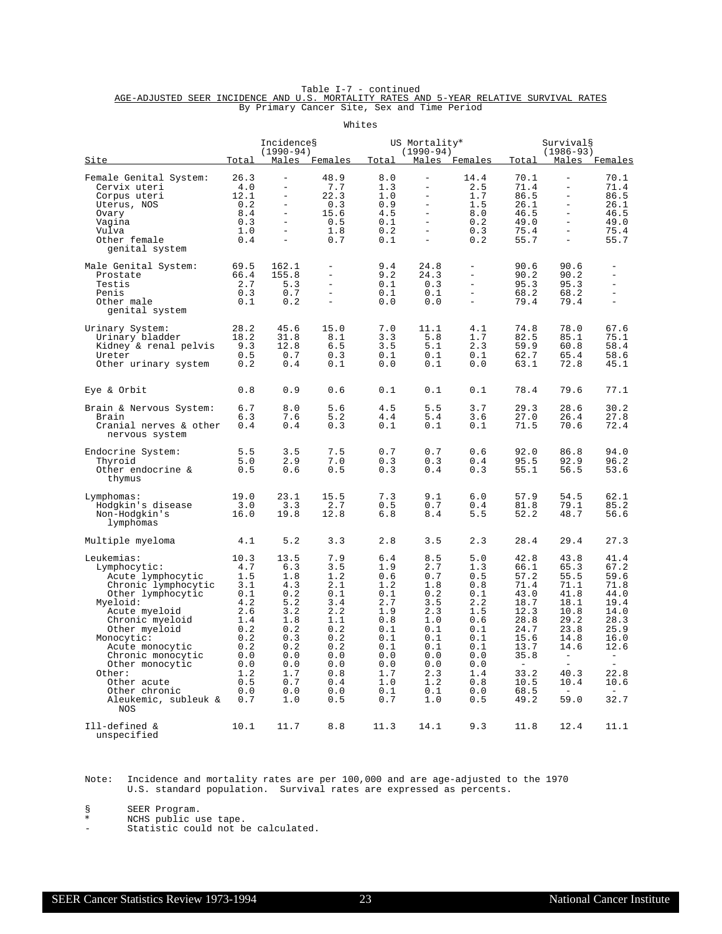|                                                                                         |  |  | Table I-7 - continued                       |  |  |  |
|-----------------------------------------------------------------------------------------|--|--|---------------------------------------------|--|--|--|
| AGE-ADJUSTED SEER INCIDENCE AND U.S. MORTALITY RATES AND 5-YEAR RELATIVE SURVIVAL RATES |  |  |                                             |  |  |  |
|                                                                                         |  |  | By Primary Cancer Site, Sex and Time Period |  |  |  |

|                                                                                                                                                                                                                                                                                                                |                                                                                                                      |                                                                                                                                                                           |                                                                                                                     | Whites                                                                                                              |                                                                                                                                                                                                                |                                                                                                                     |                                                                                                                                                                   |                                                                                                                                                     |                                                                                                                                                |
|----------------------------------------------------------------------------------------------------------------------------------------------------------------------------------------------------------------------------------------------------------------------------------------------------------------|----------------------------------------------------------------------------------------------------------------------|---------------------------------------------------------------------------------------------------------------------------------------------------------------------------|---------------------------------------------------------------------------------------------------------------------|---------------------------------------------------------------------------------------------------------------------|----------------------------------------------------------------------------------------------------------------------------------------------------------------------------------------------------------------|---------------------------------------------------------------------------------------------------------------------|-------------------------------------------------------------------------------------------------------------------------------------------------------------------|-----------------------------------------------------------------------------------------------------------------------------------------------------|------------------------------------------------------------------------------------------------------------------------------------------------|
| <u>Site</u>                                                                                                                                                                                                                                                                                                    | Total                                                                                                                | Incidences<br>$(1990 - 94)$                                                                                                                                               | Males Females                                                                                                       | Total                                                                                                               | US Mortality*<br>$(1990 - 94)$                                                                                                                                                                                 | Males Females                                                                                                       | Total                                                                                                                                                             | Survival§<br>$(1986 - 93)$                                                                                                                          | Males Females                                                                                                                                  |
| Female Genital System:<br>Cervix uteri<br>Corpus uteri<br>Uterus, NOS<br>Ovary<br>Vagina<br>Vulva<br>Other female<br>genital system                                                                                                                                                                            | 26.3<br>4.0<br>12.1<br>0.2<br>8.4<br>0.3<br>1.0<br>0.4                                                               | $\qquad \qquad -$<br>$\overline{\phantom{0}}$<br>$\qquad \qquad -$<br>$\qquad \qquad -$<br>$\equiv$<br>$\qquad \qquad -$<br>$\qquad \qquad -$<br>$\overline{\phantom{a}}$ | 48.9<br>7.7<br>22.3<br>0.3<br>15.6<br>0.5<br>1.8<br>0.7                                                             | 8.0<br>1.3<br>1.0<br>0.9<br>4.5<br>0.1<br>0.2<br>0.1                                                                | $\qquad \qquad -$<br>$\qquad \qquad -$<br>$\overline{\phantom{0}}$<br>$\overline{\phantom{0}}$<br>$\overline{\phantom{a}}$<br>$\overline{\phantom{a}}$<br>$\overline{\phantom{0}}$<br>$\overline{\phantom{a}}$ | 14.4<br>2.5<br>1.7<br>1.5<br>8.0<br>0.2<br>0.3<br>0.2                                                               | 70.1<br>71.4<br>86.5<br>26.1<br>46.5<br>49.0<br>75.4<br>55.7                                                                                                      | $\overline{\phantom{a}}$<br>$\overline{\phantom{0}}$<br>$\equiv$<br>$\equiv$<br>$\equiv$<br>$\overline{\phantom{0}}$<br>$\equiv$                    | 70.1<br>71.4<br>86.5<br>26.1<br>46.5<br>49.0<br>75.4<br>55.7                                                                                   |
| Male Genital System:<br>Prostate<br>Testis<br>Penis<br>Other male<br>genital system                                                                                                                                                                                                                            | 69.5<br>66.4<br>2.7<br>0.3<br>0.1                                                                                    | 162.1<br>155.8<br>5.3<br>0.7<br>0.2                                                                                                                                       | $\overline{\phantom{0}}$<br>$\overline{\phantom{0}}$<br>$\overline{\phantom{0}}$<br>$\overline{\phantom{0}}$        | 9.4<br>9.2<br>0.1<br>0.1<br>0.0                                                                                     | 24.8<br>24.3<br>0.3<br>0.1<br>0.0                                                                                                                                                                              | $\overline{\phantom{a}}$<br>$\equiv$<br>$\equiv$<br>$\equiv$                                                        | 90.6<br>90.2<br>95.3<br>68.2<br>79.4                                                                                                                              | 90.6<br>90.2<br>95.3<br>68.2<br>79.4                                                                                                                | ÷,<br>$\equiv$<br>$\equiv$<br>$\equiv$                                                                                                         |
| Urinary System:<br>Urinary bladder<br>Kidney & renal pelvis<br>Ureter<br>Other urinary system                                                                                                                                                                                                                  | 28.2<br>18.2<br>9.3<br>0.5<br>0.2                                                                                    | 45.6<br>31.8<br>12.8<br>0.7<br>0.4                                                                                                                                        | 15.0<br>8.1<br>6.5<br>0.3<br>0.1                                                                                    | 7.0<br>3.3<br>3.5<br>0.1<br>0.0                                                                                     | 11.1<br>5.8<br>5.1<br>0.1<br>0.1                                                                                                                                                                               | 4.1<br>1.7<br>2.3<br>0.1<br>0.0                                                                                     | 74.8<br>82.5<br>59.9<br>62.7<br>63.1                                                                                                                              | 78.0<br>85.1<br>60.8<br>65.4<br>72.8                                                                                                                | 67.6<br>75.1<br>58.4<br>58.6<br>45.1                                                                                                           |
| Eye & Orbit                                                                                                                                                                                                                                                                                                    | 0.8                                                                                                                  | 0.9                                                                                                                                                                       | 0.6                                                                                                                 | 0.1                                                                                                                 | 0.1                                                                                                                                                                                                            | 0.1                                                                                                                 | 78.4                                                                                                                                                              | 79.6                                                                                                                                                | 77.1                                                                                                                                           |
| Brain & Nervous System:<br>Brain<br>Cranial nerves & other<br>nervous system                                                                                                                                                                                                                                   | 6.7<br>6.3<br>0.4                                                                                                    | 8.0<br>7.6<br>0.4                                                                                                                                                         | 5.6<br>5.2<br>0.3                                                                                                   | 4.5<br>4.4<br>0.1                                                                                                   | 5.5<br>5.4<br>0.1                                                                                                                                                                                              | 3.7<br>3.6<br>0.1                                                                                                   | 29.3<br>27.0<br>71.5                                                                                                                                              | 28.6<br>26.4<br>70.6                                                                                                                                | 30.2<br>27.8<br>72.4                                                                                                                           |
| Endocrine System:<br>Thyroid<br>Other endocrine &<br>thymus                                                                                                                                                                                                                                                    | 5.5<br>5.0<br>0.5                                                                                                    | 3.5<br>2.9<br>0.6                                                                                                                                                         | 7.5<br>7.0<br>0.5                                                                                                   | 0.7<br>0.3<br>0.3                                                                                                   | 0.7<br>0.3<br>0.4                                                                                                                                                                                              | 0.6<br>0.4<br>0.3                                                                                                   | 92.0<br>95.5<br>55.1                                                                                                                                              | 86.8<br>92.9<br>56.5                                                                                                                                | 94.0<br>96.2<br>53.6                                                                                                                           |
| Lymphomas:<br>Hodgkin's disease<br>Non-Hodgkin's<br>lymphomas                                                                                                                                                                                                                                                  | 19.0<br>3.0<br>16.0                                                                                                  | 23.1<br>3.3<br>19.8                                                                                                                                                       | 15.5<br>2.7<br>12.8                                                                                                 | 7.3<br>0.5<br>6.8                                                                                                   | 9.1<br>0.7<br>8.4                                                                                                                                                                                              | 6.0<br>0.4<br>5.5                                                                                                   | 57.9<br>81.8<br>52.2                                                                                                                                              | 54.5<br>79.1<br>48.7                                                                                                                                | 62.1<br>85.2<br>56.6                                                                                                                           |
| Multiple myeloma                                                                                                                                                                                                                                                                                               | 4.1                                                                                                                  | 5.2                                                                                                                                                                       | 3.3                                                                                                                 | 2.8                                                                                                                 | 3.5                                                                                                                                                                                                            | 2.3                                                                                                                 | 28.4                                                                                                                                                              | 29.4                                                                                                                                                | 27.3                                                                                                                                           |
| Leukemias:<br>Lymphocytic:<br>Acute lymphocytic<br>Chronic lymphocytic<br>Other lymphocytic<br>Myeloid:<br>Acute myeloid<br>Chronic myeloid<br>Other myeloid<br>Monocytic:<br>Acute monocytic<br>Chronic monocytic<br>Other monocytic<br>Other:<br>Other acute<br>Other chronic<br>Aleukemic, subleuk &<br>NOS | 10.3<br>4.7<br>1.5<br>3.1<br>0.1<br>4.2<br>2.6<br>1.4<br>0.2<br>0.2<br>0.2<br>0.0<br>0.0<br>1.2<br>0.5<br>0.0<br>0.7 | 13.5<br>6.3<br>1.8<br>4.3<br>0.2<br>5.2<br>3.2<br>1.8<br>0.2<br>0.3<br>0.2<br>0.0<br>0.0<br>1.7<br>0.7<br>0.0<br>1.0                                                      | 7.9<br>3.5<br>1.2<br>2.1<br>0.1<br>3.4<br>2.2<br>1.1<br>0.2<br>0.2<br>0.2<br>0.0<br>0.0<br>0.8<br>0.4<br>0.0<br>0.5 | 6.4<br>1.9<br>0.6<br>1.2<br>0.1<br>2.7<br>1.9<br>0.8<br>0.1<br>0.1<br>0.1<br>0.0<br>0.0<br>1.7<br>1.0<br>0.1<br>0.7 | 8.5<br>2.7<br>0.7<br>1.8<br>0.2<br>3.5<br>2.3<br>1.0<br>0.1<br>0.1<br>0.1<br>0.0<br>0.0<br>2.3<br>1.2<br>0.1<br>1.0                                                                                            | 5.0<br>1.3<br>0.5<br>0.8<br>0.1<br>2.2<br>1.5<br>0.6<br>0.1<br>0.1<br>0.1<br>0.0<br>0.0<br>1.4<br>0.8<br>0.0<br>0.5 | 42.8<br>66.1<br>57.2<br>71.4<br>43.0<br>18.7<br>12.3<br>28.8<br>24.7<br>15.6<br>13.7<br>35.8<br>$\alpha \rightarrow \beta \gamma$<br>33.2<br>10.5<br>68.5<br>49.2 | 43.8<br>65.3<br>55.5<br>71.1<br>41.8<br>18.1<br>10.8<br>29.2<br>23.8<br>14.8<br>14.6<br>$\sim$<br>$\sim 10^{-10}$<br>40.3<br>10.4<br>$\sim$<br>59.0 | 41.4<br>67.2<br>59.6<br>71.8<br>44.0<br>19.4<br>14.0<br>28.3<br>25.9<br>16.0<br>12.6<br>$\sim$<br>$\sim$ $-$<br>22.8<br>10.6<br>$\sim$<br>32.7 |
| Ill-defined &<br>unspecified                                                                                                                                                                                                                                                                                   | 10.1                                                                                                                 | 11.7                                                                                                                                                                      | 8.8                                                                                                                 | 11.3                                                                                                                | 14.1                                                                                                                                                                                                           | 9.3                                                                                                                 | 11.8                                                                                                                                                              | 12.4                                                                                                                                                | 11.1                                                                                                                                           |

Note: Incidence and mortality rates are per 100,000 and are age-adjusted to the 1970 U.S. standard population. Survival rates are expressed as percents.

§ SEER Program.<br>\* NCHS public us

\* NCHS public use tape.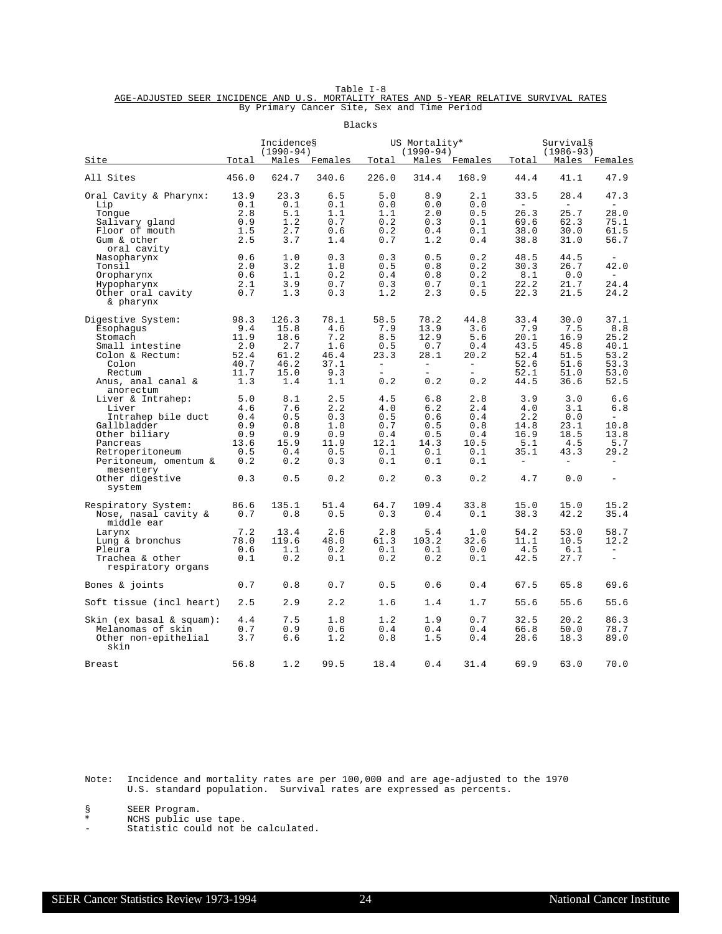Table I-8<br>AGE-ADJUSTED SEER INCIDENCE AND U.S. MORTALITY RATES AND 5-YEAR RELATIVE SURVIVAL RATES By Primary Cancer Site, Sex and Time Period

|                                                                                                                                                                                                 |                                                              |                                                              |                                                              | Blacks                                                         |                                                                    |                                                                           |                                                                                     |                                                                                     |                                                                               |
|-------------------------------------------------------------------------------------------------------------------------------------------------------------------------------------------------|--------------------------------------------------------------|--------------------------------------------------------------|--------------------------------------------------------------|----------------------------------------------------------------|--------------------------------------------------------------------|---------------------------------------------------------------------------|-------------------------------------------------------------------------------------|-------------------------------------------------------------------------------------|-------------------------------------------------------------------------------|
| <u>Site</u>                                                                                                                                                                                     | Total                                                        | Incidences<br>$(1990 - 94)$                                  | Males Females                                                | Total                                                          | US Mortality*<br>$(1990 - 94)$                                     | Males Females                                                             | Total                                                                               | Survival§<br>$(1986 - 93)$<br>Males Females                                         |                                                                               |
| All Sites                                                                                                                                                                                       | 456.0                                                        | 624.7                                                        | 340.6                                                        | 226.0                                                          | 314.4                                                              | 168.9                                                                     | 44.4                                                                                | 41.1                                                                                | 47.9                                                                          |
| Oral Cavity & Pharynx:<br>Lip<br>Tongue<br>Salivary gland<br>Floor of mouth<br>Gum & other                                                                                                      | 13.9<br>0.1<br>2.8<br>0.9<br>1.5<br>2.5                      | 23.3<br>0.1<br>5.1<br>1.2<br>2.7<br>3.7                      | 6.5<br>0.1<br>1.1<br>0.7<br>0.6<br>1.4                       | 5.0<br>0.0<br>1.1<br>0.2<br>0.2<br>0.7                         | 8.9<br>0.0<br>2.0<br>0.3<br>0.4<br>1.2                             | 2.1<br>0.0<br>0.5<br>0.1<br>0.1<br>0.4                                    | 33.5<br>$\overline{\phantom{a}}$<br>26.3<br>69.6<br>38.0<br>38.8                    | 28.4<br>$\overline{\phantom{a}}$<br>25.7<br>62.3<br>30.0<br>31.0                    | 47.3<br>$\equiv$<br>28.0<br>75.1<br>61.5<br>56.7                              |
| oral cavity<br>Nasopharynx<br>Tonsil<br>Oropharynx<br>Hypopharynx<br>Other oral cavity<br>& pharynx                                                                                             | 0.6<br>2.0<br>0.6<br>2.1<br>0.7                              | 1.0<br>3.2<br>1.1<br>3.9<br>1.3                              | 0.3<br>1.0<br>0.2<br>0.7<br>0.3                              | 0.3<br>0.5<br>0.4<br>0.3<br>1.2                                | 0.5<br>0.8<br>0.8<br>0.7<br>2.3                                    | 0.2<br>0.2<br>0.2<br>0.1<br>0.5                                           | 48.5<br>30.3<br>8.1<br>22.2<br>22.3                                                 | 44.5<br>26.7<br>0.0<br>21.7<br>21.5                                                 | 42.0<br>$\sim$<br>24.4<br>24.2                                                |
| Digestive System:<br>Esophagus<br>Stomach<br>Small intestine<br>Colon & Rectum:<br>Colon<br>Rectum<br>Anus, anal canal &                                                                        | 98.3<br>9.4<br>11.9<br>2.0<br>52.4<br>40.7<br>11.7<br>1.3    | 126.3<br>15.8<br>18.6<br>2.7<br>61.2<br>46.2<br>15.0<br>1.4  | 78.1<br>4.6<br>7.2<br>1.6<br>46.4<br>37.1<br>9.3<br>1.1      | 58.5<br>7.9<br>8.5<br>0.5<br>23.3<br>$\sim$<br>$\equiv$<br>0.2 | 78.2<br>13.9<br>12.9<br>0.7<br>28.1<br>$\equiv$<br>$\equiv$<br>0.2 | 44.8<br>3.6<br>5.6<br>0.4<br>20.2<br>$\equiv$<br>$\qquad \qquad =$<br>0.2 | 33.4<br>7.9<br>20.1<br>43.5<br>52.4<br>52.6<br>52.1<br>44.5                         | 30.0<br>7.5<br>16.9<br>45.8<br>51.5<br>51.6<br>51.0<br>36.6                         | 37.1<br>8.8<br>25.2<br>40.1<br>53.2<br>53.3<br>53.0<br>52.5                   |
| anorectum<br>Liver & Intrahep:<br>Liver<br>Intrahep bile duct<br>Gallbladder<br>Other biliary<br>Pancreas<br>Retroperitoneum<br>Peritoneum, omentum &<br>mesentery<br>Other digestive<br>system | 5.0<br>4.6<br>0.4<br>0.9<br>0.9<br>13.6<br>0.5<br>0.2<br>0.3 | 8.1<br>7.6<br>0.5<br>0.8<br>0.9<br>15.9<br>0.4<br>0.2<br>0.5 | 2.5<br>2.2<br>0.3<br>1.0<br>0.9<br>11.9<br>0.5<br>0.3<br>0.2 | 4.5<br>4.0<br>0.5<br>0.7<br>0.4<br>12.1<br>0.1<br>0.1<br>0.2   | 6.8<br>6.2<br>0.6<br>0.5<br>0.5<br>14.3<br>0.1<br>0.1<br>0.3       | 2.8<br>2.4<br>0.4<br>0.8<br>0.4<br>10.5<br>0.1<br>0.1<br>0.2              | 3.9<br>4.0<br>2.2<br>14.8<br>16.9<br>5.1<br>35.1<br>$\overline{\phantom{a}}$<br>4.7 | 3.0<br>3.1<br>0.0<br>23.1<br>18.5<br>4.5<br>43.3<br>$\overline{\phantom{a}}$<br>0.0 | 6.6<br>6.8<br>$\equiv$<br>10.8<br>13.8<br>5.7<br>29.2<br>$\equiv$<br>$\equiv$ |
| Respiratory System:<br>Nose, nasal cavity &<br>middle ear<br>Larynx<br>Lung & bronchus<br>Pleura<br>Trachea & other                                                                             | 86.6<br>0.7<br>7.2<br>78.0<br>0.6<br>0.1                     | 135.1<br>0.8<br>13.4<br>119.6<br>1.1<br>0.2                  | 51.4<br>0.5<br>2.6<br>48.0<br>0.2<br>0.1                     | 64.7<br>0.3<br>2.8<br>61.3<br>0.1<br>0.2                       | 109.4<br>0.4<br>5.4<br>103.2<br>0.1<br>0.2                         | 33.8<br>0.1<br>1.0<br>32.6<br>0.0<br>0.1                                  | 15.0<br>38.3<br>54.2<br>11.1<br>4.5<br>42.5                                         | 15.0<br>42.2<br>53.0<br>10.5<br>6.1<br>27.7                                         | 15.2<br>35.4<br>58.7<br>12.2<br>$\equiv$<br>$\equiv$                          |
| respiratory organs<br>Bones & joints                                                                                                                                                            | 0.7                                                          | 0.8                                                          | 0.7                                                          | 0.5                                                            | 0.6                                                                | 0.4                                                                       | 67.5                                                                                | 65.8                                                                                | 69.6                                                                          |
| Soft tissue (incl heart)                                                                                                                                                                        | 2.5                                                          | 2.9                                                          | 2.2                                                          | 1.6                                                            | 1.4                                                                | 1.7                                                                       | 55.6                                                                                | 55.6                                                                                | 55.6                                                                          |
| Skin (ex basal & squam):<br>Melanomas of skin<br>Other non-epithelial<br>skin                                                                                                                   | 4.4<br>0.7<br>3.7                                            | 7.5<br>0.9<br>6.6                                            | 1.8<br>0.6<br>1.2                                            | 1.2<br>0.4<br>0.8                                              | 1.9<br>0.4<br>1.5                                                  | 0.7<br>0.4<br>0.4                                                         | 32.5<br>66.8<br>28.6                                                                | 20.2<br>50.0<br>18.3                                                                | 86.3<br>78.7<br>89.0                                                          |
| Breast                                                                                                                                                                                          | 56.8                                                         | 1.2                                                          | 99.5                                                         | 18.4                                                           | 0.4                                                                | 31.4                                                                      | 69.9                                                                                | 63.0                                                                                | 70.0                                                                          |

Note: Incidence and mortality rates are per 100,000 and are age-adjusted to the 1970 U.S. standard population. Survival rates are expressed as percents.

§ SEER Program.<br>\* NCHS public us

\* NCHS public use tape.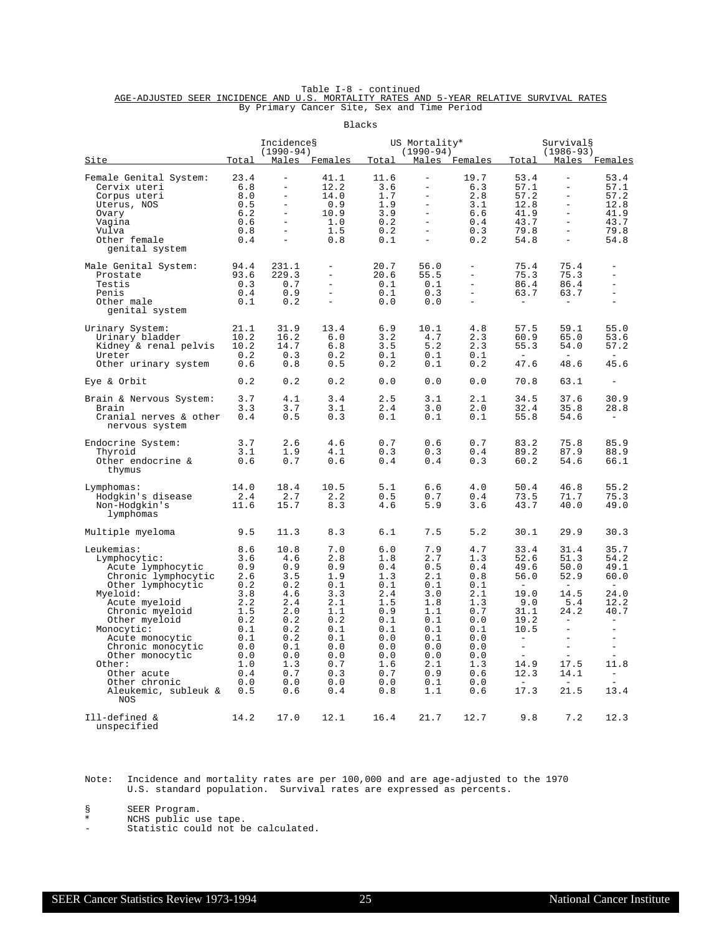|                                                                                         |  |  | Table I-8 - continued                       |  |  |  |
|-----------------------------------------------------------------------------------------|--|--|---------------------------------------------|--|--|--|
| AGE-ADJUSTED SEER INCIDENCE AND U.S. MORTALITY RATES AND 5-YEAR RELATIVE SURVIVAL RATES |  |  |                                             |  |  |  |
|                                                                                         |  |  | By Primary Cancer Site, Sex and Time Period |  |  |  |

|                                                                                                                                                                                                                                                                                                                |                                                                                                                     |                                                                                                                                                  |                                                                                                                     | Blacks                                                                                                                |                                                                                                                                                             |                                                                                                                     |                                                                                                                                                                                                       |                                                                                                                                                                 |                                                                                                                                                                                              |
|----------------------------------------------------------------------------------------------------------------------------------------------------------------------------------------------------------------------------------------------------------------------------------------------------------------|---------------------------------------------------------------------------------------------------------------------|--------------------------------------------------------------------------------------------------------------------------------------------------|---------------------------------------------------------------------------------------------------------------------|-----------------------------------------------------------------------------------------------------------------------|-------------------------------------------------------------------------------------------------------------------------------------------------------------|---------------------------------------------------------------------------------------------------------------------|-------------------------------------------------------------------------------------------------------------------------------------------------------------------------------------------------------|-----------------------------------------------------------------------------------------------------------------------------------------------------------------|----------------------------------------------------------------------------------------------------------------------------------------------------------------------------------------------|
| Site                                                                                                                                                                                                                                                                                                           | Total                                                                                                               | Incidences<br>$(1990 - 94)$<br>Males                                                                                                             | Females                                                                                                             | Total                                                                                                                 | US Mortality*<br>$(1990 - 94)$                                                                                                                              | Males Females                                                                                                       | Total                                                                                                                                                                                                 | Survival§<br>$(1986 - 93)$                                                                                                                                      | Males Females                                                                                                                                                                                |
| Female Genital System:<br>Cervix uteri<br>Corpus uteri<br>Uterus, NOS<br>Ovary<br>Vagina<br>Vulva<br>Other female<br>genital system                                                                                                                                                                            | 23.4<br>6.8<br>8.0<br>0.5<br>6.2<br>0.6<br>0.8<br>0.4                                                               | $\overline{\phantom{0}}$<br>$\ddot{\phantom{1}}$<br>$\overline{\phantom{0}}$<br>$\equiv$<br>$\overline{\phantom{0}}$<br>$\overline{\phantom{0}}$ | 41.1<br>12.2<br>14.0<br>0.9<br>10.9<br>1.0<br>1.5<br>0.8                                                            | 11.6<br>3.6<br>1.7<br>1.9<br>3.9<br>0.2<br>0.2<br>0.1                                                                 | $\overline{\phantom{0}}$<br>$\ddot{\phantom{1}}$<br>$\qquad \qquad -$<br>$\qquad \qquad -$<br>$\bar{\phantom{a}}$<br>$\equiv$<br>$\overline{a}$<br>$\equiv$ | 19.7<br>6.3<br>2.8<br>3.1<br>6.6<br>0.4<br>0.3<br>0.2                                                               | 53.4<br>57.1<br>57.2<br>12.8<br>41.9<br>43.7<br>79.8<br>54.8                                                                                                                                          | <sup>-</sup><br>$\qquad \qquad -$<br>$\qquad \qquad -$<br>$\equiv$<br>$\qquad \qquad -$<br>$\equiv$<br>$\equiv$<br>$\overline{\phantom{a}}$                     | 53.4<br>57.1<br>57.2<br>12.8<br>41.9<br>43.7<br>79.8<br>54.8                                                                                                                                 |
| Male Genital System:<br>Prostate<br>Testis<br>Penis<br>Other male<br>genital system                                                                                                                                                                                                                            | 94.4<br>93.6<br>0.3<br>0.4<br>0.1                                                                                   | 231.1<br>229.3<br>0.7<br>0.9<br>0.2                                                                                                              | $\equiv$<br>$\equiv$<br>$\overline{a}$<br>$\overline{\phantom{m}}$                                                  | 20.7<br>20.6<br>0.1<br>0.1<br>0.0                                                                                     | 56.0<br>55.5<br>$0.1\,$<br>0.3<br>0.0                                                                                                                       | $\equiv$<br>$\equiv$<br>$\bar{\phantom{a}}$                                                                         | 75.4<br>75.3<br>86.4<br>63.7                                                                                                                                                                          | 75.4<br>75.3<br>86.4<br>63.7                                                                                                                                    | $\equiv$<br>$\overline{\phantom{0}}$<br>$\equiv$<br>$\equiv$<br>$\overline{a}$                                                                                                               |
| Urinary System:<br>Urinary bladder<br>Kidney & renal pelvis<br>Ureter<br>Other urinary system                                                                                                                                                                                                                  | 21.1<br>10.2<br>10.2<br>0.2<br>0.6                                                                                  | 31.9<br>16.2<br>14.7<br>0.3<br>0.8                                                                                                               | 13.4<br>6.0<br>6.8<br>0.2<br>0.5                                                                                    | 6.9<br>3.2<br>3.5<br>0.1<br>0.2                                                                                       | 10.1<br>4.7<br>5.2<br>0.1<br>0.1                                                                                                                            | 4.8<br>2.3<br>2.3<br>0.1<br>0.2                                                                                     | 57.5<br>60.9<br>55.3<br>47.6                                                                                                                                                                          | 59.1<br>65.0<br>54.0<br>48.6                                                                                                                                    | 55.0<br>53.6<br>57.2<br>45.6                                                                                                                                                                 |
| Eye & Orbit                                                                                                                                                                                                                                                                                                    | 0.2                                                                                                                 | 0.2                                                                                                                                              | 0.2                                                                                                                 | 0.0                                                                                                                   | 0.0                                                                                                                                                         | 0.0                                                                                                                 | 70.8                                                                                                                                                                                                  | 63.1                                                                                                                                                            | $\overline{\phantom{a}}$                                                                                                                                                                     |
| Brain & Nervous System:<br>Brain<br>Cranial nerves & other<br>nervous system                                                                                                                                                                                                                                   | 3.7<br>3.3<br>0.4                                                                                                   | 4.1<br>3.7<br>0.5                                                                                                                                | 3.4<br>3.1<br>0.3                                                                                                   | 2.5<br>2.4<br>0.1                                                                                                     | 3.1<br>3.0<br>0.1                                                                                                                                           | 2.1<br>2.0<br>0.1                                                                                                   | 34.5<br>32.4<br>55.8                                                                                                                                                                                  | 37.6<br>35.8<br>54.6                                                                                                                                            | 30.9<br>28.8                                                                                                                                                                                 |
| Endocrine System:<br>Thyroid<br>Other endocrine &<br>thymus                                                                                                                                                                                                                                                    | 3.7<br>3.1<br>0.6                                                                                                   | 2.6<br>1.9<br>0.7                                                                                                                                | 4.6<br>4.1<br>0.6                                                                                                   | 0.7<br>0.3<br>0.4                                                                                                     | 0.6<br>0.3<br>0.4                                                                                                                                           | 0.7<br>0.4<br>0.3                                                                                                   | 83.2<br>89.2<br>60.2                                                                                                                                                                                  | 75.8<br>87.9<br>54.6                                                                                                                                            | 85.9<br>88.9<br>66.1                                                                                                                                                                         |
| Lymphomas:<br>Hodgkin's disease<br>Non-Hodgkin's<br>lymphomas                                                                                                                                                                                                                                                  | 14.0<br>2.4<br>11.6                                                                                                 | 18.4<br>2.7<br>15.7                                                                                                                              | 10.5<br>2.2<br>8.3                                                                                                  | $5.1$<br>0.5<br>4.6                                                                                                   | 6.6<br>0.7<br>5.9                                                                                                                                           | 4.0<br>0.4<br>3.6                                                                                                   | 50.4<br>73.5<br>43.7                                                                                                                                                                                  | 46.8<br>71.7<br>40.0                                                                                                                                            | 55.2<br>75.3<br>49.0                                                                                                                                                                         |
| Multiple myeloma                                                                                                                                                                                                                                                                                               | 9.5                                                                                                                 | 11.3                                                                                                                                             | 8.3                                                                                                                 | 6.1                                                                                                                   | 7.5                                                                                                                                                         | 5.2                                                                                                                 | 30.1                                                                                                                                                                                                  | 29.9                                                                                                                                                            | 30.3                                                                                                                                                                                         |
| Leukemias:<br>Lymphocytic:<br>Acute lymphocytic<br>Chronic lymphocytic<br>Other lymphocytic<br>Myeloid:<br>Acute myeloid<br>Chronic myeloid<br>Other myeloid<br>Monocytic:<br>Acute monocytic<br>Chronic monocytic<br>Other monocytic<br>Other:<br>Other acute<br>Other chronic<br>Aleukemic, subleuk &<br>NOS | 8.6<br>3.6<br>0.9<br>2.6<br>0.2<br>3.8<br>2.2<br>1.5<br>0.2<br>0.1<br>0.1<br>0.0<br>0.0<br>1.0<br>0.4<br>0.0<br>0.5 | 10.8<br>4.6<br>0.9<br>3.5<br>0.2<br>4.6<br>2.4<br>2.0<br>0.2<br>0.2<br>0.2<br>0.1<br>0.0<br>1.3<br>0.7<br>0.0<br>0.6                             | 7.0<br>2.8<br>0.9<br>1.9<br>0.1<br>3.3<br>2.1<br>1.1<br>0.2<br>0.1<br>0.1<br>0.0<br>0.0<br>0.7<br>0.3<br>0.0<br>0.4 | 6.0<br>1.8<br>$0.4$<br>1.3<br>0.1<br>2.4<br>1.5<br>0.9<br>0.1<br>0.1<br>0.0<br>0.0<br>0.0<br>1.6<br>0.7<br>0.0<br>0.8 | 7.9<br>2.7<br>0.5<br>2.1<br>0.1<br>3.0<br>1.8<br>1.1<br>0.1<br>0.1<br>0.1<br>0.0<br>0.0<br>2.1<br>0.9<br>0.1<br>1.1                                         | 4.7<br>1.3<br>0.4<br>0.8<br>0.1<br>2.1<br>1.3<br>0.7<br>0.0<br>0.1<br>0.0<br>0.0<br>0.0<br>1.3<br>0.6<br>0.0<br>0.6 | 33.4<br>52.6<br>49.6<br>56.0<br>$\overline{\phantom{a}}$<br>19.0<br>9.0<br>31.1<br>19.2<br>10.5<br>$\overline{\phantom{m}}$<br>$\equiv$<br>$\sim$<br>14.9<br>12.3<br>$\overline{\phantom{0}}$<br>17.3 | 31.4<br>51.3<br>50.0<br>52.9<br>14.5<br>5.4<br>24.2<br>$\equiv$<br>$\equiv$<br>$\overline{\phantom{m}}$<br>$\equiv$<br>$\sim$<br>17.5<br>14.1<br>$\sim$<br>21.5 | 35.7<br>54.2<br>49.1<br>60.0<br>24.0<br>12.2<br>40.7<br>$\equiv$<br>$\equiv$<br>$\overline{\phantom{m}}$<br>$\equiv$<br>$\sim$<br>11.8<br>$\overline{\phantom{a}}$<br>$\overline{a}$<br>13.4 |
| Ill-defined &<br>unspecified                                                                                                                                                                                                                                                                                   | 14.2                                                                                                                | 17.0                                                                                                                                             | 12.1                                                                                                                | 16.4                                                                                                                  | 21.7                                                                                                                                                        | 12.7                                                                                                                | 9.8                                                                                                                                                                                                   | 7.2                                                                                                                                                             | 12.3                                                                                                                                                                                         |

Note: Incidence and mortality rates are per 100,000 and are age-adjusted to the 1970 U.S. standard population. Survival rates are expressed as percents.

§ SEER Program.<br>\* NCHS public us

\* NCHS public use tape.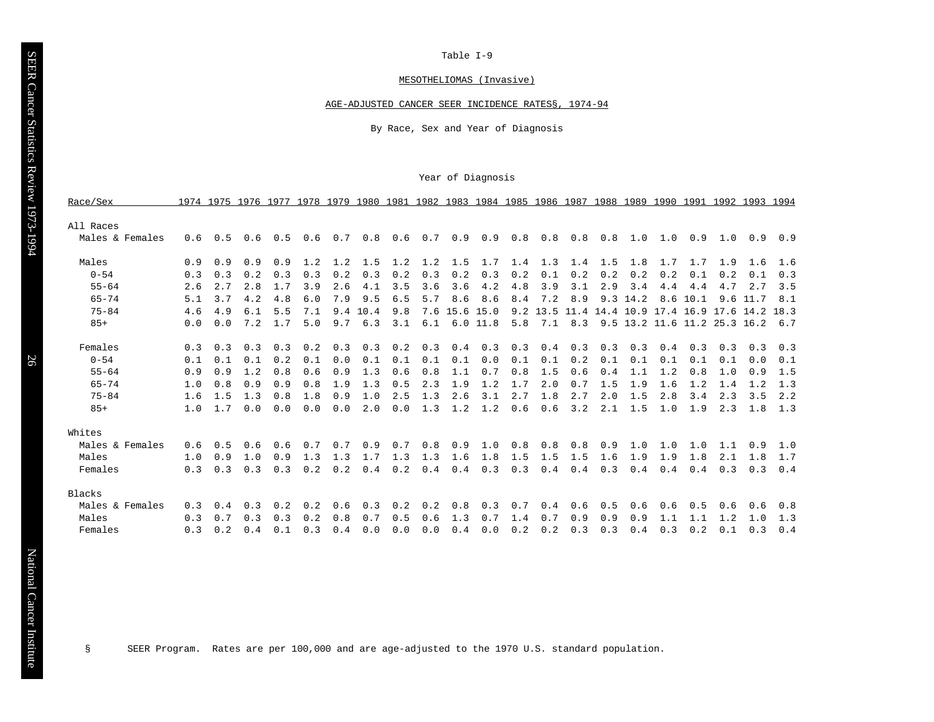#### MESOTHELIOMAS (Invasive)

#### AGE-ADJUSTED CANCER SEER INCIDENCE RATES§, 1974-94

By Race, Sex and Year of Diagnosis

#### Year of Diagnosis

| Race/Sex        |     |     | 1974 1975 1976 1977 |     | 1978 | 1979 | 1980 | 1981 | 1982 |      | 1983 1984 1985 1986 1987 |     |      |      |      | 1988 1989 1990 1991 |      |                      |           | 1992 1993 1994 |      |
|-----------------|-----|-----|---------------------|-----|------|------|------|------|------|------|--------------------------|-----|------|------|------|---------------------|------|----------------------|-----------|----------------|------|
| All Races       |     |     |                     |     |      |      |      |      |      |      |                          |     |      |      |      |                     |      |                      |           |                |      |
| Males & Females | 0.6 | 0.5 | 0.6                 | 0.5 | 0.6  | 0.7  | 0.8  | 0.6  | 0.7  | 0.9  | 0.9                      | 0.8 | 0.8  | 0.8  | 0.8  | 1.0                 | 1.0  | 0.9                  | 1.0       | 0.9            | 0.9  |
|                 |     |     |                     |     |      |      |      |      |      |      |                          |     |      |      |      |                     |      |                      |           |                |      |
| Males           | 0.9 | 0.9 | 0.9                 | 0.9 | 1.2  | 1.2  | 1.5  | 1.2  | 1.2  | 1.5  | 1.7                      | 1.4 | 1.3  | 1.4  | 1.5  | 1.8                 | 1.7  | 1.7                  | 1.9       | 1.6            | 1.6  |
| $0 - 54$        | 0.3 | 0.3 | 0.2                 | 0.3 | 0.3  | 0.2  | 0.3  | 0.2  | 0.3  | 0.2  | 0.3                      | 0.2 | 0.1  | 0.2  | 0.2  | 0.2                 | 0.2  | 0.1                  | 0.2       | 0.1            | 0.3  |
| $55 - 64$       | 2.6 | 2.7 | 2.8                 | 1.7 | 3.9  | 2.6  | 4.1  | 3.5  | 3.6  | 3.6  | 4.2                      | 4.8 | 3.9  | 3.1  | 2.9  | 3.4                 | 4.4  | 4.4                  | 4.7       | 2.7            | 3.5  |
| $65 - 74$       | 5.1 | 3.7 | 4.2                 | 4.8 | 6.0  | 7.9  | 9.5  | 6.5  | 5.7  | 8.6  | 8.6                      | 8.4 | 7.2  | 8.9  | 9.3  | 14.2                | 8.6  | 10.1                 | 9.6       | 11.7           | 8.1  |
| $75 - 84$       | 4.6 | 4.9 | 6.1                 | 5.5 | 7.1  | 9.4  | 10.4 | 9.8  | 7.6  | 15.6 | 15.0                     | 9.2 | 13.5 | 11.4 | 14.4 | 10.9                |      | 17.4 16.9            | 17.6 14.2 |                | 18.3 |
| $85+$           | 0.0 | 0.0 | 7.2                 | 1.7 | 5.0  | 9.7  | 6.3  | 3.1  | 6.1  | 6.0  | 11.8                     | 5.8 | 7.1  | 8.3  | 9.5  | 13.2                | 11.6 | $11.2$ $25.3$ $16.2$ |           |                | 6.7  |
|                 |     |     |                     |     |      |      |      |      |      |      |                          |     |      |      |      |                     |      |                      |           |                |      |
| Females         | 0.3 | 0.3 | 0.3                 | 0.3 | 0.2  | 0.3  | 0.3  | 0.2  | 0.3  | 0.4  | 0.3                      | 0.3 | 0.4  | 0.3  | 0.3  | 0.3                 | 0.4  | 0.3                  | 0.3       | 0.3            | 0.3  |
| $0 - 54$        | 0.1 | 0.1 | 0.1                 | 0.2 | 0.1  | 0.0  | 0.1  | 0.1  | 0.1  | 0.1  | 0.0                      | 0.1 | 0.1  | 0.2  | 0.1  | 0.1                 | 0.1  | 0.1                  | 0.1       | 0.0            | 0.1  |
| $55 - 64$       | 0.9 | 0.9 | 1.2                 | 0.8 | 0.6  | 0.9  | 1.3  | 0.6  | 0.8  | 1.1  | 0.7                      | 0.8 | 1.5  | 0.6  | 0.4  | 1.1                 | 1.2  | 0.8                  | 1.0       | 0.9            | 1.5  |
| $65 - 74$       | 1.0 | 0.8 | 0.9                 | 0.9 | 0.8  | 1.9  | 1.3  | 0.5  | 2.3  | 1.9  | 1.2                      | 1.7 | 2.0  | 0.7  | 1.5  | 1.9                 | 1.6  | 1.2                  | 1.4       | 1.2            | 1.3  |
| $75 - 84$       | 1.6 | 1.5 | 1.3                 | 0.8 | 1.8  | 0.9  | 1.0  | 2.5  | 1.3  | 2.6  | 3.1                      | 2.7 | 1.8  | 2.7  | 2.0  | 1.5                 | 2.8  | 3.4                  | 2.3       | 3.5            | 2.2  |
| $85+$           | 1.0 | 1.7 | 0.0                 | 0.0 | 0.0  | 0.0  | 2.0  | 0.0  | 1.3  | 1.2  | 1.2                      | 0.6 | 0.6  | 3.2  | 2.1  | 1.5                 | 1.0  | 1.9                  | 2.3       | 1.8            | 1.3  |
|                 |     |     |                     |     |      |      |      |      |      |      |                          |     |      |      |      |                     |      |                      |           |                |      |
| Whites          |     |     |                     |     |      |      |      |      |      |      |                          |     |      |      |      |                     |      |                      |           |                |      |
| Males & Females | 0.6 | 0.5 | 0.6                 | 0.6 | 0.7  | 0.7  | 0.9  | 0.7  | 0.8  | 0.9  | 1.0                      | 0.8 | 0.8  | 0.8  | 0.9  | 1.0                 | 1.0  | 1.0                  | 1.1       | 0.9            | 1.0  |
| Males           | 1.0 | 0.9 | 1.0                 | 0.9 | 1.3  | 1.3  | 1.7  | 1.3  | 1.3  | 1.6  | 1.8                      | 1.5 | 1.5  | 1.5  | 1.6  | 1.9                 | 1.9  | 1.8                  | 2.1       | 1.8            | 1.7  |
| Females         | 0.3 | 0.3 | 0.3                 | 0.3 | 0.2  | 0.2  | 0.4  | 0.2  | 0.4  | 0.4  | 0.3                      | 0.3 | 0.4  | 0.4  | 0.3  | 0.4                 | 0.4  | 0.4                  | 0.3       | 0.3            | 0.4  |
|                 |     |     |                     |     |      |      |      |      |      |      |                          |     |      |      |      |                     |      |                      |           |                |      |
| Blacks          |     |     |                     |     |      |      |      |      |      |      |                          |     |      |      |      |                     |      |                      |           |                |      |
| Males & Females | 0.3 | 0.4 | 0.3                 | 0.2 | 0.2  | 0.6  | 0.3  | 0.2  | 0.2  | 0.8  | 0.3                      | 0.7 | 0.4  | 0.6  | 0.5  | 0.6                 | 0.6  | 0.5                  | 0.6       | 0.6            | 0.8  |
| Males           | 0.3 | 0.7 | 0.3                 | 0.3 | 0.2  | 0.8  | 0.7  | 0.5  | 0.6  | 1.3  | 0.7                      | 1.4 | 0.7  | 0.9  | 0.9  | 0.9                 | 1.1  | 1.1                  | 1.2       | 1.0            | 1.3  |
| Females         | 0.3 | 0.2 | 0.4                 | 0.1 | 0.3  | 0.4  | 0.0  | 0.0  | 0.0  | 0.4  | 0.0                      | 0.2 | 0.2  | 0.3  | 0.3  | 0.4                 | 0.3  | 0.2                  | 0.1       | 0.3            | 0.4  |

§ SEER Program. Rates are per 100,000 and are age-adjusted to the 1970 U.S. standard population.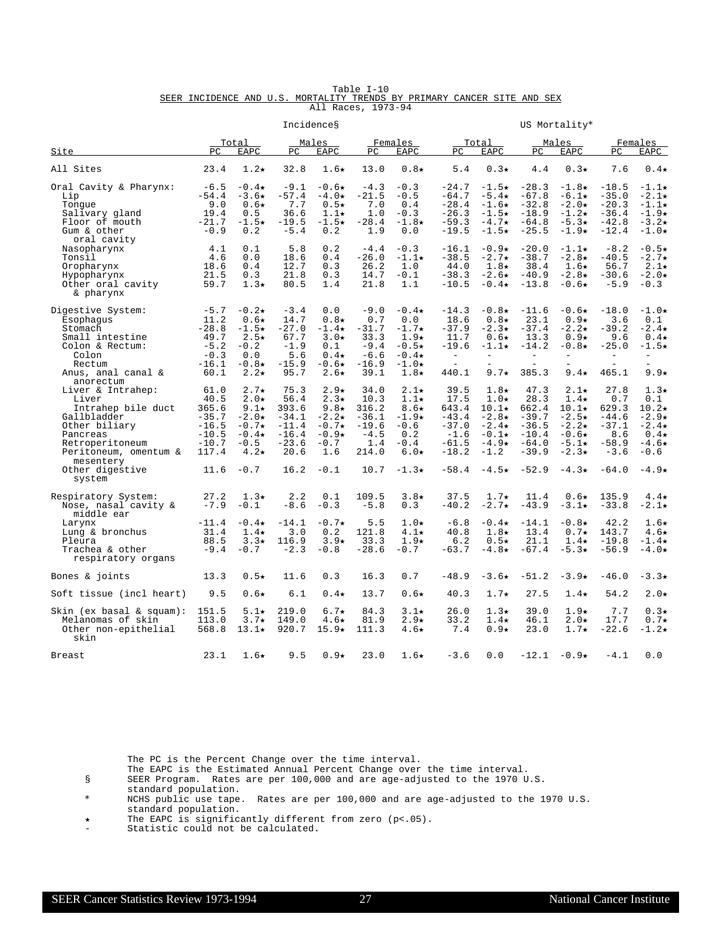|                    |  |  |                                                                         | Table I-10 |  |  |  |  |  |  |
|--------------------|--|--|-------------------------------------------------------------------------|------------|--|--|--|--|--|--|
|                    |  |  | SEER INCIDENCE AND U.S. MORTALITY TRENDS BY PRIMARY CANCER SITE AND SEX |            |  |  |  |  |  |  |
| All Races, 1973-94 |  |  |                                                                         |            |  |  |  |  |  |  |

|                                                                                                                                                                                                 |                                                                                    |                                                                                                                    |                                                                                   | Incidences                                                                                              |                                                                               |                                                                                                       |                                                                                                         |                                                                                                                              |                                                                                          | US Mortality*                                                                                                                 |                                                                                              |                                                                                                              |
|-------------------------------------------------------------------------------------------------------------------------------------------------------------------------------------------------|------------------------------------------------------------------------------------|--------------------------------------------------------------------------------------------------------------------|-----------------------------------------------------------------------------------|---------------------------------------------------------------------------------------------------------|-------------------------------------------------------------------------------|-------------------------------------------------------------------------------------------------------|---------------------------------------------------------------------------------------------------------|------------------------------------------------------------------------------------------------------------------------------|------------------------------------------------------------------------------------------|-------------------------------------------------------------------------------------------------------------------------------|----------------------------------------------------------------------------------------------|--------------------------------------------------------------------------------------------------------------|
| Site                                                                                                                                                                                            | PΩ                                                                                 | Total<br>EAPC                                                                                                      | PC                                                                                | Males<br><b>EAPC</b>                                                                                    | PC.                                                                           | Females<br>EAPC                                                                                       | PC.                                                                                                     | Total<br>EAPC                                                                                                                | PC                                                                                       | Males<br><b>EAPC</b>                                                                                                          | PC                                                                                           | Females<br>EAPC                                                                                              |
| All Sites                                                                                                                                                                                       | 23.4                                                                               | $1.2\star$                                                                                                         | 32.8                                                                              | $1.6\star$                                                                                              | 13.0                                                                          | $0.8\star$                                                                                            | 5.4                                                                                                     | $0.3\star$                                                                                                                   | 4.4                                                                                      | $0.3\star$                                                                                                                    | 7.6                                                                                          | $0.4\star$                                                                                                   |
| Oral Cavity & Pharynx:<br>Lip<br>Tonque<br>Salivary gland<br>Floor of mouth<br>Gum & other<br>oral cavity                                                                                       | $-6.5$<br>$-54.4$<br>9.0<br>19.4<br>$-21.7$<br>$-0.9$                              | $-0.4\star$<br>$-3.6\star$<br>$0.6\star$<br>0.5<br>$-1.5\star$<br>0.2                                              | $-9.1$<br>$-57.4$<br>7.7<br>36.6<br>$-19.5$<br>$-5.4$                             | $-0.6*$<br>$-4.0*$<br>$0.5\star$<br>$1.1\star$<br>$-1.5\star$<br>0.2                                    | $-4.3$<br>$-21.5$<br>7.0<br>1.0<br>$-28.4$<br>1.9                             | $-0.3$<br>$-0.5$<br>0.4<br>$-0.3$<br>$-1.8\star$<br>0.0                                               | $-24.7$<br>$-64.7$<br>$-28.4$<br>$-26.3$<br>$-59.3$<br>$-19.5$                                          | $-1.5\star$<br>$-5.4\star$<br>$-1.6\star$<br>$-1.5\star$<br>$-4.7\star$<br>$-1.5\star$                                       | $-28.3$<br>$-67.8$<br>$-32.8$<br>$-18.9$<br>$-64.8$<br>$-25.5$                           | $-1.8\star$<br>$-6.1\star$<br>$-2.0*$<br>$-1.2\star$<br>$-5.3\star$<br>$-1.9\star$                                            | $-18.5$<br>$-35.0$<br>$-20.3$<br>$-36.4$<br>$-42.8$<br>$-12.4$                               | $-1.1\star$<br>$-2.1\star$<br>$-1.1\star$<br>$-1.9\star$<br>$-3.2\star$<br>$-1.0\star$                       |
| Nasopharynx<br>Tonsil<br>Oropharynx<br>Hypopharynx<br>Other oral cavity<br>& pharynx                                                                                                            | 4.1<br>4.6<br>18.6<br>21.5<br>59.7                                                 | 0.1<br>0.0<br>0.4<br>0.3<br>$1.3\star$                                                                             | 5.8<br>18.6<br>12.7<br>21.8<br>80.5                                               | 0.2<br>0.4<br>0.3<br>0.3<br>1.4                                                                         | $-4.4$<br>$-26.0$<br>26.2<br>14.7<br>21.8                                     | $-0.3$<br>$-1.1\star$<br>1.0<br>$-0.1$<br>1.1                                                         | $-16.1$<br>$-38.5$<br>44.0<br>$-38.3$<br>$-10.5$                                                        | $-0.9*$<br>$-2.7\star$<br>$1.8\star$<br>$-2.6\star$<br>$-0.4\star$                                                           | $-20.0$<br>$-38.7$<br>38.4<br>$-40.9$<br>$-13.8$                                         | $-1.1\star$<br>$-2.8*$<br>$1.6\star$<br>$-2.8\star$<br>$-0.6*$                                                                | $-8.2$<br>$-40.5$<br>56.7<br>$-30.6$<br>$-5.9$                                               | $-0.5*$<br>$-2.7\star$<br>$2.1\star$<br>$-2.0*$<br>$-0.3$                                                    |
| Digestive System:<br>Esophagus<br>Stomach<br>Small intestine<br>Colon & Rectum:<br>Colon<br>Rectum<br>Anus, anal canal &                                                                        | $-5.7$<br>11.2<br>$-28.8$<br>49.7<br>$-5.2$<br>$-0.3$<br>$-16.1$<br>60.1           | $-0.2\star$<br>$0.6\star$<br>$-1.5\star$<br>$2.5\star$<br>$-0.2$<br>0.0<br>$-0.8*$<br>$2.2\star$                   | $-3.4$<br>14.7<br>$-27.0$<br>67.7<br>$-1.9$<br>5.6<br>$-15.9$<br>95.7             | 0.0<br>$0.8\star$<br>$-1.4\star$<br>$3.0*$<br>0.1<br>$0.4\star$<br>$-0.6*$<br>$2.6\star$                | $-9.0$<br>0.7<br>$-31.7$<br>33.3<br>$-9.4$<br>$-6.6$<br>$-16.9$<br>39.1       | $-0.4\star$<br>0.0<br>$-1.7\star$<br>$1.9\star$<br>$-0.5*$<br>$-0.4\star$<br>$-1.0*$<br>$1.8\star$    | $-14.3$<br>18.6<br>$-37.9$<br>11.7<br>$-19.6$<br>$\overline{\phantom{a}}$<br>$\qquad \qquad -$<br>440.1 | $-0.8\star$<br>$0.8\star$<br>$-2.3\star$<br>$0.6\star$<br>$-1.1\star$<br>$\equiv$<br>$9.7\star$                              | $-11.6$<br>23.1<br>$-37.4$<br>13.3<br>$-14.2$<br>$\overline{\phantom{a}}$<br>Ē.<br>385.3 | $-0.6*$<br>$0.9*$<br>$-2.2\star$<br>$0.9*$<br>$-0.8*$<br>$\equiv$<br>$9.4\star$                                               | $-18.0$<br>3.6<br>$-39.2$<br>9.6<br>$-25.0$<br>$\overline{\phantom{a}}$<br>$\equiv$<br>465.1 | $-1.0\star$<br>0.1<br>$-2.4\star$<br>$0.4\star$<br>$-1.5\star$<br>$\qquad \qquad -$<br>$9.9*$                |
| anorectum<br>Liver & Intrahep:<br>Liver<br>Intrahep bile duct<br>Gallbladder<br>Other biliary<br>Pancreas<br>Retroperitoneum<br>Peritoneum, omentum &<br>mesentery<br>Other digestive<br>system | 61.0<br>40.5<br>365.6<br>$-35.7$<br>$-16.5$<br>$-10.5$<br>$-10.7$<br>117.4<br>11.6 | $2.7\star$<br>$2.0\star$<br>9.1 $\star$<br>$-2.0*$<br>$-0.7\star$<br>$-0.4\star$<br>$-0.5$<br>$4.2\star$<br>$-0.7$ | 75.3<br>56.4<br>393.6<br>$-34.1$<br>$-11.4$<br>$-16.4$<br>$-23.6$<br>20.6<br>16.2 | $2.9*$<br>$2.3\star$<br>9.8 $\star$<br>$-2.2\star$<br>$-0.7\star$<br>$-0.9*$<br>$-0.7$<br>1.6<br>$-0.1$ | 34.0<br>10.3<br>316.2<br>$-36.1$<br>$-19.6$<br>$-4.5$<br>1.4<br>214.0<br>10.7 | $2.1\star$<br>$1.1\star$<br>$8.6\star$<br>$-1.9*$<br>$-0.6$<br>0.2<br>$-0.4$<br>$6.0*$<br>$-1.3\star$ | 39.5<br>17.5<br>643.4<br>$-43.4$<br>$-37.0$<br>$-1.6$<br>$-61.5$<br>$-18.2$<br>$-58.4$                  | $1.8\star$<br>$1.0\star$<br>$10.1\star$<br>$-2.8\star$<br>$-2.4\star$<br>$-0.1\star$<br>$-4.9\star$<br>$-1.2$<br>$-4.5\star$ | 47.3<br>28.3<br>662.4<br>$-39.7$<br>$-36.5$<br>$-10.4$<br>$-64.0$<br>$-39.9$<br>$-52.9$  | $2.1\star$<br>$1.4\star$<br>$10.1\star$<br>$-2.5\star$<br>$-2.2\star$<br>$-0.6*$<br>$-5.1\star$<br>$-2.3\star$<br>$-4.3\star$ | 27.8<br>0.7<br>629.3<br>$-44.6$<br>$-37.1$<br>8.6<br>$-58.9$<br>$-3.6$<br>$-64.0$            | $1.3\star$<br>0.1<br>$10.2\star$<br>$-2.9*$<br>$-2.4\star$<br>$0.4\star$<br>$-4.6\star$<br>$-0.6$<br>$-4.9*$ |
| Respiratory System:<br>Nose, nasal cavity &<br>middle ear<br>Larynx<br>Lung & bronchus<br>Pleura<br>Trachea & other<br>respiratory organs                                                       | 27.2<br>$-7.9$<br>$-11.4$<br>31.4<br>88.5<br>$-9.4$                                | $1.3\star$<br>$-0.1$<br>$-0.4\star$<br>$1.4\star$<br>$3.3\star$<br>$-0.7$                                          | 2.2<br>$-8.6$<br>$-14.1$<br>3.0<br>116.9<br>$-2.3$                                | 0.1<br>$-0.3$<br>$-0.7*$<br>0.2<br>$3.9*$<br>$-0.8$                                                     | 109.5<br>$-5.8$<br>5.5<br>121.8<br>33.3<br>$-28.6$                            | $3.8*$<br>0.3<br>$1.0\star$<br>$4.1\star$<br>$1.9\star$<br>$-0.7$                                     | 37.5<br>$-40.2$<br>$-6.8$<br>40.8<br>6.2<br>$-63.7$                                                     | $1.7\star$<br>$-2.7\star$<br>$-0.4\star$<br>$1.8\star$<br>$0.5\star$<br>$-4.8\star$                                          | 11.4<br>$-43.9$<br>$-14.1$<br>13.4<br>21.1<br>$-67.4$                                    | $0.6\star$<br>$-3.1\star$<br>$-0.8*$<br>$0.7\star$<br>$1.4\star$<br>$-5.3\star$                                               | 135.9<br>$-33.8$<br>42.2<br>143.7<br>$-19.8$<br>$-56.9$                                      | $4.4\star$<br>$-2.1\star$<br>$1.6\star$<br>$4.6*$<br>$-1.4\star$<br>$-4.0*$                                  |
| Bones & joints                                                                                                                                                                                  | 13.3                                                                               | $0.5\star$                                                                                                         | 11.6                                                                              | 0.3                                                                                                     | 16.3                                                                          | 0.7                                                                                                   | $-48.9$                                                                                                 | $-3.6*$                                                                                                                      | $-51.2$                                                                                  | $-3.9*$                                                                                                                       | $-46.0$                                                                                      | $-3.3*$                                                                                                      |
| Soft tissue (incl heart)                                                                                                                                                                        | 9.5                                                                                | $0.6\star$                                                                                                         | 6.1                                                                               | $0.4\star$                                                                                              | 13.7                                                                          | $0.6\star$                                                                                            | 40.3                                                                                                    | $1.7\star$                                                                                                                   | 27.5                                                                                     | $1.4\star$                                                                                                                    | 54.2                                                                                         | $2.0*$                                                                                                       |
| $\sin (\text{ex basal} \& \text{square}):$<br>Melanomas of skin<br>Other non-epithelial<br>skin                                                                                                 | 151.5<br>113.0<br>568.8                                                            | $5.1\star$<br>$3.7\star$<br>$13.1\star$                                                                            | 219.0<br>149.0<br>920.7                                                           | $6.7\star$<br>$4.6\star$<br>$15.9\star$                                                                 | 84.3<br>81.9<br>111.3                                                         | $3.1\star$<br>$2.9*$<br>$4.6\star$                                                                    | 26.0<br>33.2<br>7.4                                                                                     | $1.3\star$<br>$1.4\star$<br>$0.9*$                                                                                           | 39.0<br>46.1<br>23.0                                                                     | $1.9\star$<br>$2.0\star$<br>$1.7\star$                                                                                        | 7.7<br>17.7<br>$-22.6$                                                                       | $0.3*$<br>$0.7\star$<br>$-1.2\star$                                                                          |
| Breast                                                                                                                                                                                          | 23.1                                                                               | $1.6\star$                                                                                                         | 9.5                                                                               | $0.9\star$                                                                                              | 23.0                                                                          | $1.6\star$                                                                                            | $-3.6$                                                                                                  | 0.0                                                                                                                          | $-12.1$                                                                                  | $-0.9*$                                                                                                                       | $-4.1$                                                                                       | 0.0                                                                                                          |

- The EAPC is the Estimated Annual Percent Change over the time interval.
- § SEER Program. Rates are per 100,000 and are age-adjusted to the 1970 U.S.

standard population.

\* NCHS public use tape. Rates are per 100,000 and are age-adjusted to the 1970 U.S. standard population.

í The EAPC is significantly different from zero (p<.05).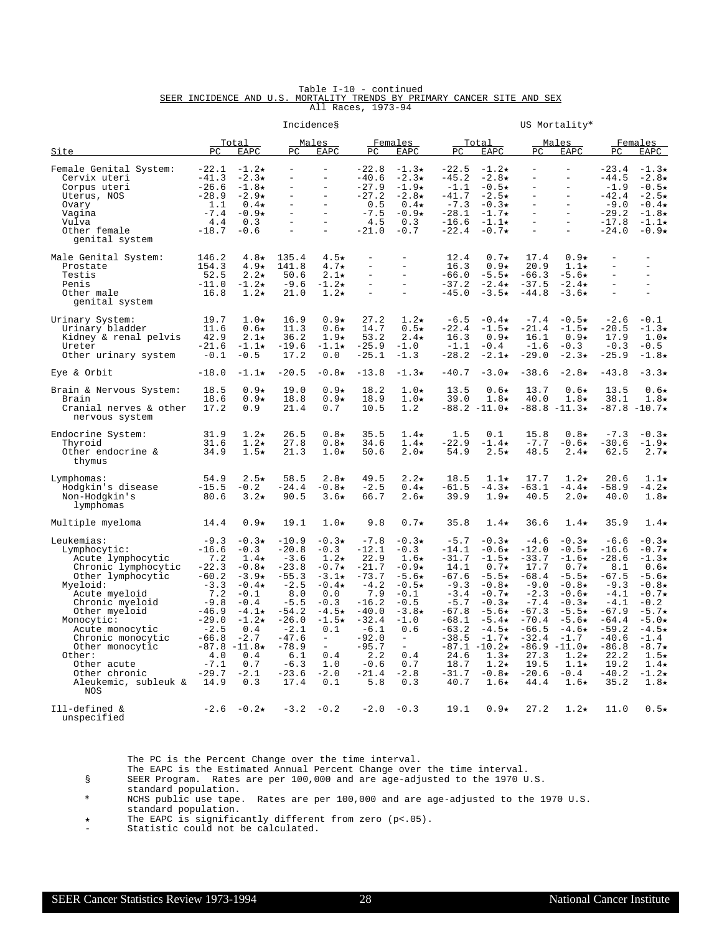|  |  | Table I-10 - continued                                                  |  |  |  |  |
|--|--|-------------------------------------------------------------------------|--|--|--|--|
|  |  | SEER INCIDENCE AND U.S. MORTALITY TRENDS BY PRIMARY CANCER SITE AND SEX |  |  |  |  |
|  |  | All Races, 1973-94                                                      |  |  |  |  |

|                                                                                                                                                                                                                                                                                                                |                                                                                                                                                                     |                                                                                                                                                                                        |                                                                                                                                                                         | Incidences                                                                                                                                                                                |                                                                                                                                                                      | US Mortality*                                                                                                                                                                               |                                                                                                                                                                         |                                                                                                                                                                                                                                  |                                                                                                                                                                         |                                                                                                                                                                                                                        |                                                                                                                                                                        |                                                                                                                                                                                                                           |
|----------------------------------------------------------------------------------------------------------------------------------------------------------------------------------------------------------------------------------------------------------------------------------------------------------------|---------------------------------------------------------------------------------------------------------------------------------------------------------------------|----------------------------------------------------------------------------------------------------------------------------------------------------------------------------------------|-------------------------------------------------------------------------------------------------------------------------------------------------------------------------|-------------------------------------------------------------------------------------------------------------------------------------------------------------------------------------------|----------------------------------------------------------------------------------------------------------------------------------------------------------------------|---------------------------------------------------------------------------------------------------------------------------------------------------------------------------------------------|-------------------------------------------------------------------------------------------------------------------------------------------------------------------------|----------------------------------------------------------------------------------------------------------------------------------------------------------------------------------------------------------------------------------|-------------------------------------------------------------------------------------------------------------------------------------------------------------------------|------------------------------------------------------------------------------------------------------------------------------------------------------------------------------------------------------------------------|------------------------------------------------------------------------------------------------------------------------------------------------------------------------|---------------------------------------------------------------------------------------------------------------------------------------------------------------------------------------------------------------------------|
| Site                                                                                                                                                                                                                                                                                                           | PC                                                                                                                                                                  | Total<br>EAPC                                                                                                                                                                          | PC                                                                                                                                                                      | Males<br><b>EAPC</b>                                                                                                                                                                      | $_{\rm PC}$                                                                                                                                                          | Females<br>EAPC                                                                                                                                                                             | PC                                                                                                                                                                      | Total<br>EAPC                                                                                                                                                                                                                    | PC                                                                                                                                                                      | Males<br>EAPC                                                                                                                                                                                                          | PC                                                                                                                                                                     | Females<br>EAPC                                                                                                                                                                                                           |
| Female Genital System:<br>Cervix uteri<br>Corpus uteri<br>Uterus, NOS<br>Ovary<br>Vagina<br>Vulva<br>Other female<br>genital system                                                                                                                                                                            | $-22.1$<br>$-41.3$<br>$-26.6$<br>$-28.9$<br>1.1<br>$-7.4$<br>4.4<br>$-18.7$                                                                                         | $-1.2\star$<br>$-2.3*$<br>$-1.8\star$<br>$-2.9*$<br>$0.4\star$<br>$-0.9*$<br>0.3<br>$-0.6$                                                                                             | $\equiv$<br>$\equiv$<br>$\equiv$<br>$\equiv$                                                                                                                            | $\overline{\phantom{a}}$<br>$\overline{a}$<br>$\overline{\phantom{a}}$<br>$\overline{a}$<br>$\equiv$<br>$\equiv$<br>$\equiv$                                                              | $-22.8$<br>$-40.6$<br>$-27.9$<br>$-27.2$<br>0.5<br>$-7.5$<br>4.5<br>$-21.0$                                                                                          | $-1.3\star$<br>$-2.3*$<br>$-1.9\star$<br>$-2.8*$<br>$0.4\star$<br>$-0.9*$<br>0.3<br>$-0.7$                                                                                                  | $-22.5$<br>$-45.2$<br>$-1.1$<br>$-41.7$<br>$-7.3$<br>$-28.1$<br>$-16.6$<br>$-22.4$                                                                                      | $-1.2\star$<br>$-2.8*$<br>$-0.5*$<br>$-2.5*$<br>$-0.3*$<br>$-1.7\star$<br>$-1.1\star$<br>$-0.7*$                                                                                                                                 | $\overline{\phantom{a}}$<br>$\bar{ }$<br>$\overline{\phantom{0}}$<br>$\equiv$<br>$\equiv$<br>$\overline{\phantom{0}}$<br>$\equiv$<br>$\equiv$                           | $\overline{a}$<br>$\overline{a}$<br>$\overline{a}$<br>$\overline{a}$<br>$\equiv$<br>$\overline{a}$<br>$\equiv$<br>$\equiv$                                                                                             | $-23.4$<br>$-44.5$<br>$-1.9$<br>$-42.4$<br>$-9.0$<br>$-29.2$<br>$-17.8$<br>$-24.0$                                                                                     | $-1.3\star$<br>$-2.8*$<br>$-0.5*$<br>$-2.5*$<br>$-0.4\star$<br>$-1.8*$<br>$-1.1\star$<br>$-0.9*$                                                                                                                          |
| Male Genital System:<br>Prostate<br>Testis<br>Penis<br>Other male<br>genital system                                                                                                                                                                                                                            | 146.2<br>154.3<br>52.5<br>$-11.0$<br>16.8                                                                                                                           | $4.8\star$<br>$4.9\star$<br>$2.2\star$<br>$-1.2\star$<br>$1.2\star$                                                                                                                    | 135.4<br>141.8<br>50.6<br>$-9.6$<br>21.0                                                                                                                                | $4.5\star$<br>$4.7\star$<br>$2.1\star$<br>$-1.2\star$<br>$1.2\star$                                                                                                                       | $\overline{\phantom{0}}$<br>$\equiv$<br>$\overline{a}$<br>$\equiv$                                                                                                   | $\overline{\phantom{0}}$<br>$\qquad \qquad -$<br>$\equiv$<br>$\overline{\phantom{a}}$<br>$\equiv$                                                                                           | 12.4<br>16.3<br>$-66.0$<br>$-37.2$<br>$-45.0$                                                                                                                           | $0.7\star$<br>$0.9*$<br>$-5.5*$<br>$-2.4\star$<br>$-3.5+$                                                                                                                                                                        | 17.4<br>20.9<br>$-66.3$<br>$-37.5$<br>$-44.8$                                                                                                                           | $0.9*$<br>$1.1\star$<br>$-5.6\star$<br>$-2.4\star$<br>$-3.6\star$                                                                                                                                                      | $\overline{\phantom{0}}$<br>$\overline{a}$<br>$\equiv$<br>$\equiv$                                                                                                     | $\overline{\phantom{0}}$<br>$\overline{a}$<br>$\bar{ }$<br>$\blacksquare$<br>$\frac{1}{2}$                                                                                                                                |
| Urinary System:<br>Urinary bladder<br>Kidney & renal pelvis<br>Ureter<br>Other urinary system                                                                                                                                                                                                                  | 19.7<br>11.6<br>42.9<br>$-21.6$<br>$-0.1$                                                                                                                           | $1.0\star$<br>$0.6\star$<br>$2.1\star$<br>$-1.1+$<br>$-0.5$                                                                                                                            | 16.9<br>11.3<br>36.2<br>$-19.6$<br>17.2                                                                                                                                 | $0.9*$<br>$0.6\star$<br>$1.9\star$<br>$-1.1\star$<br>0.0                                                                                                                                  | 27.2<br>14.7<br>53.2<br>$-25.9$<br>$-25.1$                                                                                                                           | $1.2\star$<br>$0.5\star$<br>$2.4\star$<br>$-1.0$<br>$-1.3$                                                                                                                                  | $-6.5$<br>$-22.4$<br>16.3<br>$-1.1$<br>$-28.2$                                                                                                                          | $-0.4\star$<br>$-1.5\star$<br>$0.9*$<br>$-0.4$<br>$-2.1\star$                                                                                                                                                                    | $-7.4$<br>$-21.4$<br>16.1<br>$-1.6$<br>$-29.0$                                                                                                                          | $-0.5\star$<br>$-1.5\star$<br>$0.9*$<br>$-0.3$<br>$-2.3*$                                                                                                                                                              | $-2.6$<br>$-20.5$<br>17.9<br>$-0.3$<br>$-25.9$                                                                                                                         | $-0.1$<br>$-1.3*$<br>$1.0\star$<br>$-0.5$<br>$-1.8*$                                                                                                                                                                      |
| Eye & Orbit                                                                                                                                                                                                                                                                                                    | $-18.0$                                                                                                                                                             | $-1.1\star$                                                                                                                                                                            | $-20.5$                                                                                                                                                                 | $-0.8*$                                                                                                                                                                                   | $-13.8$                                                                                                                                                              | $-1.3\star$                                                                                                                                                                                 | $-40.7$                                                                                                                                                                 | $-3.0*$                                                                                                                                                                                                                          | $-38.6$                                                                                                                                                                 | $-2.8*$                                                                                                                                                                                                                | $-43.8$                                                                                                                                                                | $-3.3*$                                                                                                                                                                                                                   |
| Brain & Nervous System:<br>Brain<br>Cranial nerves & other<br>nervous system                                                                                                                                                                                                                                   | 18.5<br>18.6<br>17.2                                                                                                                                                | $0.9*$<br>$0.9*$<br>0.9                                                                                                                                                                | 19.0<br>18.8<br>21.4                                                                                                                                                    | $0.9*$<br>$0.9*$<br>0.7                                                                                                                                                                   | 18.2<br>18.9<br>10.5                                                                                                                                                 | $1.0\star$<br>$1.0\star$<br>1.2                                                                                                                                                             | 13.5<br>39.0                                                                                                                                                            | $0.6\star$<br>$1.8\star$<br>$-88.2 -11.0*$                                                                                                                                                                                       | 13.7<br>40.0                                                                                                                                                            | $0.6\star$<br>$1.8\star$<br>$-88.8 - 11.3*$                                                                                                                                                                            | 13.5<br>38.1                                                                                                                                                           | $0.6+$<br>$1.8\star$<br>$-87.8 - 10.7*$                                                                                                                                                                                   |
| Endocrine System:<br>Thvroid<br>Other endocrine &<br>thymus                                                                                                                                                                                                                                                    | 31.9<br>31.6<br>34.9                                                                                                                                                | $1.2\star$<br>$1.2\star$<br>$1.5\star$                                                                                                                                                 | 26.5<br>27.8<br>21.3                                                                                                                                                    | $0.8\star$<br>$0.8\star$<br>$1.0*$                                                                                                                                                        | 35.5<br>34.6<br>50.6                                                                                                                                                 | $1.4\star$<br>$1.4\star$<br>$2.0\star$                                                                                                                                                      | 1.5<br>$-22.9$<br>54.9                                                                                                                                                  | 0.1<br>$-1.4\star$<br>$2.5\star$                                                                                                                                                                                                 | 15.8<br>$-7.7$<br>48.5                                                                                                                                                  | $0.8\star$<br>$-0.6*$<br>$2.4\star$                                                                                                                                                                                    | $-7.3$<br>$-30.6$<br>62.5                                                                                                                                              | $-0.3*$<br>$-1.9\star$<br>$2.7\star$                                                                                                                                                                                      |
| Lymphomas:<br>Hodgkin's disease<br>Non-Hodgkin's<br>lymphomas                                                                                                                                                                                                                                                  | 54.9<br>$-15.5$<br>80.6                                                                                                                                             | $2.5*$<br>$-0.2$<br>$3.2\star$                                                                                                                                                         | 58.5<br>$-24.4$<br>90.5                                                                                                                                                 | $2.8\star$<br>$-0.8*$<br>$3.6\star$                                                                                                                                                       | 49.5<br>$-2.5$<br>66.7                                                                                                                                               | $2.2\star$<br>$0.4\star$<br>$2.6\star$                                                                                                                                                      | 18.5<br>$-61.5$<br>39.9                                                                                                                                                 | $1.1\star$<br>$-4.3*$<br>$1.9\star$                                                                                                                                                                                              | 17.7<br>$-63.1$<br>40.5                                                                                                                                                 | $1.2\star$<br>$-4.4\star$<br>$2.0\star$                                                                                                                                                                                | 20.6<br>$-58.9$<br>40.0                                                                                                                                                | $1.1\star$<br>$-4.2+$<br>$1.8\star$                                                                                                                                                                                       |
| Multiple myeloma                                                                                                                                                                                                                                                                                               | 14.4                                                                                                                                                                | $0.9*$                                                                                                                                                                                 | 19.1                                                                                                                                                                    | $1.0\star$                                                                                                                                                                                | 9.8                                                                                                                                                                  | $0.7\star$                                                                                                                                                                                  | 35.8                                                                                                                                                                    | $1.4\star$                                                                                                                                                                                                                       | 36.6                                                                                                                                                                    | $1.4\star$                                                                                                                                                                                                             | 35.9                                                                                                                                                                   | $1.4\star$                                                                                                                                                                                                                |
| Leukemias:<br>Lymphocytic:<br>Acute lymphocytic<br>Chronic lymphocytic<br>Other lymphocytic<br>Myeloid:<br>Acute myeloid<br>Chronic myeloid<br>Other myeloid<br>Monocytic:<br>Acute monocytic<br>Chronic monocytic<br>Other monocytic<br>Other:<br>Other acute<br>Other chronic<br>Aleukemic, subleuk &<br>NOS | $-9.3$<br>$-16.6$<br>7.2<br>$-22.3$<br>$-60.2$<br>$-3.3$<br>7.2<br>$-9.8$<br>$-46.9$<br>$-29.0$<br>$-2.5$<br>$-66.8$<br>$-87.8$<br>4.0<br>$-7.1$<br>$-29.7$<br>14.9 | $-0.3*$<br>$-0.3$<br>$1.4\star$<br>$-0.8*$<br>$-3.9*$<br>$-0.4\star$<br>$-0.1$<br>$-0.4$<br>$-4.1\star$<br>$-1.2\star$<br>0.4<br>$-2.7$<br>$-11.8\star$<br>0.4<br>0.7<br>$-2.1$<br>0.3 | $-10.9$<br>$-20.8$<br>$-3.6$<br>$-23.8$<br>$-55.3$<br>$-2.5$<br>8.0<br>$-5.5$<br>$-54.2$<br>$-26.0$<br>$-2.1$<br>$-47.6$<br>$-78.9$<br>6.1<br>$-6.3$<br>$-23.6$<br>17.4 | $-0.3*$<br>$-0.3$<br>$1.2\star$<br>$-0.7\star$<br>$-3.1\star$<br>$-0.4\star$<br>0.0<br>$-0.3$<br>$-4.5\star$<br>$-1.5\star$<br>0.1<br>$\equiv$<br>$\equiv$<br>0.4<br>1.0<br>$-2.0$<br>0.1 | $-7.8$<br>$-12.1$<br>22.9<br>$-21.7$<br>$-73.7$<br>$-4.2$<br>7.9<br>$-16.2$<br>$-40.0$<br>$-32.4$<br>$-6.1$<br>$-92.0$<br>$-95.7$<br>2.2<br>$-0.6$<br>$-21.4$<br>5.8 | $-0.3*$<br>$-0.3$<br>$1.6\star$<br>$-0.9*$<br>$-5.6\star$<br>$-0.5*$<br>$-0.1$<br>$-0.5$<br>$-3.8*$<br>$-1.0$<br>0.6<br>$\overline{\phantom{a}}$<br>$\equiv$<br>0.4<br>0.7<br>$-2.8$<br>0.3 | $-5.7$<br>$-14.1$<br>$-31.7$<br>14.1<br>$-67.6$<br>$-9.3$<br>$-3.4$<br>$-5.7$<br>$-67.8$<br>$-68.1$<br>$-63.2$<br>$-38.5$<br>$-87.1$<br>24.6<br>18.7<br>$-31.7$<br>40.7 | $-0.3*$<br>$-0.6*$<br>$-1.5\star$<br>$0.7\star$<br>$-5.5\star$<br>$-0.8*$<br>$-0.7\star$<br>$-0.3*$<br>$-5.6*$<br>$-5.4\star$<br>$-4.5\star$<br>$-1.7\star$<br>$-10.2\star$<br>$1.3\star$<br>$1.2\star$<br>$-0.8*$<br>$1.6\star$ | $-4.6$<br>$-12.0$<br>$-33.7$<br>17.7<br>$-68.4$<br>$-9.0$<br>$-2.3$<br>$-7.4$<br>$-67.3$<br>$-70.4$<br>$-66.5$<br>$-32.4$<br>$-86.9$<br>27.3<br>19.5<br>$-20.6$<br>44.4 | $-0.3*$<br>$-0.5*$<br>$-1.6\star$<br>$0.7\star$<br>$-5.5\star$<br>$-0.8*$<br>$-0.6*$<br>$-0.3*$<br>$-5.5*$<br>$-5.6\star$<br>$-4.6\star$<br>$-1.7$<br>$-11.0\star$<br>$1.2\star$<br>$1.1\star$<br>$-0.4$<br>$1.6\star$ | $-6.6$<br>$-16.6$<br>$-28.6$<br>8.1<br>$-67.5$<br>$-9.3$<br>$-4.1$<br>$-4.1$<br>$-67.9$<br>$-64.4$<br>$-59.2$<br>$-40.6$<br>$-86.8$<br>22.2<br>19.2<br>$-40.2$<br>35.2 | $-0.3*$<br>$-0.7\star$<br>$-1.3*$<br>$0.6\star$<br>$-5.6\star$<br>$-0.8*$<br>$-0.7\star$<br>$-0.2$<br>$-5.7\star$<br>$-5.0*$<br>$-4.5*$<br>$-1.4$<br>$-8.7\star$<br>$1.5\star$<br>$1.4\star$<br>$-1.2\star$<br>$1.8\star$ |
| Ill-defined &<br>unspecified                                                                                                                                                                                                                                                                                   | $-2.6$                                                                                                                                                              | $-0.2\star$                                                                                                                                                                            | $-3.2$                                                                                                                                                                  | $-0.2$                                                                                                                                                                                    | $-2.0$                                                                                                                                                               | $-0.3$                                                                                                                                                                                      | 19.1                                                                                                                                                                    | $0.9*$                                                                                                                                                                                                                           | 27.2                                                                                                                                                                    | $1.2\star$                                                                                                                                                                                                             | 11.0                                                                                                                                                                   | $0.5\star$                                                                                                                                                                                                                |

The EAPC is the Estimated Annual Percent Change over the time interval.

§ SEER Program. Rates are per 100,000 and are age-adjusted to the 1970 U.S.

standard population.

\* NCHS public use tape. Rates are per 100,000 and are age-adjusted to the 1970 U.S. standard population.

í The EAPC is significantly different from zero (p<.05).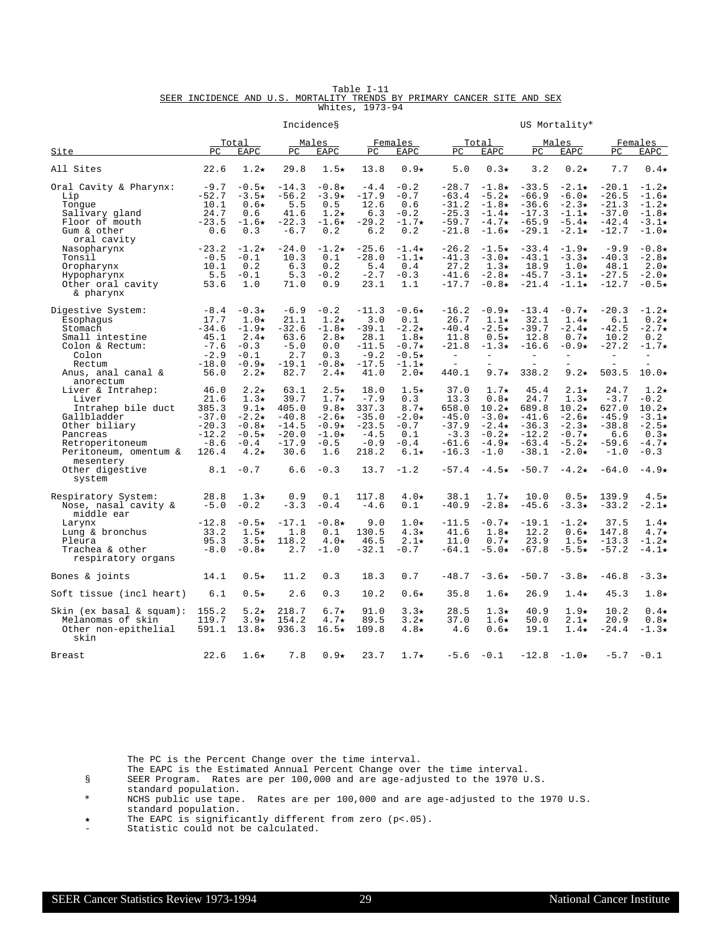|  |  |                                                                         | Table I-11      |  |  |  |
|--|--|-------------------------------------------------------------------------|-----------------|--|--|--|
|  |  | SEER INCIDENCE AND U.S. MORTALITY TRENDS BY PRIMARY CANCER SITE AND SEX |                 |  |  |  |
|  |  |                                                                         | Whites, 1973-94 |  |  |  |

|                                            |                 |                           |                | Incidences               |                 |                   |                          |                             |                    | US Mortality*            |                    |                            |
|--------------------------------------------|-----------------|---------------------------|----------------|--------------------------|-----------------|-------------------|--------------------------|-----------------------------|--------------------|--------------------------|--------------------|----------------------------|
| Site                                       | PC              | Total<br>EAPC             | PC             | Males<br><b>EAPC</b>     | PC              | Females<br>EAPC   | PC.                      | <u>Total</u><br><b>EAPC</b> | PC.                | Males<br><b>EAPC</b>     | PC.                | Females<br>EAPC            |
| All Sites                                  | 22.6            | $1.2\star$                | 29.8           | $1.5\star$               | 13.8            | $0.9*$            | 5.0                      | $0.3\star$                  | 3.2                | $0.2\star$               | 7.7                | $0.4\star$                 |
|                                            |                 |                           |                |                          |                 |                   |                          |                             |                    |                          |                    |                            |
| Oral Cavity & Pharynx:                     | $-9.7$          | $-0.5\star$               | $-14.3$        | $-0.8*$                  | $-4.4$          | $-0.2$            | $-28.7$                  | $-1.8\star$                 | $-33.5$            | $-2.1\star$              | $-20.1$            | $-1.2\star$                |
| Lip<br>Tonque                              | $-52.7$<br>10.1 | $-3.5\star$<br>$0.6\star$ | $-56.2$<br>5.5 | $-3.9\star$<br>0.5       | $-17.9$<br>12.6 | $-0.7$<br>0.6     | $-63.4$<br>$-31.2$       | $-5.2\star$<br>$-1.8\star$  | $-66.9$<br>$-36.6$ | $-6.0*$<br>$-2.3*$       | $-26.5$<br>$-21.3$ | $-1.6\star$<br>$-1.2\star$ |
| Salivary qland                             | 24.7            | 0.6                       | 41.6           | $1.2\star$               | 6.3             | $-0.2$            | $-25.3$                  | $-1.4\star$                 | $-17.3$            | $-1.1\star$              | $-37.0$            | $-1.8\star$                |
| Floor of mouth                             | $-23.5$         | $-1.6\star$               | $-22.3$        | $-1.6\star$              | $-29.2$         | $-1.7\star$       | $-59.7$                  | $-4.7\star$                 | $-65.9$            | $-5.4\star$              | $-42.4$            | $-3.1\star$                |
| Gum & other                                | 0.6             | 0.3                       | $-6.7$         | 0.2                      | 6.2             | 0.2               | $-21.8$                  | $-1.6\star$                 | $-29.1$            | $-2.1\star$              | $-12.7$            | $-1.0*$                    |
| oral cavity                                |                 |                           |                |                          |                 |                   |                          |                             |                    |                          |                    |                            |
| Nasopharynx                                | $-23.2$         | $-1.2\star$               | $-24.0$        | $-1.2\star$              | $-25.6$         | $-1.4\star$       | $-26.2$                  | $-1.5\star$                 | $-33.4$            | $-1.9*$                  | $-9.9$             | $-0.8*$                    |
| Tonsil                                     | $-0.5$          | $-0.1$                    | 10.3           | 0.1                      | $-28.0$         | $-1.1\star$       | $-41.3$                  | $-3.0*$                     | $-43.1$            | $-3.3\star$              | $-40.3$            | $-2.8\star$                |
| Oropharynx                                 | 10.1            | 0.2                       | 6.3            | 0.2                      | 5.4             | 0.4               | 27.2                     | $1.3\star$                  | 18.9               | $1.0\star$               | 48.1               | $2.0*$                     |
| Hypopharynx                                | 5.5             | $-0.1$                    | 5.3            | $-0.2$                   | $-2.7$          | $-0.3$            | $-41.6$                  | $-2.8\star$                 | $-45.7$            | $-3.1\star$              | $-27.5$            | $-2.0*$                    |
| Other oral cavity                          | 53.6            | 1.0                       | 71.0           | 0.9                      | 23.1            | 1.1               | $-17.7$                  | $-0.8*$                     | $-21.4$            | $-1.1\star$              | $-12.7$            | $-0.5*$                    |
| & pharynx                                  |                 |                           |                |                          |                 |                   |                          |                             |                    |                          |                    |                            |
| Digestive System:                          | $-8.4$          | $-0.3*$                   | $-6.9$         | $-0.2$                   | $-11.3$         | $-0.6*$           | $-16.2$                  | $-0.9*$                     | $-13.4$            | $-0.7\star$              | $-20.3$            | $-1.2\star$                |
| Esophaqus                                  | 17.7            | $1.0\star$                | 21.1           | $1.2\star$               | 3.0             | 0.1               | 26.7                     | $1.1\star$                  | 32.1               | $1.4\star$               | 6.1                | $0.2\star$                 |
| Stomach                                    | $-34.6$         | $-1.9*$                   | $-32.6$        | $-1.8\star$              | $-39.1$         | $-2.2\star$       | $-40.4$                  | $-2.5\star$                 | $-39.7$            | $-2.4\star$              | $-42.5$            | $-2.7\star$                |
| Small intestine                            | 45.1            | $2.4\star$                | 63.6           | $2.8\star$               | 28.1            | $1.8\star$        | 11.8                     | $0.5\star$                  | 12.8               | $0.7\star$               | 10.2               | 0.2                        |
| Colon & Rectum:                            | $-7.6$          | $-0.3$                    | $-5.0$         | 0.0                      | $-11.5$         | $-0.7*$           | $-21.8$                  | $-1.3\star$                 | $-16.6$            | $-0.9*$                  | $-27.2$            | $-1.7\star$                |
| Colon                                      | $-2.9$          | $-0.1$                    | 2.7            | 0.3                      | $-9.2$          | $-0.5*$           | $\overline{\phantom{a}}$ | $\equiv$                    | $\equiv$           | $\equiv$                 | $\equiv$           | $=$                        |
| Rectum                                     | $-18.0$         | $-0.9*$                   | $-19.1$        | $-0.8*$                  | $-17.5$         | $-1.1\star$       | $\overline{a}$           |                             |                    |                          |                    |                            |
| Anus, anal canal &                         | 56.0            | $2.2\star$                | 82.7           | $2.4\star$               | 41.0            | $2.0*$            | 440.1                    | $9.7\star$                  | 338.2              | $9.2\star$               | 503.5              | $10.0\star$                |
| anorectum                                  |                 |                           |                |                          |                 |                   |                          |                             |                    |                          |                    |                            |
| Liver & Intrahep:<br>Liver                 | 46.0<br>21.6    | $2.2\star$<br>$1.3\star$  | 63.1<br>39.7   | $2.5\star$<br>$1.7\star$ | 18.0<br>$-7.9$  | $1.5\star$<br>0.3 | 37.0<br>13.3             | $1.7\star$<br>$0.8\star$    | 45.4<br>24.7       | $2.1\star$<br>$1.3\star$ | 24.7<br>$-3.7$     | $1.2\star$<br>$-0.2$       |
| Intrahep bile duct                         | 385.3           | $9.1*$                    | 405.0          | 9.8 $\star$              | 337.3           | 8.7 $\star$       | 658.0                    | $10.2\star$                 | 689.8              | $10.2\star$              | 627.0              | $10.2\star$                |
| Gallbladder                                | $-37.0$         | $-2.2\star$               | $-40.8$        | $-2.6\star$              | $-35.0$         | $-2.0*$           | $-45.0$                  | $-3.0*$                     | $-41.6$            | $-2.6\star$              | $-45.9$            | $-3.1\star$                |
| Other biliary                              | $-20.3$         | $-0.8*$                   | $-14.5$        | $-0.9*$                  | $-23.5$         | $-0.7$            | $-37.9$                  | $-2.4\star$                 | $-36.3$            | $-2.3*$                  | $-38.8$            | $-2.5\star$                |
| Pancreas                                   | $-12.2$         | $-0.5\star$               | $-20.0$        | $-1.0\star$              | $-4.5$          | 0.1               | $-3.3$                   | $-0.2\star$                 | $-12.2$            | $-0.7\star$              | 6.6                | $0.3\star$                 |
| Retroperitoneum                            | $-8.6$          | $-0.4$                    | $-17.9$        | $-0.5$                   | $-0.9$          | $-0.4$            | $-61.6$                  | $-4.9*$                     | $-63.4$            | $-5.2\star$              | $-59.6$            | $-4.7\star$                |
| Peritoneum, omentum &                      | 126.4           | $4.2\star$                | 30.6           | 1.6                      | 218.2           | $6.1\star$        | $-16.3$                  | $-1.0$                      | $-38.1$            | $-2.0\star$              | $-1.0$             | $-0.3$                     |
| mesentery                                  |                 |                           |                |                          |                 |                   |                          |                             |                    |                          |                    |                            |
| Other digestive                            | 8.1             | $-0.7$                    | 6.6            | $-0.3$                   | 13.7            | $-1.2$            | $-57.4$                  | $-4.5\star$                 | $-50.7$            | $-4.2\star$              | $-64.0$            | $-4.9*$                    |
| system                                     |                 |                           |                |                          |                 |                   |                          |                             |                    |                          |                    |                            |
|                                            |                 |                           |                |                          |                 |                   |                          |                             |                    |                          |                    |                            |
| Respiratory System:                        | 28.8            | $1.3\star$                | 0.9            | 0.1                      | 117.8           | $4.0\star$        | 38.1                     | $1.7\star$                  | 10.0               | $0.5\star$               | 139.9              | $4.5\star$                 |
| Nose, nasal cavity &<br>middle ear         | $-5.0$          | $-0.2$                    | $-3.3$         | $-0.4$                   | $-4.6$          | 0.1               | $-40.9$                  | $-2.8*$                     | $-45.6$            | $-3.3\star$              | $-33.2$            | $-2.1\star$                |
| Larynx                                     | $-12.8$         | $-0.5\star$               | $-17.1$        | $-0.8\star$              | 9.0             | $1.0\star$        | $-11.5$                  | $-0.7\star$                 | $-19.1$            | $-1.2\star$              | 37.5               | $1.4\star$                 |
| Lung & bronchus                            | 33.2            | $1.5\star$                | 1.8            | 0.1                      | 130.5           | $4.3\star$        | 41.6                     | $1.8\star$                  | 12.2               | $0.6\star$               | 147.8              | $4.7\star$                 |
| Pleura                                     | 95.3            | $3.5\star$                | 118.2          | $4.0\star$               | 46.5            | $2.1\star$        | 11.0                     | $0.7\star$                  | 23.9               | $1.5\star$               | $-13.3$            | $-1.2\star$                |
| Trachea & other                            | $-8.0$          | $-0.8\star$               | 2.7            | $-1.0$                   | $-32.1$         | $-0.7$            | $-64.1$                  | $-5.0*$                     | $-67.8$            | $-5.5\star$              | $-57.2$            | $-4.1\star$                |
| respiratory organs                         |                 |                           |                |                          |                 |                   |                          |                             |                    |                          |                    |                            |
|                                            |                 |                           |                |                          |                 |                   |                          |                             |                    |                          |                    |                            |
| Bones & joints                             | 14.1            | $0.5\star$                | 11.2           | 0.3                      | 18.3            | 0.7               | $-48.7$                  | $-3.6\star$                 | $-50.7$            | $-3.8*$                  | $-46.8$            | $-3.3*$                    |
|                                            |                 |                           |                |                          |                 |                   |                          |                             |                    |                          |                    |                            |
| Soft tissue (incl heart)                   | 6.1             | $0.5\star$                | 2.6            | 0.3                      | 10.2            | $0.6\star$        | 35.8                     | $1.6\star$                  | 26.9               | $1.4\star$               | 45.3               | $1.8\star$                 |
| $\sin (\text{ex basal} \& \text{square}):$ | 155.2           | $5.2\star$                | 218.7          | $6.7\star$               | 91.0            | $3.3\star$        | 28.5                     | $1.3\star$                  | 40.9               | $1.9\star$               | 10.2               | $0.4\star$                 |
| Melanomas of skin                          | 119.7           | $3.9*$                    | 154.2          | $4.7\star$               | 89.5            | $3.2*$            | 37.0                     | $1.6\star$                  | 50.0               | $2.1\star$               | 20.9               | $0.8\star$                 |
| Other non-epithelial                       | 591.1           | $13.8*$                   | 936.3          | $16.5\star$              | 109.8           | $4.8\star$        | 4.6                      | $0.6\star$                  | 19.1               | $1.4\star$               | $-24.4$            | $-1.3\star$                |
| skin                                       |                 |                           |                |                          |                 |                   |                          |                             |                    |                          |                    |                            |
|                                            |                 |                           |                |                          |                 |                   |                          |                             |                    |                          |                    |                            |
| Breast                                     | 22.6            | $1.6\star$                | 7.8            | $0.9*$                   | 23.7            | $1.7\star$        | $-5.6$                   | $-0.1$                      | $-12.8$            | $-1.0\star$              | $-5.7$             | $-0.1$                     |

- The EAPC is the Estimated Annual Percent Change over the time interval.
- § SEER Program. Rates are per 100,000 and are age-adjusted to the 1970 U.S.

standard population.

\* NCHS public use tape. Rates are per 100,000 and are age-adjusted to the 1970 U.S. standard population.

í The EAPC is significantly different from zero (p<.05).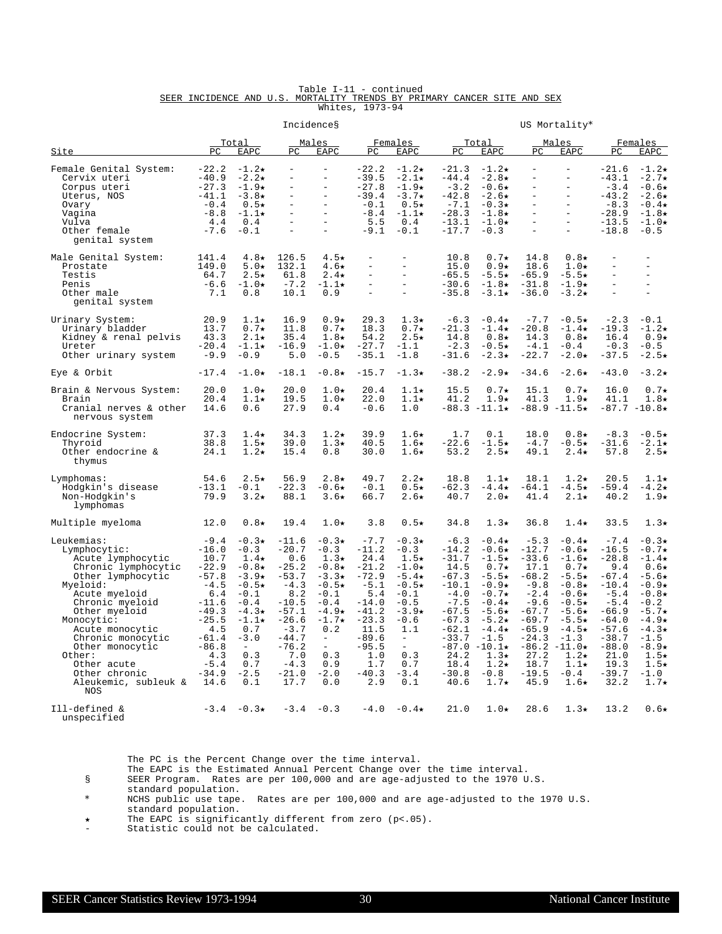|  |  | Table I-11 - continued                                                  |                 |  |  |  |
|--|--|-------------------------------------------------------------------------|-----------------|--|--|--|
|  |  | SEER INCIDENCE AND U.S. MORTALITY TRENDS BY PRIMARY CANCER SITE AND SEX |                 |  |  |  |
|  |  |                                                                         | Whites, 1973-94 |  |  |  |

|                                                                                                                                                                                                                                                                                                                |                                                                                                                                                                    |                                                                                                                                                                                    |                                                                                                                                                                     | Incidences                                                                                                                                                                                           |                                                                                                                                                                 |                                                                                                                                                                                             |                                                                                                                                                                          |                                                                                                                                                                                                                                    |                                                                                                                                                                         | US Mortality*                                                                                                                                                                                                                |                                                                                                                                                                         |                                                                                                                                                                                                            |
|----------------------------------------------------------------------------------------------------------------------------------------------------------------------------------------------------------------------------------------------------------------------------------------------------------------|--------------------------------------------------------------------------------------------------------------------------------------------------------------------|------------------------------------------------------------------------------------------------------------------------------------------------------------------------------------|---------------------------------------------------------------------------------------------------------------------------------------------------------------------|------------------------------------------------------------------------------------------------------------------------------------------------------------------------------------------------------|-----------------------------------------------------------------------------------------------------------------------------------------------------------------|---------------------------------------------------------------------------------------------------------------------------------------------------------------------------------------------|--------------------------------------------------------------------------------------------------------------------------------------------------------------------------|------------------------------------------------------------------------------------------------------------------------------------------------------------------------------------------------------------------------------------|-------------------------------------------------------------------------------------------------------------------------------------------------------------------------|------------------------------------------------------------------------------------------------------------------------------------------------------------------------------------------------------------------------------|-------------------------------------------------------------------------------------------------------------------------------------------------------------------------|------------------------------------------------------------------------------------------------------------------------------------------------------------------------------------------------------------|
| Site                                                                                                                                                                                                                                                                                                           | PC                                                                                                                                                                 | Total<br>EAPC                                                                                                                                                                      | PC.                                                                                                                                                                 | <u>Males</u><br>EAPC                                                                                                                                                                                 | PC                                                                                                                                                              | Females<br>EAPC                                                                                                                                                                             | PC.                                                                                                                                                                      | Total<br>EAPC                                                                                                                                                                                                                      | PC                                                                                                                                                                      | Males<br>EAPC                                                                                                                                                                                                                | РC                                                                                                                                                                      | Females<br>EAPC                                                                                                                                                                                            |
| Female Genital System:<br>Cervix uteri<br>Corpus uteri<br>Uterus, NOS<br>Ovary<br>Vagina<br>Vulva<br>Other female<br>genital system                                                                                                                                                                            | $-22.2$<br>$-40.9$<br>$-27.3$<br>$-41.1$<br>$-0.4$<br>$-8.8$<br>4.4<br>$-7.6$                                                                                      | $-1.2\star$<br>$-2.2\star$<br>$-1.9\star$<br>$-3.8+$<br>$0.5\star$<br>$-1.1\star$<br>0.4<br>$-0.1$                                                                                 | $\qquad \qquad -$<br>$\qquad \qquad -$<br>$\overline{\phantom{a}}$<br>$\overline{a}$                                                                                | $\equiv$<br>$\equiv$<br>$\equiv$<br>$\equiv$<br>$\equiv$<br>$\equiv$<br>$\equiv$<br>$\overline{a}$                                                                                                   | $-22.2$<br>$-39.5$<br>$-27.8$<br>$-39.4$<br>$-0.1$<br>$-8.4$<br>5.5<br>$-9.1$                                                                                   | $-1.2\star$<br>$-2.1\star$<br>$-1.9*$<br>$-3.7\star$<br>$0.5\star$<br>$-1.1\star$<br>0.4<br>$-0.1$                                                                                          | $-21.3$<br>$-44.4$<br>$-3.2$<br>$-42.8$<br>$-7.1$<br>$-28.3$<br>$-13.1$<br>$-17.7$                                                                                       | $-1.2\star$<br>$-2.8*$<br>$-0.6\star$<br>$-2.6*$<br>$-0.3\star$<br>$-1.8\star$<br>$-1.0\star$<br>$-0.3$                                                                                                                            | $\overline{\phantom{a}}$<br>$\equiv$<br>$\ddot{\phantom{1}}$<br>$\equiv$<br>$\equiv$<br>$\overline{a}$                                                                  | $\overline{\phantom{a}}$<br>$\equiv$<br>$\equiv$<br>$\equiv$<br>$\equiv$<br>$\equiv$<br>$\equiv$<br>$\equiv$                                                                                                                 | $-21.6$<br>$-43.1$<br>$-3.4$<br>$-43.2$<br>$-8.3$<br>$-28.9$<br>$-13.5$<br>$-18.8$                                                                                      | $-1.2\star$<br>$-2.7\star$<br>$-0.6*$<br>$-2.6*$<br>$-0.4\star$<br>$-1.8\star$<br>$-1.0\star$<br>$-0.5$                                                                                                    |
| Male Genital System:<br>Prostate<br>Testis<br>Penis<br>Other male<br>genital system                                                                                                                                                                                                                            | 141.4<br>149.0<br>64.7<br>$-6.6$<br>7.1                                                                                                                            | $4.8\star$<br>$5.0*$<br>$2.5\star$<br>$-1.0\star$<br>0.8                                                                                                                           | 126.5<br>132.1<br>61.8<br>$-7.2$<br>10.1                                                                                                                            | $4.5\star$<br>$4.6\star$<br>$2.4\star$<br>$-1.1\star$<br>0.9                                                                                                                                         | $\overline{\phantom{m}}$<br>$\equiv$<br>$\equiv$<br>$\equiv$                                                                                                    | $\equiv$<br>$\overline{\phantom{a}}$<br>$\equiv$<br>$\overline{a}$                                                                                                                          | 10.8<br>15.0<br>$-65.5$<br>$-30.6$<br>$-35.8$                                                                                                                            | $0.7\star$<br>$0.9*$<br>$-5.5\star$<br>$-1.8\star$<br>$-3.1\star$                                                                                                                                                                  | 14.8<br>18.6<br>$-65.9$<br>$-31.8$<br>$-36.0$                                                                                                                           | $0.8\star$<br>$1.0\star$<br>$-5.5*$<br>$-1.9\star$<br>$-3.2\star$                                                                                                                                                            | $\equiv$<br>$\overline{a}$<br>$\equiv$<br>$\equiv$                                                                                                                      | $\equiv$<br>$\qquad \qquad -$<br>$\overline{a}$<br>$\equiv$                                                                                                                                                |
| Urinary System:<br>Urinary bladder<br>Kidney & renal pelvis<br>Ureter<br>Other urinary system                                                                                                                                                                                                                  | 20.9<br>13.7<br>43.3<br>$-20.4$<br>$-9.9$                                                                                                                          | $1.1\star$<br>$0.7\star$<br>$2.1\star$<br>$-1.1\star$<br>$-0.9$                                                                                                                    | 16.9<br>11.8<br>35.4<br>$-16.9$<br>5.0                                                                                                                              | $0.9*$<br>$0.7\star$<br>$1.8\star$<br>$-1.0\star$<br>$-0.5$                                                                                                                                          | 29.3<br>18.3<br>54.2<br>$-27.7$<br>$-35.1$                                                                                                                      | $1.3\star$<br>$0.7\star$<br>$2.5\star$<br>$-1.1$<br>$-1.8$                                                                                                                                  | $-6.3$<br>$-21.3$<br>14.8<br>$-2.3$<br>$-31.6$                                                                                                                           | $-0.4\star$<br>$-1.4\star$<br>$0.8\star$<br>$-0.5\star$<br>$-2.3\star$                                                                                                                                                             | $-7.7$<br>$-20.8$<br>14.3<br>$-4.1$<br>$-22.7$                                                                                                                          | $-0.5\star$<br>$-1.4\star$<br>$0.8\star$<br>$-0.4$<br>$-2.0\star$                                                                                                                                                            | $-2.3$<br>$-19.3$<br>16.4<br>$-0.3$<br>$-37.5$                                                                                                                          | $-0.1$<br>$-1.2\star$<br>$0.9*$<br>$-0.5$<br>$-2.5\star$                                                                                                                                                   |
| Eye & Orbit                                                                                                                                                                                                                                                                                                    | $-17.4$                                                                                                                                                            | $-1.0\star$                                                                                                                                                                        | $-18.1$                                                                                                                                                             | $-0.8*$                                                                                                                                                                                              | $-15.7$                                                                                                                                                         | $-1.3*$                                                                                                                                                                                     | $-38.2$                                                                                                                                                                  | $-2.9*$                                                                                                                                                                                                                            | $-34.6$                                                                                                                                                                 | $-2.6\star$                                                                                                                                                                                                                  | $-43.0$                                                                                                                                                                 | $-3.2\star$                                                                                                                                                                                                |
| Brain & Nervous System:<br>Brain<br>Cranial nerves & other<br>nervous system                                                                                                                                                                                                                                   | 20.0<br>20.4<br>14.6                                                                                                                                               | $1.0\star$<br>$1.1\star$<br>0.6                                                                                                                                                    | 20.0<br>19.5<br>27.9                                                                                                                                                | $1.0\star$<br>$1.0\star$<br>0.4                                                                                                                                                                      | 20.4<br>22.0<br>$-0.6$                                                                                                                                          | $1.1\star$<br>$1.1\star$<br>1.0                                                                                                                                                             | 15.5<br>41.2                                                                                                                                                             | $0.7\star$<br>$1.9\star$<br>$-88.3 -11.1*$                                                                                                                                                                                         | 15.1<br>41.3                                                                                                                                                            | $0.7\star$<br>$1.9\star$<br>$-88.9 -11.5*$                                                                                                                                                                                   | 16.0<br>41.1                                                                                                                                                            | $0.7\star$<br>$1.8\star$<br>$-87.7 - 10.8*$                                                                                                                                                                |
| Endocrine System:<br>Thyroid<br>Other endocrine &<br>thymus                                                                                                                                                                                                                                                    | 37.3<br>38.8<br>24.1                                                                                                                                               | $1.4\star$<br>$1.5\star$<br>$1.2\star$                                                                                                                                             | 34.3<br>39.0<br>15.4                                                                                                                                                | $1.2\star$<br>$1.3\star$<br>0.8                                                                                                                                                                      | 39.9<br>40.5<br>30.0                                                                                                                                            | $1.6\star$<br>$1.6\star$<br>$1.6\star$                                                                                                                                                      | 1.7<br>$-22.6$<br>53.2                                                                                                                                                   | 0.1<br>$-1.5\star$<br>$2.5\star$                                                                                                                                                                                                   | 18.0<br>$-4.7$<br>49.1                                                                                                                                                  | $0.8\star$<br>$-0.5\star$<br>$2.4\star$                                                                                                                                                                                      | $-8.3$<br>$-31.6$<br>57.8                                                                                                                                               | $-0.5*$<br>$-2.1\star$<br>$2.5\star$                                                                                                                                                                       |
| Lymphomas:<br>Hodgkin's disease<br>Non-Hodgkin's<br>lymphomas                                                                                                                                                                                                                                                  | 54.6<br>$-13.1$<br>79.9                                                                                                                                            | $2.5\star$<br>$-0.1$<br>$3.2\star$                                                                                                                                                 | 56.9<br>$-22.3$<br>88.1                                                                                                                                             | $2.8\star$<br>$-0.6*$<br>$3.6\star$                                                                                                                                                                  | 49.7<br>$-0.1$<br>66.7                                                                                                                                          | $2.2\star$<br>$0.5\star$<br>$2.6*$                                                                                                                                                          | 18.8<br>$-62.3$<br>40.7                                                                                                                                                  | $1.1\star$<br>$-4.4\star$<br>$2.0*$                                                                                                                                                                                                | 18.1<br>$-64.1$<br>41.4                                                                                                                                                 | $1.2\star$<br>$-4.5\star$<br>$2.1\star$                                                                                                                                                                                      | 20.5<br>$-59.4$<br>40.2                                                                                                                                                 | $1.1\star$<br>$-4.2\star$<br>$1.9\star$                                                                                                                                                                    |
| Multiple myeloma                                                                                                                                                                                                                                                                                               | 12.0                                                                                                                                                               | $0.8\star$                                                                                                                                                                         | 19.4                                                                                                                                                                | $1.0\star$                                                                                                                                                                                           | 3.8                                                                                                                                                             | $0.5\star$                                                                                                                                                                                  | 34.8                                                                                                                                                                     | $1.3\star$                                                                                                                                                                                                                         | 36.8                                                                                                                                                                    | $1.4\star$                                                                                                                                                                                                                   | 33.5                                                                                                                                                                    | $1.3\star$                                                                                                                                                                                                 |
| Leukemias:<br>Lymphocytic:<br>Acute lymphocytic<br>Chronic lymphocytic<br>Other lymphocytic<br>Myeloid:<br>Acute myeloid<br>Chronic myeloid<br>Other myeloid<br>Monocytic:<br>Acute monocytic<br>Chronic monocytic<br>Other monocytic<br>Other:<br>Other acute<br>Other chronic<br>Aleukemic, subleuk &<br>NOS | $-9.4$<br>$-16.0$<br>10.7<br>$-22.9$<br>$-57.8$<br>$-4.5$<br>6.4<br>$-11.6$<br>$-49.3$<br>$-25.5$<br>4.5<br>$-61.4$<br>$-86.8$<br>4.3<br>$-5.4$<br>$-34.9$<br>14.6 | $-0.3*$<br>$-0.3$<br>$1.4\star$<br>$-0.8*$<br>$-3.9*$<br>$-0.5\star$<br>$-0.1$<br>$-0.4$<br>$-4.3\star$<br>$-1.1\star$<br>0.7<br>$-3.0$<br>$\equiv$<br>0.3<br>0.7<br>$-2.5$<br>0.1 | $-11.6$<br>$-20.7$<br>0.6<br>$-25.2$<br>$-53.7$<br>$-4.3$<br>8.2<br>$-10.5$<br>$-57.1$<br>$-26.6$<br>$-3.7$<br>$-44.7$<br>-76.2<br>7.0<br>$-4.3$<br>$-21.0$<br>17.7 | $-0.3*$<br>$-0.3$<br>$1.3\star$<br>$-0.8*$<br>$-3.3\star$<br>$-0.5\star$<br>$-0.1$<br>$-0.4$<br>$-4.9*$<br>$-1.7\star$<br>0.2<br>$\overline{\phantom{a}}$<br>$\equiv$<br>0.3<br>0.9<br>$-2.0$<br>0.0 | $-7.7$<br>$-11.2$<br>24.4<br>$-21.2$<br>$-72.9$<br>$-5.1$<br>5.4<br>$-14.0$<br>$-41.2$<br>$-23.3$<br>11.5<br>$-89.6$<br>$-95.5$<br>1.0<br>1.7<br>$-40.3$<br>2.9 | $-0.3*$<br>$-0.3$<br>$1.5\star$<br>$-1.0*$<br>$-5.4\star$<br>$-0.5*$<br>$-0.1$<br>$-0.5$<br>$-3.9*$<br>$-0.6$<br>1.1<br>$\overline{\phantom{a}}$<br>$\equiv$<br>0.3<br>0.7<br>$-3.4$<br>0.1 | $-6.3$<br>$-14.2$<br>$-31.7$<br>14.5<br>$-67.3$<br>$-10.1$<br>$-4.0$<br>$-7.5$<br>$-67.5$<br>$-67.3$<br>$-62.1$<br>$-33.7$<br>$-87.0$<br>24.2<br>18.4<br>$-30.8$<br>40.6 | $-0.4\star$<br>$-0.6*$<br>$-1.5\star$<br>$0.7\star$<br>$-5.5*$<br>$-0.9*$<br>$-0.7\star$<br>$-0.4\star$<br>$-5.6\star$<br>$-5.2\star$<br>$-4.4\star$<br>$-1.5$<br>$-10.1\star$<br>$1.3\star$<br>$1.2\star$<br>$-0.8$<br>$1.7\star$ | $-5.3$<br>$-12.7$<br>$-33.6$<br>17.1<br>$-68.2$<br>$-9.8$<br>$-2.4$<br>$-9.6$<br>$-67.7$<br>$-69.7$<br>$-65.9$<br>$-24.3$<br>$-86.2$<br>27.2<br>18.7<br>$-19.5$<br>45.9 | $-0.4\star$<br>$-0.6*$<br>$-1.6\star$<br>$0.7\star$<br>$-5.5\star$<br>$-0.8\star$<br>$-0.6*$<br>$-0.5*$<br>$-5.6\star$<br>$-5.5*$<br>$-4.5\star$<br>$-1.3$<br>$-11.0\star$<br>$1.2\star$<br>$1.1\star$<br>-0.4<br>$1.6\star$ | $-7.4$<br>$-16.5$<br>$-28.8$<br>9.4<br>$-67.4$<br>$-10.4$<br>$-5.4$<br>$-5.4$<br>$-66.9$<br>$-64.0$<br>$-57.6$<br>$-38.7$<br>$-88.0$<br>21.0<br>19.3<br>$-39.7$<br>32.2 | $-0.3*$<br>$-0.7\star$<br>$-1.4\star$<br>$0.6*$<br>-5.6★<br>$-0.9*$<br>$-0.8*$<br>$-0.2$<br>$-5.7\star$<br>$-4.9*$<br>$-4.3\star$<br>$-1.5$<br>$-8.9*$<br>$1.5\star$<br>$1.5\star$<br>$-1.0$<br>$1.7\star$ |
| Ill-defined &<br>unspecified                                                                                                                                                                                                                                                                                   | $-3.4$                                                                                                                                                             | $-0.3\star$                                                                                                                                                                        | $-3.4$                                                                                                                                                              | $-0.3$                                                                                                                                                                                               | $-4.0$                                                                                                                                                          | $-0.4\star$                                                                                                                                                                                 | 21.0                                                                                                                                                                     | $1.0\star$                                                                                                                                                                                                                         | 28.6                                                                                                                                                                    | $1.3\star$                                                                                                                                                                                                                   | 13.2                                                                                                                                                                    | $0.6\star$                                                                                                                                                                                                 |

The EAPC is the Estimated Annual Percent Change over the time interval.

§ SEER Program. Rates are per 100,000 and are age-adjusted to the 1970 U.S.

standard population.

\* NCHS public use tape. Rates are per 100,000 and are age-adjusted to the 1970 U.S. standard population.

í The EAPC is significantly different from zero (p<.05).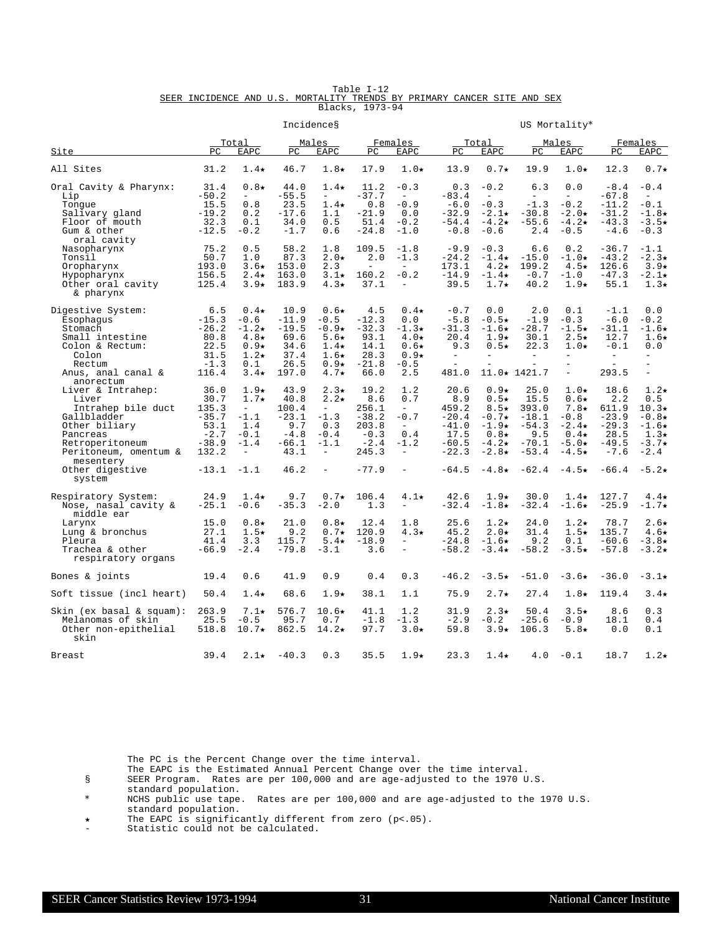|  |  |                                                                         | Table I-12      |  |  |  |
|--|--|-------------------------------------------------------------------------|-----------------|--|--|--|
|  |  | SEER INCIDENCE AND U.S. MORTALITY TRENDS BY PRIMARY CANCER SITE AND SEX |                 |  |  |  |
|  |  |                                                                         | Blacks, 1973-94 |  |  |  |

|                                                                                                                                                                                                 |                                                                                   |                                                                                                                                 |                                                                              | Incidences                                                                                                                        |                                                                                  |                                                                                                                     |                                                                                             |                                                                                                                         |                                                                                                                         | US Mortality*                                                                                                          |                                                                                                |                                                                                                                       |
|-------------------------------------------------------------------------------------------------------------------------------------------------------------------------------------------------|-----------------------------------------------------------------------------------|---------------------------------------------------------------------------------------------------------------------------------|------------------------------------------------------------------------------|-----------------------------------------------------------------------------------------------------------------------------------|----------------------------------------------------------------------------------|---------------------------------------------------------------------------------------------------------------------|---------------------------------------------------------------------------------------------|-------------------------------------------------------------------------------------------------------------------------|-------------------------------------------------------------------------------------------------------------------------|------------------------------------------------------------------------------------------------------------------------|------------------------------------------------------------------------------------------------|-----------------------------------------------------------------------------------------------------------------------|
| Site                                                                                                                                                                                            | PC                                                                                | Total<br>EAPC                                                                                                                   | PC                                                                           | Males<br><b>EAPC</b>                                                                                                              | PC.                                                                              | Females<br>EAPC                                                                                                     | PC.                                                                                         | <u>Total</u><br><b>EAPC</b>                                                                                             | PC.                                                                                                                     | Males<br><b>EAPC</b>                                                                                                   | PC                                                                                             | Females<br>EAPC                                                                                                       |
| All Sites                                                                                                                                                                                       | 31.2                                                                              | $1.4\star$                                                                                                                      | 46.7                                                                         | $1.8\star$                                                                                                                        | 17.9                                                                             | $1.0\star$                                                                                                          | 13.9                                                                                        | $0.7\star$                                                                                                              | 19.9                                                                                                                    | $1.0\star$                                                                                                             | 12.3                                                                                           | $0.7\star$                                                                                                            |
| Oral Cavity & Pharynx:<br>Lip<br>Tonque<br>Salivary gland<br>Floor of mouth<br>Gum & other<br>oral cavity                                                                                       | 31.4<br>$-50.2$<br>15.5<br>$-19.2$<br>32.3<br>$-12.5$                             | $0.8\star$<br>$\equiv$<br>0.8<br>0.2<br>0.1<br>$-0.2$                                                                           | 44.0<br>$-55.5$<br>23.5<br>$-17.6$<br>34.0<br>$-1.7$                         | $1.4\star$<br>$\equiv$<br>$1.4\star$<br>1.1<br>0.5<br>0.6                                                                         | 11.2<br>$-37.7$<br>0.8<br>$-21.9$<br>51.4<br>$-24.8$                             | $-0.3$<br>$\overline{\phantom{a}}$<br>$-0.9$<br>0.0<br>$-0.2$<br>$-1.0$                                             | 0.3<br>$-83.4$<br>$-6.0$<br>$-32.9$<br>$-54.4$<br>$-0.8$                                    | $-0.2$<br>$\equiv$<br>$-0.3$<br>$-2.1\star$<br>$-4.2\star$<br>$-0.6$                                                    | 6.3<br>$\overline{\phantom{a}}$<br>$-1.3$<br>$-30.8$<br>$-55.6$<br>2.4                                                  | 0.0<br>$\overline{\phantom{a}}$<br>$-0.2$<br>$-2.0\star$<br>$-4.2\star$<br>$-0.5$                                      | $-8.4$<br>$-67.8$<br>$-11.2$<br>$-31.2$<br>$-43.3$<br>$-4.6$                                   | $-0.4$<br>$\overline{\phantom{a}}$<br>$-0.1$<br>$-1.8+$<br>$-3.5*$<br>$-0.3$                                          |
| Nasopharynx<br>Tonsil<br>Oropharynx<br>Hypopharynx<br>Other oral cavity<br>& pharynx                                                                                                            | 75.2<br>50.7<br>193.0<br>156.5<br>125.4                                           | 0.5<br>1.0<br>$3.6\star$<br>$2.4\star$<br>$3.9*$                                                                                | 58.2<br>87.3<br>153.0<br>163.0<br>183.9                                      | 1.8<br>$2.0\star$<br>2.3<br>$3.1\star$<br>$4.3\star$                                                                              | 109.5<br>2.0<br>$\equiv$<br>160.2<br>37.1                                        | $-1.8$<br>$-1.3$<br>$\equiv$<br>$-0.2$<br>$\overline{\phantom{m}}$                                                  | $-9.9$<br>$-24.2$<br>173.1<br>$-14.9$<br>39.5                                               | $-0.3$<br>$-1.4\star$<br>$4.2\star$<br>$-1.4\star$<br>$1.7\star$                                                        | 6.6<br>$-15.0$<br>199.2<br>$-0.7$<br>40.2                                                                               | 0.2<br>$-1.0\star$<br>$4.5\star$<br>$-1.0$<br>$1.9\star$                                                               | $-36.7$<br>$-43.2$<br>126.6<br>$-47.3$<br>55.1                                                 | $-1.1$<br>$-2.3\star$<br>$3.9*$<br>$-2.1\star$<br>$1.3\star$                                                          |
| Digestive System:<br>Esophagus<br>Stomach<br>Small intestine<br>Colon & Rectum:<br>Colon<br>Rectum<br>Anus, anal canal &                                                                        | 6.5<br>$-15.3$<br>$-26.2$<br>80.8<br>22.5<br>31.5<br>$-1.3$<br>116.4              | $0.4\star$<br>$-0.6$<br>$-1.2\star$<br>$4.8\star$<br>$0.9*$<br>$1.2\star$<br>0.1<br>$3.4\star$                                  | 10.9<br>-11.9<br>$-19.5$<br>69.6<br>34.6<br>37.4<br>26.5<br>197.0            | $0.6\star$<br>$-0.5$<br>$-0.9*$<br>$5.6\star$<br>$1.4\star$<br>$1.6\star$<br>$0.9*$<br>$4.7\star$                                 | 4.5<br>$-12.3$<br>$-32.3$<br>93.1<br>14.1<br>28.3<br>$-21.8$<br>66.0             | $0.4\star$<br>0.0<br>$-1.3\star$<br>$4.0\star$<br>$0.6\star$<br>$0.9*$<br>$-0.5$<br>2.5                             | $-0.7$<br>$-5.8$<br>$-31.3$<br>20.4<br>9.3<br>$\overline{\phantom{a}}$<br>$\equiv$<br>481.0 | 0.0<br>$-0.5\star$<br>$-1.6\star$<br>$1.9\star$<br>$0.5\star$<br>$\equiv$                                               | 2.0<br>$-1.9$<br>$-28.7$<br>30.1<br>22.3<br>$\overline{\phantom{a}}$<br>$\overline{\phantom{a}}$<br>$11.0 \star 1421.7$ | 0.1<br>$-0.3$<br>$-1.5\star$<br>$2.5\star$<br>$1.0\star$<br>$\equiv$<br>$\equiv$                                       | $-1.1$<br>$-6.0$<br>$-31.1$<br>12.7<br>$-0.1$<br>$\overline{\phantom{a}}$<br>$\equiv$<br>293.5 | 0.0<br>$-0.2$<br>$-1.6\star$<br>$1.6\star$<br>0.0<br>$\overline{\phantom{0}}$<br>$\overline{\phantom{0}}$<br>$\equiv$ |
| anorectum<br>Liver & Intrahep:<br>Liver<br>Intrahep bile duct<br>Gallbladder<br>Other biliary<br>Pancreas<br>Retroperitoneum<br>Peritoneum, omentum &<br>mesentery<br>Other digestive<br>system | 36.0<br>30.7<br>135.3<br>$-35.7$<br>53.1<br>$-2.7$<br>$-38.9$<br>132.2<br>$-13.1$ | $1.9\star$<br>$1.7\star$<br>$\overline{\phantom{a}}$<br>$-1.1$<br>1.4<br>$-0.1$<br>$-1.4$<br>$\overline{\phantom{a}}$<br>$-1.1$ | 43.9<br>40.8<br>100.4<br>$-23.1$<br>9.7<br>$-4.8$<br>$-66.1$<br>43.1<br>46.2 | $2.3\star$<br>$2.2\star$<br>$\equiv$<br>$-1.3$<br>0.3<br>$-0.4$<br>$-1.1$<br>$\overline{\phantom{m}}$<br>$\overline{\phantom{m}}$ | 19.2<br>8.6<br>256.1<br>$-38.2$<br>203.8<br>$-0.3$<br>$-2.4$<br>245.3<br>$-77.9$ | 1.2<br>0.7<br>$\sim$<br>$-0.7$<br>$\equiv$<br>0.4<br>$-1.2$<br>$\overline{\phantom{a}}$<br>$\overline{\phantom{0}}$ | 20.6<br>8.9<br>459.2<br>$-20.4$<br>$-41.0$<br>17.5<br>$-60.5$<br>$-22.3$<br>$-64.5$         | $0.9*$<br>$0.5\star$<br>$8.5\star$<br>$-0.7\star$<br>$-1.9\star$<br>$0.8\star$<br>$-4.2\star$<br>$-2.8\star$<br>$-4.8*$ | 25.0<br>15.5<br>393.0<br>$-18.1$<br>$-54.3$<br>9.5<br>$-70.1$<br>$-53.4$<br>$-62.4$                                     | $1.0\star$<br>$0.6\star$<br>$7.8\star$<br>$-0.8$<br>$-2.4\star$<br>$0.4\star$<br>$-5.0*$<br>$-4.5\star$<br>$-4.5\star$ | 18.6<br>2.2<br>611.9<br>$-23.9$<br>$-29.3$<br>28.5<br>$-49.5$<br>$-7.6$<br>$-66.4$             | $1.2\star$<br>0.5<br>$10.3*$<br>$-0.8\star$<br>$-1.6\star$<br>$1.3\star$<br>$-3.7\star$<br>$-2.4$<br>$-5.2\star$      |
| Respiratory System:<br>Nose, nasal cavity &<br>middle ear<br>Larynx<br>Lung & bronchus<br>Pleura<br>Trachea & other<br>respiratory organs                                                       | 24.9<br>$-25.1$<br>15.0<br>27.1<br>41.4<br>$-66.9$                                | $1.4\star$<br>$-0.6$<br>$0.8\star$<br>$1.5\star$<br>3.3<br>$-2.4$                                                               | 9.7<br>$-35.3$<br>21.0<br>9.2<br>115.7<br>$-79.8$                            | $0.7\star$<br>$-2.0$<br>$0.8\star$<br>$0.7\star$<br>$5.4\star$<br>$-3.1$                                                          | 106.4<br>1.3<br>12.4<br>120.9<br>$-18.9$<br>3.6                                  | $4.1\star$<br>$\equiv$<br>1.8<br>$4.3\star$<br>$\equiv$                                                             | 42.6<br>$-32.4$<br>25.6<br>45.2<br>$-24.8$<br>$-58.2$                                       | $1.9\star$<br>$-1.8\star$<br>$1.2\star$<br>$2.0\star$<br>$-1.6\star$<br>$-3.4\star$                                     | 30.0<br>$-32.4$<br>24.0<br>31.4<br>9.2<br>$-58.2$                                                                       | $1.4\star$<br>$-1.6\star$<br>$1.2\star$<br>$1.5\star$<br>0.1<br>$-3.5*$                                                | 127.7<br>$-25.9$<br>78.7<br>135.7<br>$-60.6$<br>$-57.8$                                        | $4.4\star$<br>$-1.7\star$<br>$2.6\star$<br>$4.6\star$<br>$-3.8+$<br>$-3.2\star$                                       |
| Bones & joints                                                                                                                                                                                  | 19.4                                                                              | 0.6                                                                                                                             | 41.9                                                                         | 0.9                                                                                                                               | 0.4                                                                              | 0.3                                                                                                                 | $-46.2$                                                                                     | $-3.5\star$                                                                                                             | $-51.0$                                                                                                                 | $-3.6\star$                                                                                                            | $-36.0$                                                                                        | $-3.1\star$                                                                                                           |
| Soft tissue (incl heart)                                                                                                                                                                        | 50.4                                                                              | $1.4\star$                                                                                                                      | 68.6                                                                         | $1.9\star$                                                                                                                        | 38.1                                                                             | 1.1                                                                                                                 | 75.9                                                                                        | $2.7\star$                                                                                                              | 27.4                                                                                                                    | $1.8\star$                                                                                                             | 119.4                                                                                          | $3.4\star$                                                                                                            |
| $\sin (\text{ex basal} \& \text{square}):$<br>Melanomas of skin<br>Other non-epithelial<br>skin                                                                                                 | 263.9<br>25.5<br>518.8                                                            | 7.1★<br>$-0.5$<br>$10.7*$                                                                                                       | 576.7<br>95.7<br>862.5                                                       | $10.6\star$<br>0.7<br>$14.2\star$                                                                                                 | 41.1<br>$-1.8$<br>97.7                                                           | 1.2<br>$-1.3$<br>$3.0*$                                                                                             | 31.9<br>$-2.9$<br>59.8                                                                      | $2.3\star$<br>$-0.2$<br>$3.9*$                                                                                          | 50.4<br>$-25.6$<br>106.3                                                                                                | $3.5\star$<br>$-0.9$<br>$5.8\star$                                                                                     | 8.6<br>18.1<br>0.0                                                                             | 0.3<br>0.4<br>0.1                                                                                                     |
| Breast                                                                                                                                                                                          | 39.4                                                                              | $2.1\star$                                                                                                                      | $-40.3$                                                                      | 0.3                                                                                                                               | 35.5                                                                             | $1.9\star$                                                                                                          | 23.3                                                                                        | $1.4\star$                                                                                                              | 4.0                                                                                                                     | $-0.1$                                                                                                                 | 18.7                                                                                           | $1.2\star$                                                                                                            |

- The EAPC is the Estimated Annual Percent Change over the time interval.
- § SEER Program. Rates are per 100,000 and are age-adjusted to the 1970 U.S.
- standard population.
- \* NCHS public use tape. Rates are per 100,000 and are age-adjusted to the 1970 U.S. standard population.
- í The EAPC is significantly different from zero (p<.05).
- Statistic could not be calculated.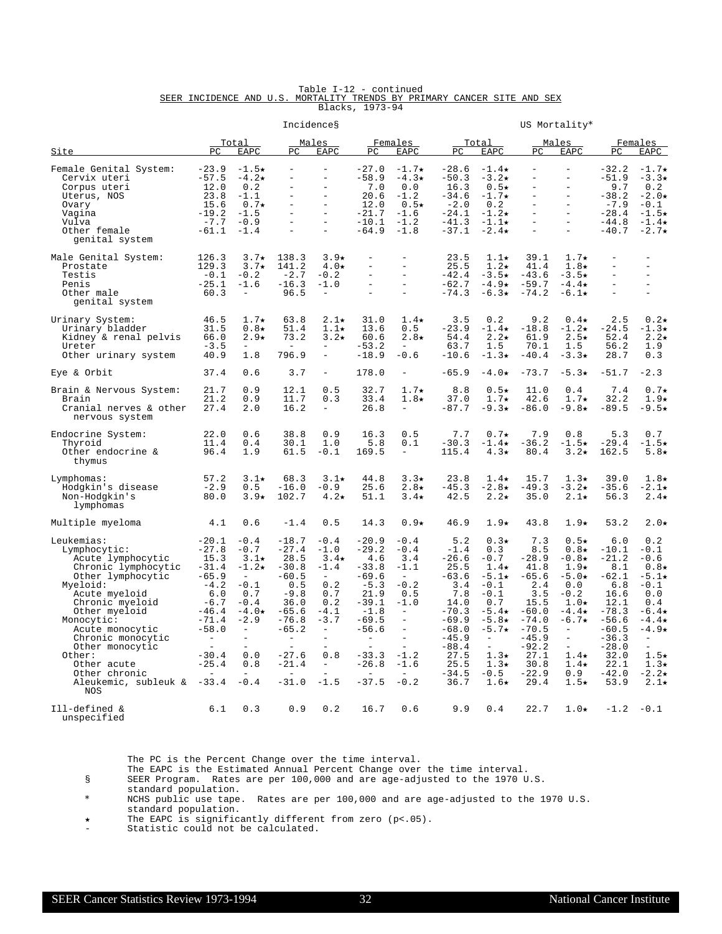|  |  | Table I-12 - continued                                                  |                 |  |  |  |
|--|--|-------------------------------------------------------------------------|-----------------|--|--|--|
|  |  | SEER INCIDENCE AND U.S. MORTALITY TRENDS BY PRIMARY CANCER SITE AND SEX |                 |  |  |  |
|  |  |                                                                         | Blacks, 1973-94 |  |  |  |

|                                                                                                                                                                                                                                                                                                                |                                                                                                                                                                                                 |                                                                                                                                                                                   |                                                                                                                                                                                   | Incidences                                                                                                                                                                                       |                                                                                                                                                                               |                                                                                                                                                                                |                                                                                                                                                             |                                                                                                                                                                                                          |                                                                                                                                                          | US Mortality*                                                                                                                                                                                                                  |                                                                                                                                                              |                                                                                                                                                                                                |
|----------------------------------------------------------------------------------------------------------------------------------------------------------------------------------------------------------------------------------------------------------------------------------------------------------------|-------------------------------------------------------------------------------------------------------------------------------------------------------------------------------------------------|-----------------------------------------------------------------------------------------------------------------------------------------------------------------------------------|-----------------------------------------------------------------------------------------------------------------------------------------------------------------------------------|--------------------------------------------------------------------------------------------------------------------------------------------------------------------------------------------------|-------------------------------------------------------------------------------------------------------------------------------------------------------------------------------|--------------------------------------------------------------------------------------------------------------------------------------------------------------------------------|-------------------------------------------------------------------------------------------------------------------------------------------------------------|----------------------------------------------------------------------------------------------------------------------------------------------------------------------------------------------------------|----------------------------------------------------------------------------------------------------------------------------------------------------------|--------------------------------------------------------------------------------------------------------------------------------------------------------------------------------------------------------------------------------|--------------------------------------------------------------------------------------------------------------------------------------------------------------|------------------------------------------------------------------------------------------------------------------------------------------------------------------------------------------------|
| Site                                                                                                                                                                                                                                                                                                           | PC                                                                                                                                                                                              | <u>Total</u><br>EAPC                                                                                                                                                              | PC                                                                                                                                                                                | Males<br>EAPC                                                                                                                                                                                    | PC                                                                                                                                                                            | Females<br>EAPC                                                                                                                                                                | PC.                                                                                                                                                         | Total<br>EAPC                                                                                                                                                                                            | PC.                                                                                                                                                      | Males<br>EAPC                                                                                                                                                                                                                  | PC.                                                                                                                                                          | Females<br>EAPC                                                                                                                                                                                |
| Female Genital System:<br>Cervix uteri<br>Corpus uteri<br>Uterus, NOS<br>Ovary<br>Vagina<br>Vulva<br>Other female<br>genital system                                                                                                                                                                            | $-23.9$<br>$-57.5$<br>12.0<br>23.8<br>15.6<br>$-19.2$<br>$-7.7$<br>$-61.1$                                                                                                                      | $-1.5\star$<br>$-4.2\star$<br>0.2<br>$-1.1$<br>$0.7\star$<br>$-1.5$<br>$-0.9$<br>$-1.4$                                                                                           | $\qquad \qquad -$<br>$\equiv$<br>$\overline{\phantom{0}}$                                                                                                                         | $\equiv$<br>$\equiv$<br>$\equiv$<br>$\equiv$<br>$\equiv$<br>$\equiv$<br>$\equiv$<br>$\equiv$                                                                                                     | $-27.0$<br>$-58.9$<br>7.0<br>20.6<br>12.0<br>$-21.7$<br>$-10.1$<br>$-64.9$                                                                                                    | $-1.7\star$<br>$-4.3*$<br>0.0<br>$-1.2$<br>$0.5\star$<br>$-1.6$<br>$-1.2$<br>$-1.8$                                                                                            | $-28.6$<br>$-50.3$<br>16.3<br>$-34.6$<br>$-2.0$<br>$-24.1$<br>$-41.3$<br>$-37.1$                                                                            | $-1.4\star$<br>$-3.2*$<br>$0.5\star$<br>$-1.7\star$<br>0.2<br>$-1.2\star$<br>$-1.1\star$<br>$-2.4\star$                                                                                                  | $\overline{\phantom{0}}$<br>$\equiv$<br>$\equiv$<br>$\overline{a}$<br>$\equiv$<br>$\overline{\phantom{0}}$<br>$\overline{\phantom{0}}$                   | $\overline{\phantom{m}}$<br>$\overline{\phantom{a}}$<br>$\equiv$<br>$\equiv$<br>$\equiv$<br>$\equiv$<br>$\equiv$<br>$\overline{a}$                                                                                             | $-32.2$<br>$-51.9$<br>9.7<br>$-38.2$<br>$-7.9$<br>$-28.4$<br>$-44.8$<br>$-40.7$                                                                              | $-1.7\star$<br>$-3.3*$<br>0.2<br>$-2.0*$<br>$-0.1$<br>$-1.5\star$<br>$-1.4\star$<br>$-2.7\star$                                                                                                |
| Male Genital System:<br>Prostate<br>Testis<br>Penis<br>Other male<br>genital system                                                                                                                                                                                                                            | 126.3<br>129.3<br>$-0.1$<br>$-25.1$<br>60.3                                                                                                                                                     | $3.7\star$<br>$3.7\star$<br>$-0.2$<br>$-1.6$<br>$\overline{\phantom{a}}$                                                                                                          | 138.3<br>141.2<br>$-2.7$<br>$-16.3$<br>96.5                                                                                                                                       | $3.9*$<br>$4.0\star$<br>$-0.2$<br>$-1.0$<br>$\overline{\phantom{m}}$                                                                                                                             | $\equiv$<br>$\equiv$<br>$\equiv$<br>$\overline{\phantom{a}}$                                                                                                                  | $\equiv$<br>$\equiv$<br>$\equiv$<br>$\overline{a}$                                                                                                                             | 23.5<br>25.5<br>$-42.4$<br>$-62.7$<br>$-74.3$                                                                                                               | $1.1\star$<br>$1.2\star$<br>$-3.5\star$<br>$-4.9\star$<br>$-6.3\star$                                                                                                                                    | 39.1<br>41.4<br>$-43.6$<br>$-59.7$<br>$-74.2$                                                                                                            | $1.7\star$<br>$1.8\star$<br>$-3.5+$<br>$-4.4\star$<br>$-6.1\star$                                                                                                                                                              | $\overline{a}$<br>$\overline{\phantom{a}}$<br>$\equiv$<br>$\overline{a}$                                                                                     | $\equiv$<br>$\overline{\phantom{a}}$<br>$\overline{a}$                                                                                                                                         |
| Urinary System:<br>Urinary bladder<br>Kidney & renal pelvis<br>Ureter<br>Other urinary system                                                                                                                                                                                                                  | 46.5<br>31.5<br>66.0<br>$-3.5$<br>40.9                                                                                                                                                          | $1.7\star$<br>$0.8\star$<br>$2.9*$<br>$\equiv$<br>1.8                                                                                                                             | 63.8<br>51.4<br>73.2<br>$\sim$<br>796.9                                                                                                                                           | $2.1\star$<br>$1.1\star$<br>$3.2\star$<br>$\overline{\phantom{m}}$<br>$\equiv$                                                                                                                   | 31.0<br>13.6<br>60.6<br>$-53.2$<br>$-18.9$                                                                                                                                    | $1.4\star$<br>0.5<br>$2.8\star$<br>$\sim$<br>$-0.6$                                                                                                                            | 3.5<br>$-23.9$<br>54.4<br>63.7<br>$-10.6$                                                                                                                   | 0.2<br>$-1.4\star$<br>$2.2\star$<br>1.5<br>$-1.3\star$                                                                                                                                                   | 9.2<br>$-18.8$<br>61.9<br>70.1<br>$-40.4$                                                                                                                | $0.4\star$<br>$-1.2\star$<br>$2.5\star$<br>1.5<br>$-3.3*$                                                                                                                                                                      | 2.5<br>$-24.5$<br>52.4<br>56.2<br>28.7                                                                                                                       | $0.2\star$<br>$-1.3\star$<br>$2.2\star$<br>1.9<br>0.3                                                                                                                                          |
| Eye & Orbit                                                                                                                                                                                                                                                                                                    | 37.4                                                                                                                                                                                            | 0.6                                                                                                                                                                               | 3.7                                                                                                                                                                               | $\equiv$                                                                                                                                                                                         | 178.0                                                                                                                                                                         | $\overline{\phantom{a}}$                                                                                                                                                       | $-65.9$                                                                                                                                                     | $-4.0*$                                                                                                                                                                                                  | $-73.7$                                                                                                                                                  | $-5.3*$                                                                                                                                                                                                                        | $-51.7$                                                                                                                                                      | $-2.3$                                                                                                                                                                                         |
| Brain & Nervous System:<br>Brain<br>Cranial nerves & other<br>nervous system                                                                                                                                                                                                                                   | 21.7<br>21.2<br>27.4                                                                                                                                                                            | 0.9<br>0.9<br>2.0                                                                                                                                                                 | 12.1<br>11.7<br>16.2                                                                                                                                                              | 0.5<br>0.3<br>$\overline{\phantom{a}}$                                                                                                                                                           | 32.7<br>33.4<br>26.8                                                                                                                                                          | $1.7\star$<br>$1.8\star$<br>$\equiv$                                                                                                                                           | 8.8<br>37.0<br>$-87.7$                                                                                                                                      | $0.5\star$<br>$1.7\star$<br>$-9.3*$                                                                                                                                                                      | 11.0<br>42.6<br>$-86.0$                                                                                                                                  | 0.4<br>$1.7\star$<br>$-9.8*$                                                                                                                                                                                                   | 7.4<br>32.2<br>$-89.5$                                                                                                                                       | $0.7\star$<br>$1.9*$<br>$-9.5\star$                                                                                                                                                            |
| Endocrine System:<br>Thyroid<br>Other endocrine &<br>thymus                                                                                                                                                                                                                                                    | 22.0<br>11.4<br>96.4                                                                                                                                                                            | 0.6<br>0.4<br>1.9                                                                                                                                                                 | 38.8<br>30.1<br>61.5                                                                                                                                                              | 0.9<br>1.0<br>$-0.1$                                                                                                                                                                             | 16.3<br>5.8<br>169.5                                                                                                                                                          | 0.5<br>0.1<br>$\overline{\phantom{a}}$                                                                                                                                         | 7.7<br>$-30.3$<br>115.4                                                                                                                                     | $0.7\star$<br>$-1.4\star$<br>$4.3\star$                                                                                                                                                                  | 7.9<br>$-36.2$<br>80.4                                                                                                                                   | 0.8<br>$-1.5\star$<br>$3.2\star$                                                                                                                                                                                               | 5.3<br>$-29.4$<br>162.5                                                                                                                                      | 0.7<br>$-1.5\star$<br>$5.8*$                                                                                                                                                                   |
| Lymphomas:<br>Hodgkin's disease<br>Non-Hodgkin's<br>lymphomas                                                                                                                                                                                                                                                  | 57.2<br>$-2.9$<br>80.0                                                                                                                                                                          | $3.1\star$<br>0.5<br>$3.9*$                                                                                                                                                       | 68.3<br>$-16.0$<br>102.7                                                                                                                                                          | $3.1\star$<br>$-0.9$<br>$4.2\star$                                                                                                                                                               | 44.8<br>25.6<br>51.1                                                                                                                                                          | $3.3*$<br>$2.8\star$<br>$3.4\star$                                                                                                                                             | 23.8<br>$-45.3$<br>42.5                                                                                                                                     | $1.4\star$<br>$-2.8\star$<br>$2.2\star$                                                                                                                                                                  | 15.7<br>$-49.3$<br>35.0                                                                                                                                  | $1.3\star$<br>$-3.2*$<br>$2.1\star$                                                                                                                                                                                            | 39.0<br>$-35.6$<br>56.3                                                                                                                                      | $1.8\star$<br>$-2.1*$<br>$2.4\star$                                                                                                                                                            |
| Multiple myeloma                                                                                                                                                                                                                                                                                               | 4.1                                                                                                                                                                                             | 0.6                                                                                                                                                                               | $-1.4$                                                                                                                                                                            | 0.5                                                                                                                                                                                              | 14.3                                                                                                                                                                          | $0.9*$                                                                                                                                                                         | 46.9                                                                                                                                                        | $1.9\star$                                                                                                                                                                                               | 43.8                                                                                                                                                     | $1.9\star$                                                                                                                                                                                                                     | 53.2                                                                                                                                                         | $2.0*$                                                                                                                                                                                         |
| Leukemias:<br>Lymphocytic:<br>Acute lymphocytic<br>Chronic lymphocytic<br>Other lymphocytic<br>Myeloid:<br>Acute myeloid<br>Chronic myeloid<br>Other myeloid<br>Monocytic:<br>Acute monocytic<br>Chronic monocytic<br>Other monocytic<br>Other:<br>Other acute<br>Other chronic<br>Aleukemic, subleuk &<br>NOS | $-20.1$<br>$-27.8$<br>15.3<br>$-31.4$<br>$-65.9$<br>$-4.2$<br>6.0<br>$-6.7$<br>$-46.4$<br>$-71.4$<br>$-58.0$<br>$\equiv$<br>$\overline{\phantom{a}}$<br>$-30.4$<br>$-25.4$<br>$\sim$<br>$-33.4$ | $-0.4$<br>$-0.7$<br>$3.1\star$<br>$-1.2\star$<br>$\equiv$<br>$-0.1$<br>0.7<br>$-0.4$<br>$-4.0*$<br>$-2.9$<br>$\equiv$<br>$\equiv$<br>$\equiv$<br>0.0<br>0.8<br>$\equiv$<br>$-0.4$ | $-18.7$<br>$-27.4$<br>28.5<br>$-30.8$<br>$-60.5$<br>0.5<br>$-9.8$<br>36.0<br>$-65.6$<br>$-76.8$<br>-65.2<br>$\overline{\phantom{a}}$<br>$\equiv$<br>$-27.6$<br>$-21.4$<br>$-31.0$ | $-0.4$<br>$-1.0$<br>$3.4\star$<br>$-1.4$<br>$\overline{\phantom{a}}$<br>0.2<br>0.7<br>0.2<br>$-4.1$<br>$-3.7$<br>$\overline{\phantom{m}}$<br>$\sim$<br>0.8<br>$\overline{\phantom{a}}$<br>$-1.5$ | $-20.9$<br>$-29.2$<br>4.6<br>$-33.8$<br>$-69.6$<br>$-5.3$<br>21.9<br>$-39.1$<br>$-1.8$<br>$-69.5$<br>-56.6<br>$\equiv$<br>$\equiv$<br>$-33.3$<br>$-26.8$<br>$\sim$<br>$-37.5$ | $-0.4$<br>$-0.4$<br>3.4<br>$-1.1$<br>$\sim$<br>$-0.2$<br>0.5<br>$-1.0$<br>$\equiv$<br>$\equiv$<br>$\sim$<br>$\overline{\phantom{0}}$<br>$-1.2$<br>$-1.6$<br>$\equiv$<br>$-0.2$ | 5.2<br>$-1.4$<br>$-26.6$<br>25.5<br>$-63.6$<br>3.4<br>7.8<br>14.0<br>$-70.3$<br>$-69.9$<br>$-68.0$<br>$-45.9$<br>$-88.4$<br>27.5<br>25.5<br>$-34.5$<br>36.7 | $0.3\star$<br>0.3<br>$-0.7$<br>$1.4\star$<br>$-5.1\star$<br>$-0.1$<br>$-0.1$<br>0.7<br>$-5.4\star$<br>$-5.8*$<br>$-5.7\star$<br>$\equiv$<br>$\equiv$<br>$1.3\star$<br>$1.3\star$<br>$-0.5$<br>$1.6\star$ | 7.3<br>8.5<br>$-28.9$<br>41.8<br>$-65.6$<br>2.4<br>3.5<br>15.5<br>$-60.0$<br>$-74.0$<br>$-70.5$<br>$-45.9$<br>$-92.2$<br>27.1<br>30.8<br>$-22.9$<br>29.4 | $0.5\star$<br>$0.8\star$<br>$-0.8*$<br>$1.9\star$<br>$-5.0*$<br>0.0<br>$-0.2$<br>$1.0\star$<br>$-4.4\star$<br>$-6.7\star$<br>$\overline{\phantom{m}}$<br>$\equiv$<br>$\equiv$<br>$1.4\star$<br>$1.4\star$<br>0.9<br>$1.5\star$ | 6.0<br>$-10.1$<br>$-21.2$<br>8.1<br>$-62.1$<br>6.8<br>16.6<br>12.1<br>$-78.3$<br>$-56.6$<br>$-60.5$<br>$-36.3$<br>$-28.0$<br>32.0<br>22.1<br>$-42.0$<br>53.9 | 0.2<br>$-0.1$<br>$-0.6$<br>$0.8*$<br>$-5.1\star$<br>$-0.1$<br>0.0<br>0.4<br>$-6.4\star$<br>$-4.4\star$<br>$-4.9*$<br>$\equiv$<br>$\equiv$<br>$1.5\star$<br>$1.3\star$<br>$-2.2*$<br>$2.1\star$ |
| Ill-defined &<br>unspecified                                                                                                                                                                                                                                                                                   | 6.1                                                                                                                                                                                             | 0.3                                                                                                                                                                               | 0.9                                                                                                                                                                               | 0.2                                                                                                                                                                                              | 16.7                                                                                                                                                                          | 0.6                                                                                                                                                                            | 9.9                                                                                                                                                         | 0.4                                                                                                                                                                                                      | 22.7                                                                                                                                                     | $1.0\star$                                                                                                                                                                                                                     | $-1.2$                                                                                                                                                       | $-0.1$                                                                                                                                                                                         |

The EAPC is the Estimated Annual Percent Change over the time interval.

§ SEER Program. Rates are per 100,000 and are age-adjusted to the 1970 U.S.

standard population.

\* NCHS public use tape. Rates are per 100,000 and are age-adjusted to the 1970 U.S. standard population.

í The EAPC is significantly different from zero (p<.05).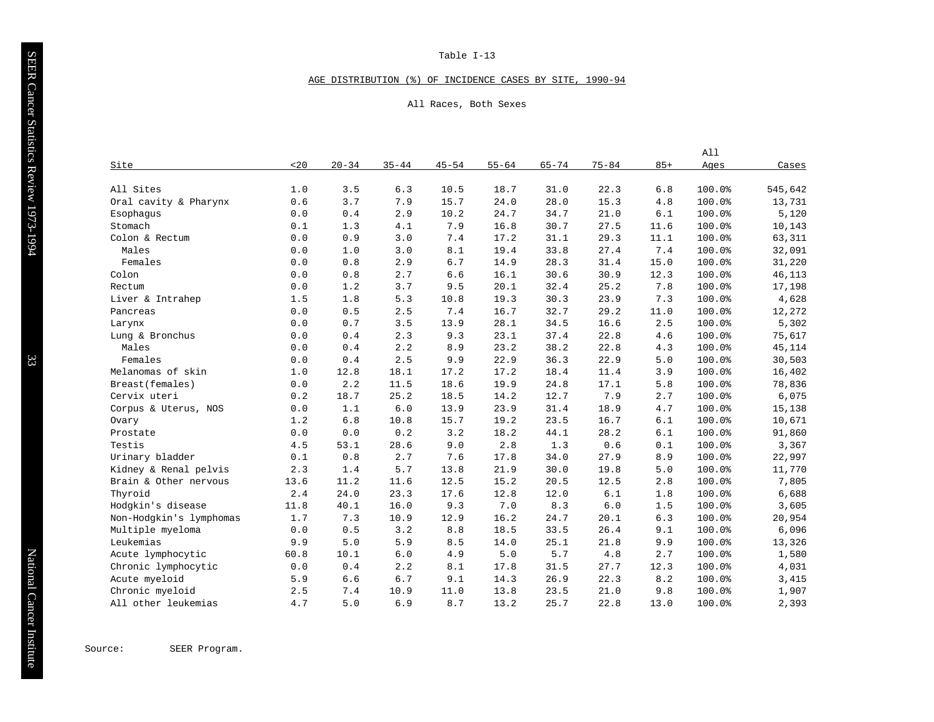#### AGE DISTRIBUTION (%) OF INCIDENCE CASES BY SITE, 1990-94

#### All Races, Both Sexes

|                         |      |           |           |           |           |           |           |       | All    |         |
|-------------------------|------|-----------|-----------|-----------|-----------|-----------|-----------|-------|--------|---------|
| Site                    | 20   | $20 - 34$ | $35 - 44$ | $45 - 54$ | $55 - 64$ | $65 - 74$ | $75 - 84$ | $85+$ | Ages   | Cases   |
|                         |      |           |           |           |           |           |           |       |        |         |
| All Sites               | 1.0  | 3.5       | 6.3       | 10.5      | 18.7      | 31.0      | 22.3      | 6.8   | 100.0% | 545,642 |
| Oral cavity & Pharynx   | 0.6  | 3.7       | 7.9       | 15.7      | 24.0      | 28.0      | 15.3      | 4.8   | 100.0% | 13,731  |
| Esophaqus               | 0.0  | 0.4       | 2.9       | 10.2      | 24.7      | 34.7      | 21.0      | 6.1   | 100.0% | 5,120   |
| Stomach                 | 0.1  | 1.3       | 4.1       | 7.9       | 16.8      | 30.7      | 27.5      | 11.6  | 100.0% | 10,143  |
| Colon & Rectum          | 0.0  | 0.9       | 3.0       | 7.4       | 17.2      | 31.1      | 29.3      | 11.1  | 100.0% | 63,311  |
| Males                   | 0.0  | 1.0       | 3.0       | 8.1       | 19.4      | 33.8      | 27.4      | 7.4   | 100.0% | 32,091  |
| Females                 | 0.0  | 0.8       | 2.9       | 6.7       | 14.9      | 28.3      | 31.4      | 15.0  | 100.0% | 31,220  |
| Colon                   | 0.0  | 0.8       | 2.7       | 6.6       | 16.1      | 30.6      | 30.9      | 12.3  | 100.0% | 46,113  |
| Rectum                  | 0.0  | 1.2       | 3.7       | 9.5       | 20.1      | 32.4      | 25.2      | 7.8   | 100.0% | 17,198  |
| Liver & Intrahep        | 1.5  | 1.8       | 5.3       | 10.8      | 19.3      | 30.3      | 23.9      | 7.3   | 100.0% | 4,628   |
| Pancreas                | 0.0  | 0.5       | 2.5       | 7.4       | 16.7      | 32.7      | 29.2      | 11.0  | 100.0% | 12,272  |
| Larynx                  | 0.0  | 0.7       | 3.5       | 13.9      | 28.1      | 34.5      | 16.6      | 2.5   | 100.0% | 5,302   |
| Lung & Bronchus         | 0.0  | 0.4       | 2.3       | 9.3       | 23.1      | 37.4      | 22.8      | 4.6   | 100.0% | 75,617  |
| Males                   | 0.0  | 0.4       | 2.2       | 8.9       | 23.2      | 38.2      | 22.8      | 4.3   | 100.0% | 45,114  |
| Females                 | 0.0  | 0.4       | 2.5       | 9.9       | 22.9      | 36.3      | 22.9      | 5.0   | 100.0% | 30,503  |
| Melanomas of skin       | 1.0  | 12.8      | 18.1      | 17.2      | 17.2      | 18.4      | 11.4      | 3.9   | 100.0% | 16,402  |
| Breast (females)        | 0.0  | 2.2       | 11.5      | 18.6      | 19.9      | 24.8      | 17.1      | 5.8   | 100.0% | 78,836  |
| Cervix uteri            | 0.2  | 18.7      | 25.2      | 18.5      | 14.2      | 12.7      | 7.9       | 2.7   | 100.0% | 6,075   |
| Corpus & Uterus, NOS    | 0.0  | 1.1       | 6.0       | 13.9      | 23.9      | 31.4      | 18.9      | 4.7   | 100.0% | 15,138  |
| Ovary                   | 1.2  | 6.8       | 10.8      | 15.7      | 19.2      | 23.5      | 16.7      | 6.1   | 100.0% | 10,671  |
| Prostate                | 0.0  | 0.0       | 0.2       | 3.2       | 18.2      | 44.1      | 28.2      | 6.1   | 100.0% | 91,860  |
| Testis                  | 4.5  | 53.1      | 28.6      | 9.0       | 2.8       | 1.3       | 0.6       | 0.1   | 100.0% | 3,367   |
| Urinary bladder         | 0.1  | 0.8       | 2.7       | 7.6       | 17.8      | 34.0      | 27.9      | 8.9   | 100.0% | 22,997  |
| Kidney & Renal pelvis   | 2.3  | 1.4       | 5.7       | 13.8      | 21.9      | 30.0      | 19.8      | 5.0   | 100.0% | 11,770  |
| Brain & Other nervous   | 13.6 | 11.2      | 11.6      | 12.5      | 15.2      | 20.5      | 12.5      | 2.8   | 100.0% | 7,805   |
| Thyroid                 | 2.4  | 24.0      | 23.3      | 17.6      | 12.8      | 12.0      | $6.1$     | 1.8   | 100.0% | 6,688   |
| Hodgkin's disease       | 11.8 | 40.1      | 16.0      | 9.3       | 7.0       | 8.3       | 6.0       | 1.5   | 100.0% | 3,605   |
| Non-Hodgkin's lymphomas | 1.7  | 7.3       | 10.9      | 12.9      | 16.2      | 24.7      | 20.1      | 6.3   | 100.0% | 20,954  |
| Multiple myeloma        | 0.0  | 0.5       | 3.2       | 8.8       | 18.5      | 33.5      | 26.4      | 9.1   | 100.0% | 6,096   |
| Leukemias               | 9.9  | 5.0       | 5.9       | 8.5       | 14.0      | 25.1      | 21.8      | 9.9   | 100.0% | 13,326  |
| Acute lymphocytic       | 60.8 | 10.1      | 6.0       | 4.9       | 5.0       | 5.7       | 4.8       | 2.7   | 100.0% | 1,580   |
| Chronic lymphocytic     | 0.0  | 0.4       | 2.2       | 8.1       | 17.8      | 31.5      | 27.7      | 12.3  | 100.0% | 4,031   |
| Acute myeloid           | 5.9  | 6.6       | 6.7       | 9.1       | 14.3      | 26.9      | 22.3      | 8.2   | 100.0% | 3,415   |
| Chronic myeloid         | 2.5  | 7.4       | 10.9      | 11.0      | 13.8      | 23.5      | 21.0      | 9.8   | 100.0% | 1,907   |
| All other leukemias     | 4.7  | 5.0       | 6.9       | 8.7       | 13.2      | 25.7      | 22.8      | 13.0  | 100.0% | 2,393   |

Source: SEER Program.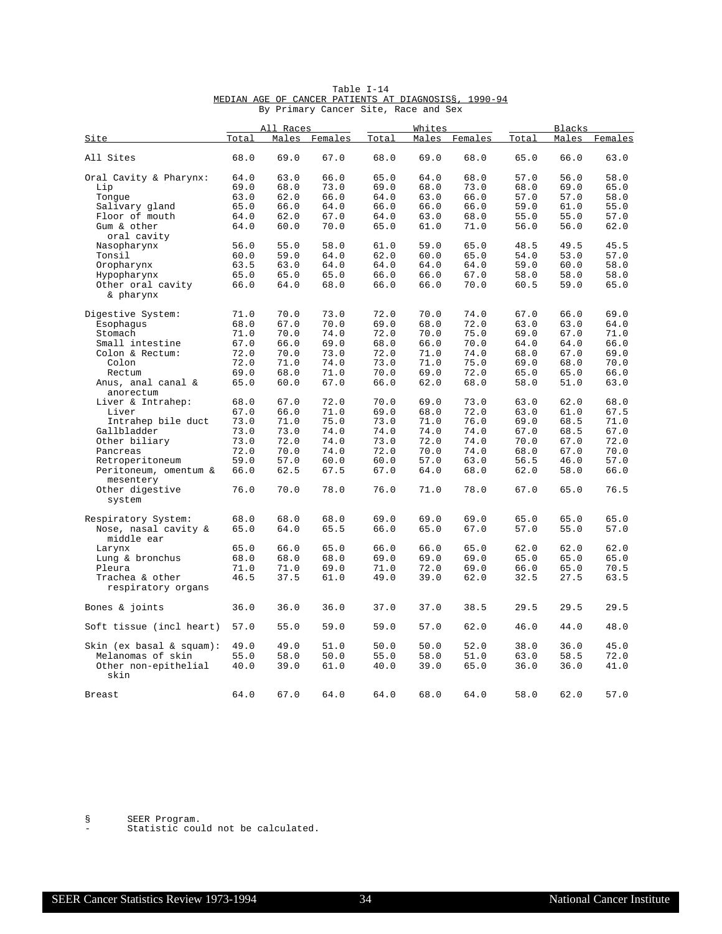|                                       |       | All Races |         |       | Whites |         |       | <b>Blacks</b> |         |
|---------------------------------------|-------|-----------|---------|-------|--------|---------|-------|---------------|---------|
| Site                                  | Total | Males     | Females | Total | Males  | Females | Total | Males         | Females |
| All Sites                             | 68.0  | 69.0      | 67.0    | 68.0  | 69.0   | 68.0    | 65.0  | 66.0          | 63.0    |
| Oral Cavity & Pharynx:                | 64.0  | 63.0      | 66.0    | 65.0  | 64.0   | 68.0    | 57.0  | 56.0          | 58.0    |
| Lip                                   | 69.0  | 68.0      | 73.0    | 69.0  | 68.0   | 73.0    | 68.0  | 69.0          | 65.0    |
| Tongue                                | 63.0  | 62.0      | 66.0    | 64.0  | 63.0   | 66.0    | 57.0  | 57.0          | 58.0    |
| Salivary gland                        | 65.0  | 66.0      | 64.0    | 66.0  | 66.0   | 66.0    | 59.0  | 61.0          | 55.0    |
| Floor of mouth                        | 64.0  | 62.0      | 67.0    | 64.0  | 63.0   | 68.0    | 55.0  | 55.0          | 57.0    |
| Gum & other                           | 64.0  | 60.0      | 70.0    | 65.0  | 61.0   | 71.0    | 56.0  | 56.0          | 62.0    |
| oral cavity                           |       |           |         |       |        |         |       |               |         |
| Nasopharynx                           | 56.0  | 55.0      | 58.0    | 61.0  | 59.0   | 65.0    | 48.5  | 49.5          | 45.5    |
| Tonsil                                | 60.0  | 59.0      | 64.0    | 62.0  | 60.0   | 65.0    | 54.0  | 53.0          | 57.0    |
| Oropharynx                            | 63.5  | 63.0      | 64.0    | 64.0  | 64.0   | 64.0    | 59.0  | 60.0          | 58.0    |
| Hypopharynx                           | 65.0  | 65.0      | 65.0    | 66.0  | 66.0   | 67.0    | 58.0  | 58.0          | 58.0    |
| Other oral cavity<br>& pharynx        | 66.0  | 64.0      | 68.0    | 66.0  | 66.0   | 70.0    | 60.5  | 59.0          | 65.0    |
| Digestive System:                     | 71.0  | 70.0      | 73.0    | 72.0  | 70.0   | 74.0    | 67.0  | 66.0          | 69.0    |
| Esophagus                             | 68.0  | 67.0      | 70.0    | 69.0  | 68.0   | 72.0    | 63.0  | 63.0          | 64.0    |
| Stomach                               | 71.0  | 70.0      | 74.0    | 72.0  | 70.0   | 75.0    | 69.0  | 67.0          | 71.0    |
| Small intestine                       | 67.0  | 66.0      | 69.0    | 68.0  | 66.0   | 70.0    | 64.0  | 64.0          | 66.0    |
| Colon & Rectum:                       | 72.0  | 70.0      | 73.0    | 72.0  | 71.0   | 74.0    | 68.0  | 67.0          | 69.0    |
| Colon                                 | 72.0  | 71.0      | 74.0    | 73.0  | 71.0   | 75.0    | 69.0  | 68.0          | 70.0    |
| Rectum                                | 69.0  | 68.0      | 71.0    | 70.0  | 69.0   | 72.0    | 65.0  | 65.0          | 66.0    |
| Anus, anal canal &                    | 65.0  | 60.0      | 67.0    | 66.0  | 62.0   | 68.0    | 58.0  | 51.0          | 63.0    |
| anorectum                             |       |           |         |       |        |         |       |               |         |
| Liver & Intrahep:                     | 68.0  | 67.0      | 72.0    | 70.0  | 69.0   | 73.0    | 63.0  | 62.0          | 68.0    |
| Liver                                 | 67.0  | 66.0      | 71.0    | 69.0  | 68.0   | 72.0    | 63.0  | 61.0          | 67.5    |
| Intrahep bile duct                    | 73.0  | 71.0      | 75.0    | 73.0  | 71.0   | 76.0    | 69.0  | 68.5          | 71.0    |
| Gallbladder                           | 73.0  | 73.0      | 74.0    | 74.0  | 74.0   | 74.0    | 67.0  | 68.5          | 67.0    |
| Other biliary                         | 73.0  | 72.0      | 74.0    | 73.0  | 72.0   | 74.0    | 70.0  | 67.0          | 72.0    |
| Pancreas                              | 72.0  | 70.0      | 74.0    | 72.0  | 70.0   | 74.0    | 68.0  | 67.0          | 70.0    |
| Retroperitoneum                       | 59.0  | 57.0      | 60.0    | 60.0  | 57.0   | 63.0    | 56.5  | 46.0          | 57.0    |
| Peritoneum, omentum &                 | 66.0  | 62.5      | 67.5    | 67.0  | 64.0   | 68.0    | 62.0  | 58.0          | 66.0    |
| mesentery                             |       |           |         |       |        |         |       |               |         |
| Other digestive<br>system             | 76.0  | 70.0      | 78.0    | 76.0  | 71.0   | 78.0    | 67.0  | 65.0          | 76.5    |
| Respiratory System:                   | 68.0  | 68.0      | 68.0    | 69.0  | 69.0   | 69.0    | 65.0  | 65.0          | 65.0    |
| Nose, nasal cavity &                  | 65.0  | 64.0      | 65.5    | 66.0  | 65.0   | 67.0    | 57.0  | 55.0          | 57.0    |
| middle ear                            |       |           |         |       |        |         |       |               |         |
| Larynx                                | 65.0  | 66.0      | 65.0    | 66.0  | 66.0   | 65.0    | 62.0  | 62.0          | 62.0    |
| Lung & bronchus                       | 68.0  | 68.0      | 68.0    | 69.0  | 69.0   | 69.0    | 65.0  | 65.0          | 65.0    |
|                                       |       |           |         |       |        |         |       |               |         |
| Pleura                                | 71.0  | 71.0      | 69.0    | 71.0  | 72.0   | 69.0    | 66.0  | 65.0          | 70.5    |
| Trachea & other<br>respiratory organs | 46.5  | 37.5      | 61.0    | 49.0  | 39.0   | 62.0    | 32.5  | 27.5          | 63.5    |
| Bones & joints                        | 36.0  | 36.0      | 36.0    | 37.0  | 37.0   | 38.5    | 29.5  | 29.5          | 29.5    |
| Soft tissue (incl heart)              | 57.0  | 55.0      | 59.0    | 59.0  | 57.0   | 62.0    | 46.0  | 44.0          | 48.0    |
| Skin (ex basal & squam):              | 49.0  | 49.0      | 51.0    | 50.0  | 50.0   | 52.0    | 38.0  | 36.0          | 45.0    |
| Melanomas of skin                     | 55.0  | 58.0      | 50.0    | 55.0  | 58.0   | 51.0    | 63.0  | 58.5          | 72.0    |
| Other non-epithelial<br>skin          | 40.0  | 39.0      | 61.0    | 40.0  | 39.0   | 65.0    | 36.0  | 36.0          | 41.0    |
|                                       |       |           |         |       |        |         |       |               |         |
| <b>Breast</b>                         | 64.0  | 67.0      | 64.0    | 64.0  | 68.0   | 64.0    | 58.0  | 62.0          | 57.0    |

|  |                                      | Table I-14 |  |  |                                                      |
|--|--------------------------------------|------------|--|--|------------------------------------------------------|
|  |                                      |            |  |  | MEDIAN AGE OF CANCER PATIENTS AT DIAGNOSISS, 1990-94 |
|  | By Primary Cancer Site, Race and Sex |            |  |  |                                                      |

§ SEER Program.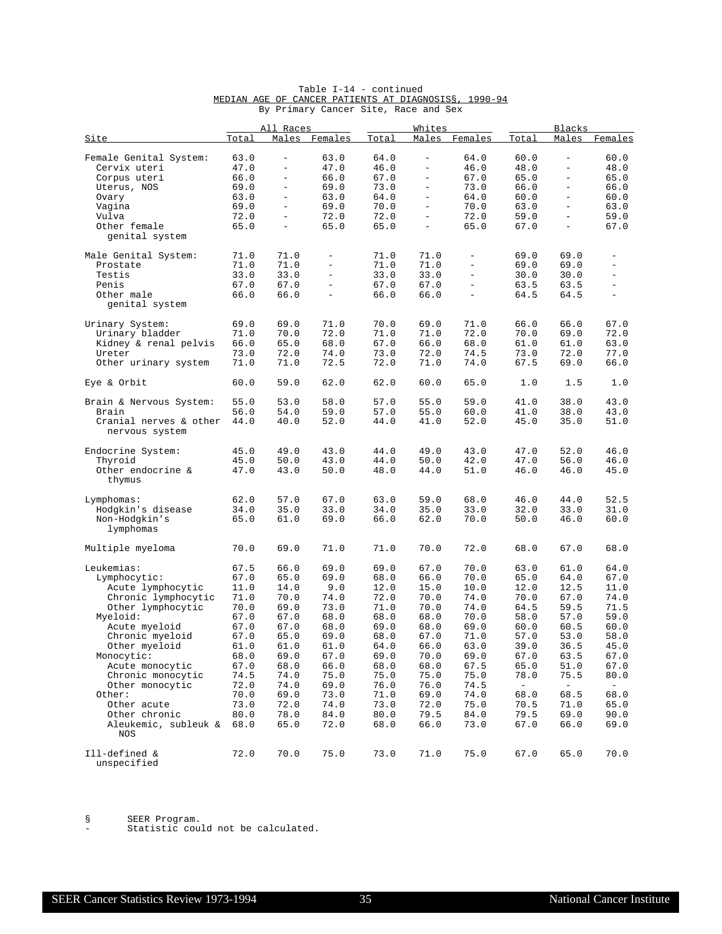|                                          |       | All Races                |                          |       | Whites                   |                          |                          | Blacks                   |                          |
|------------------------------------------|-------|--------------------------|--------------------------|-------|--------------------------|--------------------------|--------------------------|--------------------------|--------------------------|
| Site                                     | Total | Males                    | Females                  | Total | Males                    | Females                  | Total                    | Males                    | Females                  |
| Female Genital System:                   | 63.0  | $\qquad \qquad -$        | 63.0                     | 64.0  | $\equiv$                 | 64.0                     | 60.0                     | $\overline{\phantom{0}}$ | 60.0                     |
| Cervix uteri                             | 47.0  | $\overline{\phantom{0}}$ | 47.0                     | 46.0  | $\equiv$                 | 46.0                     | 48.0                     | $\bar{ }$                | 48.0                     |
| Corpus uteri                             | 66.0  | $\overline{\phantom{m}}$ | 66.0                     | 67.0  | $\overline{\phantom{a}}$ | 67.0                     | 65.0                     | $\overline{\phantom{0}}$ | 65.0                     |
| Uterus, NOS                              | 69.0  | $\qquad \qquad -$        | 69.0                     | 73.0  | $\overline{\phantom{a}}$ | 73.0                     | 66.0                     | ÷,                       | 66.0                     |
| Ovary                                    | 63.0  | $\overline{\phantom{a}}$ | 63.0                     | 64.0  | $\overline{\phantom{a}}$ | 64.0                     | 60.0                     | $\overline{\phantom{0}}$ | 60.0                     |
| Vagina                                   | 69.0  | $\qquad \qquad -$        | 69.0                     | 70.0  | $\equiv$                 | 70.0                     | 63.0                     | $\equiv$                 | 63.0                     |
| Vulva                                    | 72.0  | $\overline{\phantom{a}}$ | 72.0                     | 72.0  | $\overline{\phantom{a}}$ | 72.0                     | 59.0                     | $\overline{\phantom{0}}$ | 59.0                     |
| Other female                             | 65.0  | $\equiv$                 | 65.0                     | 65.0  | $\equiv$                 | 65.0                     | 67.0                     | $\bar{ }$                | 67.0                     |
| genital system                           |       |                          |                          |       |                          |                          |                          |                          |                          |
| Male Genital System:                     | 71.0  | 71.0                     | $\overline{\phantom{a}}$ | 71.0  | 71.0                     | $\overline{\phantom{a}}$ | 69.0                     | 69.0                     | $\qquad \qquad -$        |
| Prostate                                 | 71.0  | 71.0                     | $\overline{\phantom{m}}$ | 71.0  | 71.0                     | $\equiv$                 | 69.0                     | 69.0                     | $\overline{\phantom{a}}$ |
| Testis                                   | 33.0  | 33.0                     | $\overline{\phantom{0}}$ | 33.0  | 33.0                     | $\equiv$                 | 30.0                     | 30.0                     | $\overline{\phantom{a}}$ |
| Penis                                    | 67.0  | 67.0                     | $\equiv$                 | 67.0  | 67.0                     | $\equiv$                 | 63.5                     | 63.5                     | $\equiv$                 |
| Other male                               | 66.0  | 66.0                     | $\overline{\phantom{0}}$ | 66.0  | 66.0                     | $\equiv$                 | 64.5                     | 64.5                     | $\equiv$                 |
| genital system                           |       |                          |                          |       |                          |                          |                          |                          |                          |
| Urinary System:                          | 69.0  | 69.0                     | 71.0                     | 70.0  | 69.0                     | 71.0                     | 66.0                     | 66.0                     | 67.0                     |
| Urinary bladder                          | 71.0  | 70.0                     | 72.0                     | 71.0  | 71.0                     | 72.0                     | 70.0                     | 69.0                     | 72.0                     |
| Kidney & renal pelvis                    | 66.0  | 65.0                     | 68.0                     | 67.0  | 66.0                     | 68.0                     | 61.0                     | 61.0                     | 63.0                     |
| Ureter                                   | 73.0  | 72.0                     | 74.0                     | 73.0  | 72.0                     | 74.5                     | 73.0                     | 72.0                     | 77.0                     |
| Other urinary system                     | 71.0  | 71.0                     | 72.5                     | 72.0  | 71.0                     | 74.0                     | 67.5                     | 69.0                     | 66.0                     |
| Eye & Orbit                              | 60.0  | 59.0                     | 62.0                     | 62.0  | 60.0                     | 65.0                     | 1.0                      | 1.5                      | 1.0                      |
| Brain & Nervous System:                  | 55.0  | 53.0                     | 58.0                     | 57.0  | 55.0                     | 59.0                     | 41.0                     | 38.0                     | 43.0                     |
| Brain                                    | 56.0  | 54.0                     | 59.0                     | 57.0  | 55.0                     | 60.0                     | 41.0                     | 38.0                     | 43.0                     |
| Cranial nerves & other<br>nervous system | 44.0  | 40.0                     | 52.0                     | 44.0  | 41.0                     | 52.0                     | 45.0                     | 35.0                     | 51.0                     |
| Endocrine System:                        | 45.0  | 49.0                     | 43.0                     | 44.0  | 49.0                     | 43.0                     | 47.0                     | 52.0                     | 46.0                     |
| Thyroid                                  | 45.0  | 50.0                     | 43.0                     | 44.0  | 50.0                     | 42.0                     | 47.0                     | 56.0                     | 46.0                     |
| Other endocrine &<br>thymus              | 47.0  | 43.0                     | 50.0                     | 48.0  | 44.0                     | 51.0                     | 46.0                     | 46.0                     | 45.0                     |
| Lymphomas:                               | 62.0  | 57.0                     | 67.0                     | 63.0  | 59.0                     | 68.0                     | 46.0                     | 44.0                     | 52.5                     |
| Hodgkin's disease                        | 34.0  | 35.0                     | 33.0                     | 34.0  | 35.0                     | 33.0                     | 32.0                     | 33.0                     | 31.0                     |
| Non-Hodgkin's                            | 65.0  | 61.0                     | 69.0                     | 66.0  | 62.0                     | 70.0                     | 50.0                     | 46.0                     | 60.0                     |
| lymphomas                                |       |                          |                          |       |                          |                          |                          |                          |                          |
| Multiple myeloma                         | 70.0  | 69.0                     | 71.0                     | 71.0  | 70.0                     | 72.0                     | 68.0                     | 67.0                     | 68.0                     |
| Leukemias:                               | 67.5  | 66.0                     | 69.0                     | 69.0  | 67.0                     | 70.0                     | 63.0                     | 61.0                     | 64.0                     |
| Lymphocytic:                             | 67.0  | 65.0                     | 69.0                     | 68.0  | 66.0                     | 70.0                     | 65.0                     | 64.0                     | 67.0                     |
| Acute lymphocytic                        | 11.0  | 14.0                     | 9.0                      | 12.0  | 15.0                     | 10.0                     | 12.0                     | 12.5                     | 11.0                     |
| Chronic lymphocytic                      | 71.0  | 70.0                     | 74.0                     | 72.0  | 70.0                     | 74.0                     | 70.0                     | 67.0                     | 74.0                     |
| Other lymphocytic                        | 70.0  | 69.0                     | 73.0                     | 71.0  | 70.0                     | 74.0                     | 64.5                     | 59.5                     | 71.5                     |
| Myeloid:                                 | 67.0  | 67.0                     | 68.0                     | 68.0  | 68.0                     | 70.0                     | 58.0                     | 57.0                     | 59.0                     |
| Acute myeloid                            | 67.0  | 67.0                     | 68.0                     | 69.0  | 68.0                     | 69.0                     | 60.0                     | 60.5                     | 60.0                     |
| Chronic myeloid                          | 67.0  | 65.0                     | 69.0                     | 68.0  | 67.0                     | 71.0                     | 57.0                     | 53.0                     | 58.0                     |
| Other myeloid                            | 61.0  | 61.0                     | 61.0                     | 64.0  | 66.0                     | 63.0                     | 39.0                     | 36.5                     | 45.0                     |
| Monocytic:                               | 68.0  | 69.0                     | 67.0                     | 69.0  | 70.0                     | 69.0                     | 67.0                     | 63.5                     | 67.0                     |
| Acute monocytic                          | 67.0  | 68.0                     | 66.0                     | 68.0  | 68.0                     | 67.5                     | 65.0                     | 51.0                     | 67.0                     |
| Chronic monocytic                        | 74.5  | 74.0                     | 75.0                     | 75.0  | 75.0                     | 75.0                     | 78.0                     | 75.5                     | 80.0                     |
| Other monocytic                          | 72.0  | 74.0                     | 69.0                     | 76.0  | 76.0                     | 74.5                     | $\overline{\phantom{a}}$ | $\overline{\phantom{a}}$ | $ \,$                    |
| Other:                                   | 70.0  | 69.0                     | 73.0                     | 71.0  | 69.0                     | 74.0                     | 68.0                     | 68.5                     | 68.0                     |
| Other acute                              | 73.0  | 72.0                     | 74.0                     | 73.0  | 72.0                     | 75.0                     | 70.5                     | 71.0                     | 65.0                     |
| Other chronic                            | 80.0  | 78.0                     | 84.0                     | 80.0  | 79.5                     | 84.0                     | 79.5                     | 69.0                     | 90.0                     |
| Aleukemic, subleuk &<br><b>NOS</b>       | 68.0  | 65.0                     | 72.0                     | 68.0  | 66.0                     | 73.0                     | 67.0                     | 66.0                     | 69.0                     |
| Ill-defined &<br>unspecified             | 72.0  | 70.0                     | 75.0                     | 73.0  | 71.0                     | 75.0                     | 67.0                     | 65.0                     | 70.0                     |

#### Table I-14 - continued MEDIAN AGE OF CANCER PATIENTS AT DIAGNOSIS§, 1990-94 By Primary Cancer Site, Race and Sex

§ SEER Program.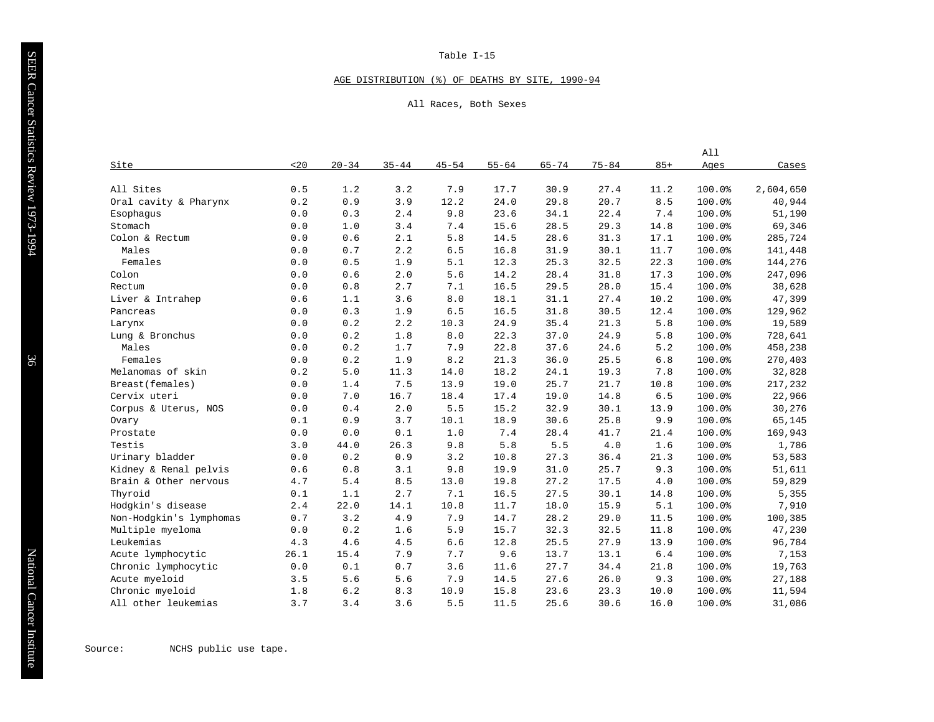#### AGE DISTRIBUTION (%) OF DEATHS BY SITE, 1990-94

All Races, Both Sexes

|                         |                       |           |           |           |           |           |           |       | All    |           |
|-------------------------|-----------------------|-----------|-----------|-----------|-----------|-----------|-----------|-------|--------|-----------|
| Site                    | 20                    | $20 - 34$ | $35 - 44$ | $45 - 54$ | $55 - 64$ | $65 - 74$ | $75 - 84$ | $85+$ | Ages   | Cases     |
|                         |                       |           |           |           |           |           |           |       |        |           |
| All Sites               | 0.5                   | 1.2       | 3.2       | 7.9       | 17.7      | 30.9      | 27.4      | 11.2  | 100.0% | 2,604,650 |
| Oral cavity & Pharynx   | 0.2                   | 0.9       | 3.9       | 12.2      | 24.0      | 29.8      | 20.7      | 8.5   | 100.0% | 40,944    |
| Esophagus               | 0.0                   | 0.3       | 2.4       | 9.8       | 23.6      | 34.1      | 22.4      | 7.4   | 100.0% | 51,190    |
| Stomach                 | 0.0                   | 1.0       | 3.4       | 7.4       | 15.6      | 28.5      | 29.3      | 14.8  | 100.0% | 69,346    |
| Colon & Rectum          | 0.0                   | 0.6       | 2.1       | 5.8       | 14.5      | 28.6      | 31.3      | 17.1  | 100.0% | 285,724   |
| Males                   | 0.0                   | 0.7       | 2.2       | 6.5       | 16.8      | 31.9      | 30.1      | 11.7  | 100.0% | 141,448   |
| Females                 | 0.0                   | 0.5       | 1.9       | 5.1       | 12.3      | 25.3      | 32.5      | 22.3  | 100.0% | 144,276   |
| Colon                   | 0.0                   | 0.6       | 2.0       | 5.6       | 14.2      | 28.4      | 31.8      | 17.3  | 100.0% | 247,096   |
| Rectum                  | 0.0                   | 0.8       | 2.7       | 7.1       | 16.5      | 29.5      | 28.0      | 15.4  | 100.0% | 38,628    |
| Liver & Intrahep        | 0.6                   | 1.1       | 3.6       | 8.0       | 18.1      | 31.1      | 27.4      | 10.2  | 100.0% | 47,399    |
| Pancreas                | 0.0                   | 0.3       | 1.9       | 6.5       | 16.5      | 31.8      | 30.5      | 12.4  | 100.0% | 129,962   |
| Larynx                  | 0.0                   | 0.2       | 2.2       | 10.3      | 24.9      | 35.4      | 21.3      | 5.8   | 100.0% | 19,589    |
| Lung & Bronchus         | 0.0                   | 0.2       | 1.8       | 8.0       | 22.3      | 37.0      | 24.9      | 5.8   | 100.0% | 728,641   |
| Males                   | 0.0                   | 0.2       | 1.7       | 7.9       | 22.8      | 37.6      | 24.6      | 5.2   | 100.0% | 458,238   |
| Females                 | 0.0                   | 0.2       | 1.9       | 8.2       | 21.3      | 36.0      | 25.5      | $6.8$ | 100.0% | 270,403   |
| Melanomas of skin       | 0.2                   | $5.0$     | 11.3      | 14.0      | 18.2      | 24.1      | 19.3      | 7.8   | 100.0% | 32,828    |
| Breast (females)        | 0.0                   | 1.4       | 7.5       | 13.9      | 19.0      | 25.7      | 21.7      | 10.8  | 100.0% | 217,232   |
| Cervix uteri            | 0.0                   | 7.0       | 16.7      | 18.4      | 17.4      | 19.0      | 14.8      | 6.5   | 100.0% | 22,966    |
| Corpus & Uterus, NOS    | 0.0                   | 0.4       | 2.0       | 5.5       | 15.2      | 32.9      | 30.1      | 13.9  | 100.0% | 30,276    |
| Ovary                   | 0.1                   | 0.9       | 3.7       | 10.1      | 18.9      | 30.6      | 25.8      | 9.9   | 100.0% | 65,145    |
| Prostate                | 0.0                   | 0.0       | 0.1       | 1.0       | 7.4       | 28.4      | 41.7      | 21.4  | 100.0% | 169,943   |
| Testis                  | 3.0                   | 44.0      | 26.3      | 9.8       | 5.8       | 5.5       | 4.0       | 1.6   | 100.0% | 1,786     |
| Urinary bladder         | 0.0                   | 0.2       | 0.9       | 3.2       | 10.8      | 27.3      | 36.4      | 21.3  | 100.0% | 53,583    |
| Kidney & Renal pelvis   | 0.6                   | 0.8       | 3.1       | 9.8       | 19.9      | 31.0      | 25.7      | 9.3   | 100.0% | 51,611    |
| Brain & Other nervous   | 4.7                   | 5.4       | 8.5       | 13.0      | 19.8      | 27.2      | 17.5      | 4.0   | 100.0% | 59,829    |
| Thyroid                 | 0.1                   | 1.1       | 2.7       | 7.1       | 16.5      | 27.5      | 30.1      | 14.8  | 100.0% | 5,355     |
| Hodgkin's disease       | 2.4                   | 22.0      | 14.1      | 10.8      | 11.7      | 18.0      | 15.9      | 5.1   | 100.0% | 7,910     |
| Non-Hodgkin's lymphomas | 0.7                   | 3.2       | 4.9       | 7.9       | 14.7      | 28.2      | 29.0      | 11.5  | 100.0% | 100,385   |
| Multiple myeloma        | ${\bf 0}$ . ${\bf 0}$ | 0.2       | 1.6       | 5.9       | 15.7      | 32.3      | 32.5      | 11.8  | 100.0% | 47,230    |
| Leukemias               | 4.3                   | 4.6       | 4.5       | 6.6       | 12.8      | 25.5      | 27.9      | 13.9  | 100.0% | 96,784    |
| Acute lymphocytic       | 26.1                  | 15.4      | 7.9       | 7.7       | 9.6       | 13.7      | 13.1      | $6.4$ | 100.0% | 7,153     |
| Chronic lymphocytic     | 0.0                   | 0.1       | 0.7       | 3.6       | 11.6      | 27.7      | 34.4      | 21.8  | 100.0% | 19,763    |
| Acute myeloid           | 3.5                   | 5.6       | 5.6       | 7.9       | 14.5      | 27.6      | 26.0      | 9.3   | 100.0% | 27,188    |
| Chronic myeloid         | 1.8                   | 6.2       | 8.3       | 10.9      | 15.8      | 23.6      | 23.3      | 10.0  | 100.0% | 11,594    |
| All other leukemias     | 3.7                   | 3.4       | 3.6       | 5.5       | 11.5      | 25.6      | 30.6      | 16.0  | 100.0% | 31,086    |

National Cancer Institute National Cancer Institute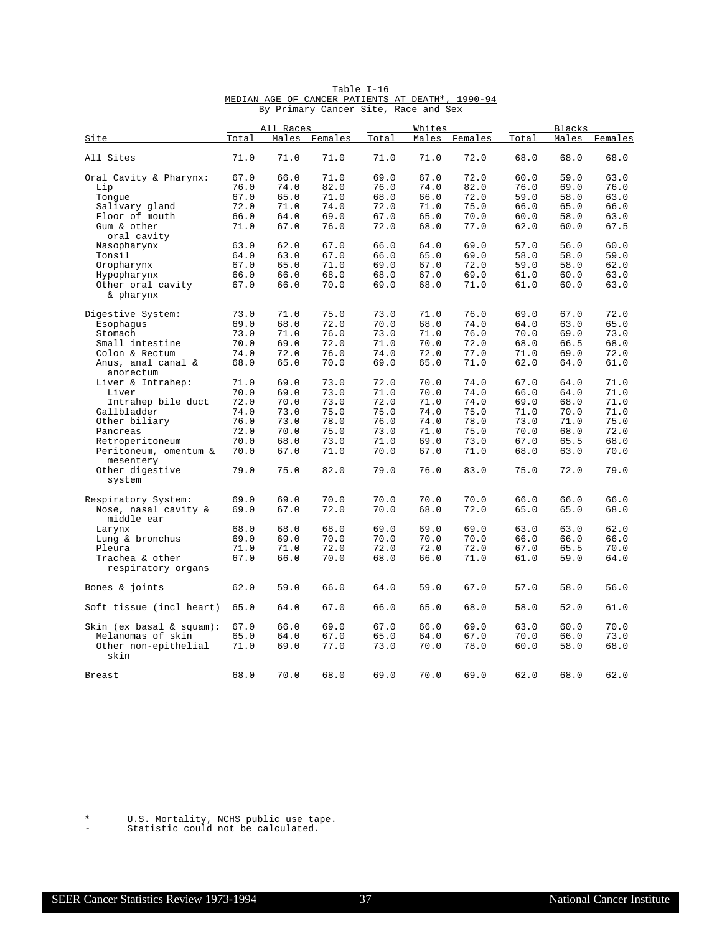|                                 |       | All Races |         |       | Whites |         |       | <b>Blacks</b> |         |
|---------------------------------|-------|-----------|---------|-------|--------|---------|-------|---------------|---------|
| Site                            | Total | Males     | Females | Total | Males  | Females | Total | Males         | Females |
| All Sites                       | 71.0  | 71.0      | 71.0    | 71.0  | 71.0   | 72.0    | 68.0  | 68.0          | 68.0    |
| Oral Cavity & Pharynx:          | 67.0  | 66.0      | 71.0    | 69.0  | 67.0   | 72.0    | 60.0  | 59.0          | 63.0    |
| Lip                             | 76.0  | 74.0      | 82.0    | 76.0  | 74.0   | 82.0    | 76.0  | 69.0          | 76.0    |
| Tonque                          | 67.0  | 65.0      | 71.0    | 68.0  | 66.0   | 72.0    | 59.0  | 58.0          | 63.0    |
| Salivary gland                  | 72.0  | 71.0      | 74.0    | 72.0  | 71.0   | 75.0    | 66.0  | 65.0          | 66.0    |
| Floor of mouth                  | 66.0  | 64.0      | 69.0    | 67.0  | 65.0   | 70.0    | 60.0  | 58.0          | 63.0    |
| Gum & other<br>oral cavity      | 71.0  | 67.0      | 76.0    | 72.0  | 68.0   | 77.0    | 62.0  | 60.0          | 67.5    |
|                                 | 63.0  | 62.0      | 67.0    | 66.0  | 64.0   | 69.0    | 57.0  | 56.0          | 60.0    |
| Nasopharynx                     |       |           |         |       |        |         |       |               |         |
| Tonsil                          | 64.0  | 63.0      | 67.0    | 66.0  | 65.0   | 69.0    | 58.0  | 58.0          | 59.0    |
| Oropharynx                      | 67.0  | 65.0      | 71.0    | 69.0  | 67.0   | 72.0    | 59.0  | 58.0          | 62.0    |
| Hypopharynx                     | 66.0  | 66.0      | 68.0    | 68.0  | 67.0   | 69.0    | 61.0  | 60.0          | 63.0    |
| Other oral cavity<br>& pharynx  | 67.0  | 66.0      | 70.0    | 69.0  | 68.0   | 71.0    | 61.0  | 60.0          | 63.0    |
| Digestive System:               | 73.0  | 71.0      | 75.0    | 73.0  | 71.0   | 76.0    | 69.0  | 67.0          | 72.0    |
| Esophagus                       | 69.0  | 68.0      | 72.0    | 70.0  | 68.0   | 74.0    | 64.0  | 63.0          | 65.0    |
| Stomach                         | 73.0  | 71.0      | 76.0    | 73.0  | 71.0   | 76.0    | 70.0  | 69.0          | 73.0    |
| Small intestine                 | 70.0  | 69.0      | 72.0    | 71.0  | 70.0   | 72.0    | 68.0  | 66.5          | 68.0    |
|                                 |       |           |         |       |        | 77.0    |       |               | 72.0    |
| Colon & Rectum                  | 74.0  | 72.0      | 76.0    | 74.0  | 72.0   |         | 71.0  | 69.0          |         |
| Anus, anal canal &<br>anorectum | 68.0  | 65.0      | 70.0    | 69.0  | 65.0   | 71.0    | 62.0  | 64.0          | 61.0    |
| Liver & Intrahep:               | 71.0  | 69.0      | 73.0    | 72.0  | 70.0   | 74.0    | 67.0  | 64.0          | 71.0    |
| Liver                           | 70.0  | 69.0      | 73.0    | 71.0  | 70.0   | 74.0    | 66.0  | 64.0          | 71.0    |
| Intrahep bile duct              | 72.0  | 70.0      | 73.0    | 72.0  | 71.0   | 74.0    | 69.0  | 68.0          | 71.0    |
| Gallbladder                     | 74.0  | 73.0      | 75.0    | 75.0  | 74.0   | 75.0    | 71.0  | 70.0          | 71.0    |
| Other biliary                   | 76.0  | 73.0      | 78.0    | 76.0  | 74.0   | 78.0    | 73.0  | 71.0          | 75.0    |
| Pancreas                        | 72.0  | 70.0      | 75.0    | 73.0  | 71.0   | 75.0    | 70.0  | 68.0          | 72.0    |
| Retroperitoneum                 | 70.0  | 68.0      | 73.0    | 71.0  | 69.0   | 73.0    | 67.0  | 65.5          | 68.0    |
| Peritoneum, omentum &           | 70.0  | 67.0      | 71.0    | 70.0  | 67.0   | 71.0    | 68.0  | 63.0          | 70.0    |
| mesentery                       |       |           |         |       |        |         |       |               |         |
| Other digestive<br>system       | 79.0  | 75.0      | 82.0    | 79.0  | 76.0   | 83.0    | 75.0  | 72.0          | 79.0    |
| Respiratory System:             | 69.0  | 69.0      | 70.0    | 70.0  | 70.0   | 70.0    | 66.0  | 66.0          | 66.0    |
| Nose, nasal cavity &            | 69.0  | 67.0      | 72.0    | 70.0  | 68.0   | 72.0    | 65.0  | 65.0          | 68.0    |
| middle ear                      |       |           |         |       |        |         |       |               |         |
| Larynx                          | 68.0  | 68.0      | 68.0    | 69.0  | 69.0   | 69.0    | 63.0  | 63.0          | 62.0    |
| Lung & bronchus                 | 69.0  | 69.0      | 70.0    | 70.0  | 70.0   | 70.0    | 66.0  | 66.0          | 66.0    |
| Pleura                          | 71.0  | 71.0      | 72.0    | 72.0  | 72.0   | 72.0    | 67.0  | 65.5          | 70.0    |
| Trachea & other                 | 67.0  | 66.0      | 70.0    | 68.0  | 66.0   | 71.0    | 61.0  | 59.0          | 64.0    |
| respiratory organs              |       |           |         |       |        |         |       |               |         |
| Bones & joints                  | 62.0  | 59.0      | 66.0    | 64.0  | 59.0   | 67.0    | 57.0  | 58.0          | 56.0    |
| Soft tissue (incl heart)        | 65.0  | 64.0      | 67.0    | 66.0  | 65.0   | 68.0    | 58.0  | 52.0          | 61.0    |
|                                 |       |           |         |       |        |         |       |               |         |
| Skin (ex basal & squam):        | 67.0  | 66.0      | 69.0    | 67.0  | 66.0   | 69.0    | 63.0  | 60.0          | 70.0    |
| Melanomas of skin               | 65.0  | 64.0      | 67.0    | 65.0  | 64.0   | 67.0    | 70.0  | 66.0          | 73.0    |
| Other non-epithelial<br>skin    | 71.0  | 69.0      | 77.0    | 73.0  | 70.0   | 78.0    | 60.0  | 58.0          | 68.0    |
| <b>Breast</b>                   | 68.0  | 70.0      | 68.0    | 69.0  | 70.0   | 69.0    | 62.0  | 68.0          | 62.0    |

#### Table I-16 MEDIAN AGE OF CANCER PATIENTS AT DEATH\*, 1990-94 By Primary Cancer Site, Race and Sex

\* U.S. Mortality, NCHS public use tape.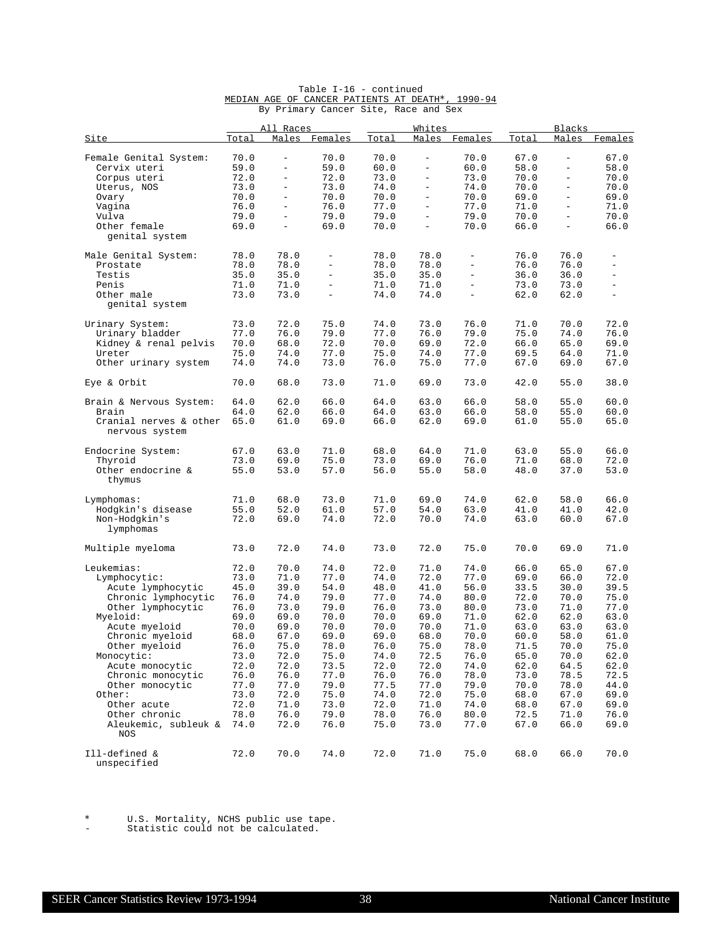|                                          |              | All Races                |                          |              | Whites                   |                          |              | <b>Blacks</b>            |                          |
|------------------------------------------|--------------|--------------------------|--------------------------|--------------|--------------------------|--------------------------|--------------|--------------------------|--------------------------|
| <u>Site</u>                              | <u>Total</u> | Males                    | Females                  | Total        | Males                    | Females                  | Total        | Males                    | Females                  |
| Female Genital System:                   | 70.0         | $\overline{\phantom{0}}$ | 70.0                     | 70.0         | $\overline{\phantom{a}}$ | 70.0                     | 67.0         | $\overline{\phantom{0}}$ | 67.0                     |
| Cervix uteri                             | 59.0         | $\overline{\phantom{0}}$ | 59.0                     | 60.0         | $\bar{\phantom{0}}$      | 60.0                     | 58.0         | $\equiv$                 | 58.0                     |
| Corpus uteri                             | 72.0         | $\overline{\phantom{0}}$ | 72.0                     | 73.0         | $\bar{\phantom{a}}$      | 73.0                     | 70.0         | Ξ.                       | 70.0                     |
| Uterus, NOS                              | 73.0         | $\qquad \qquad -$        | 73.0                     | 74.0         | $\overline{\phantom{a}}$ | 74.0                     | 70.0         | $\overline{\phantom{a}}$ | 70.0                     |
| Ovary                                    | 70.0         | $\qquad \qquad -$        | 70.0                     | 70.0         | $\overline{\phantom{a}}$ | 70.0                     | 69.0         | $\overline{\phantom{0}}$ | 69.0                     |
| Vagina                                   | 76.0         | $\overline{\phantom{0}}$ | 76.0                     | 77.0         | $\equiv$                 | 77.0                     | 71.0         | $\equiv$                 | 71.0                     |
| Vulva                                    | 79.0         | $\frac{1}{2}$            | 79.0                     | 79.0         | $\equiv$                 | 79.0                     | 70.0         | $\equiv$                 | 70.0                     |
| Other female<br>genital system           | 69.0         | $\qquad \qquad -$        | 69.0                     | 70.0         | $\overline{\phantom{a}}$ | 70.0                     | 66.0         | $\overline{\phantom{0}}$ | 66.0                     |
| Male Genital System:                     | 78.0         | 78.0                     | $\equiv$                 | 78.0         | 78.0                     | $\overline{\phantom{a}}$ | 76.0         | 76.0                     | $\overline{\phantom{0}}$ |
| Prostate                                 | 78.0         | 78.0                     | $\overline{\phantom{a}}$ | 78.0         | 78.0                     | $\overline{\phantom{0}}$ | 76.0         | 76.0                     | -                        |
| Testis                                   | 35.0         | 35.0                     | $\overline{\phantom{a}}$ | 35.0         | 35.0                     | $\equiv$                 | 36.0         | 36.0                     | $\overline{\phantom{0}}$ |
| Penis                                    | 71.0         | 71.0                     | $\overline{\phantom{0}}$ | 71.0         | 71.0                     | $\equiv$                 | 73.0         | 73.0                     | $\overline{\phantom{0}}$ |
| Other male<br>genital system             | 73.0         | 73.0                     | $\overline{\phantom{a}}$ | 74.0         | 74.0                     | $\equiv$                 | 62.0         | 62.0                     | $\equiv$                 |
| Urinary System:                          | 73.0         | 72.0                     | 75.0                     | 74.0         | 73.0                     | 76.0                     | 71.0         | 70.0                     | 72.0                     |
| Urinary bladder                          | 77.0         | 76.0                     | 79.0                     | 77.0         | 76.0                     | 79.0                     | 75.0         | 74.0                     | 76.0                     |
| Kidney & renal pelvis                    | 70.0         | 68.0                     | 72.0                     | 70.0         | 69.0                     | 72.0                     | 66.0         | 65.0                     | 69.0                     |
| Ureter                                   | 75.0         | 74.0                     | 77.0                     | 75.0         | 74.0                     | 77.0                     | 69.5         | 64.0                     | 71.0                     |
| Other urinary system                     | 74.0         | 74.0                     | 73.0                     | 76.0         | 75.0                     | 77.0                     | 67.0         | 69.0                     | 67.0                     |
| Eye & Orbit                              | 70.0         | 68.0                     | 73.0                     | 71.0         | 69.0                     | 73.0                     | 42.0         | 55.0                     | 38.0                     |
| Brain & Nervous System:                  | 64.0         | 62.0                     | 66.0                     | 64.0         | 63.0                     | 66.0                     | 58.0         | 55.0                     | 60.0                     |
| Brain                                    | 64.0         | 62.0                     | 66.0                     | 64.0         | 63.0                     | 66.0                     | 58.0         | 55.0                     | 60.0                     |
| Cranial nerves & other<br>nervous system | 65.0         | 61.0                     | 69.0                     | 66.0         | 62.0                     | 69.0                     | 61.0         | 55.0                     | 65.0                     |
| Endocrine System:                        | 67.0         | 63.0                     | 71.0                     | 68.0         | 64.0                     | 71.0                     | 63.0         | 55.0                     | 66.0                     |
| Thyroid                                  | 73.0         | 69.0                     | 75.0                     | 73.0         | 69.0                     | 76.0                     | 71.0         | 68.0                     | 72.0                     |
| Other endocrine &<br>thymus              | 55.0         | 53.0                     | 57.0                     | 56.0         | 55.0                     | 58.0                     | 48.0         | 37.0                     | 53.0                     |
| Lymphomas:                               | 71.0         | 68.0                     | 73.0                     | 71.0         | 69.0                     | 74.0                     | 62.0         | 58.0                     | 66.0                     |
| Hodgkin's disease                        | 55.0         | 52.0                     | 61.0                     | 57.0         | 54.0                     | 63.0                     | 41.0         | 41.0                     | 42.0                     |
| Non-Hodgkin's                            | 72.0         | 69.0                     | 74.0                     | 72.0         | 70.0                     | 74.0                     | 63.0         | 60.0                     | 67.0                     |
| lymphomas                                |              |                          |                          |              |                          |                          |              |                          |                          |
| Multiple myeloma                         | 73.0         | 72.0                     | 74.0                     | 73.0         | 72.0                     | 75.0                     | 70.0         | 69.0                     | 71.0                     |
| Leukemias:                               | 72.0         | 70.0                     | 74.0                     | 72.0         | 71.0                     | 74.0                     | 66.0         | 65.0                     | 67.0                     |
| Lymphocytic:                             | 73.0         | 71.0                     | 77.0                     | 74.0         | 72.0                     | 77.0                     | 69.0         | 66.0                     | 72.0                     |
| Acute lymphocytic                        | 45.0         | 39.0                     | 54.0                     | 48.0         | 41.0                     | 56.0                     | 33.5         | 30.0                     | 39.5                     |
| Chronic lymphocytic                      | 76.0         | 74.0                     | 79.0                     | 77.0         | 74.0                     | 80.0                     | 72.0         | 70.0                     | 75.0                     |
| Other lymphocytic                        | 76.0         | 73.0                     | 79.0                     | 76.0         | 73.0                     | 80.0                     | 73.0         | 71.0                     | 77.0                     |
| Myeloid:                                 | 69.0         | 69.0                     | 70.0                     | 70.0         | 69.0                     | 71.0                     | 62.0         | 62.0                     | 63.0                     |
| Acute myeloid                            | 70.0         | 69.0                     | 70.0                     | 70.0         | 70.0                     | 71.0                     | 63.0         | 63.0                     | 63.0                     |
| Chronic myeloid                          | 68.0         | 67.0                     | 69.0                     | 69.0         | 68.0                     | 70.0                     | 60.0         | 58.0                     | 61.0                     |
| Other myeloid                            | 76.0         | 75.0<br>72.0             | 78.0<br>75.0             | 76.0         | 75.0                     | 78.0<br>76.0             | 71.5<br>65.0 | 70.0                     | 75.0                     |
| Monocytic:<br>Acute monocytic            | 73.0         | 72.0                     |                          | 74.0<br>72.0 | 72.5<br>72.0             |                          | 62.0         | 70.0<br>64.5             | 62.0<br>62.0             |
| Chronic monocytic                        | 72.0<br>76.0 | 76.0                     | 73.5<br>77.0             | 76.0         | 76.0                     | 74.0<br>78.0             | 73.0         | 78.5                     | 72.5                     |
| Other monocytic                          | 77.0         | 77.0                     | 79.0                     | 77.5         | 77.0                     | 79.0                     | 70.0         | 78.0                     | 44.0                     |
| Other:                                   | 73.0         | 72.0                     | 75.0                     | 74.0         | 72.0                     | 75.0                     | 68.0         | 67.0                     | 69.0                     |
| Other acute                              | 72.0         | 71.0                     | 73.0                     | 72.0         | 71.0                     | 74.0                     | 68.0         | 67.0                     | 69.0                     |
| Other chronic                            | 78.0         | 76.0                     | 79.0                     | 78.0         | 76.0                     | 80.0                     | 72.5         | 71.0                     | 76.0                     |
| Aleukemic, subleuk &                     | 74.0         | 72.0                     | 76.0                     | 75.0         | 73.0                     | 77.0                     | 67.0         | 66.0                     | 69.0                     |
| <b>NOS</b>                               |              |                          |                          |              |                          |                          |              |                          |                          |
| Ill-defined &<br>unspecified             | 72.0         | 70.0                     | 74.0                     | 72.0         | 71.0                     | 75.0                     | 68.0         | 66.0                     | 70.0                     |

## Table I-16 - continued<br>MEDIAN AGE OF CANCER PATIENTS AT DEATH\*, 1990-94 By Primary Cancer Site, Race and Sex

\* U.S. Mortality, NCHS public use tape.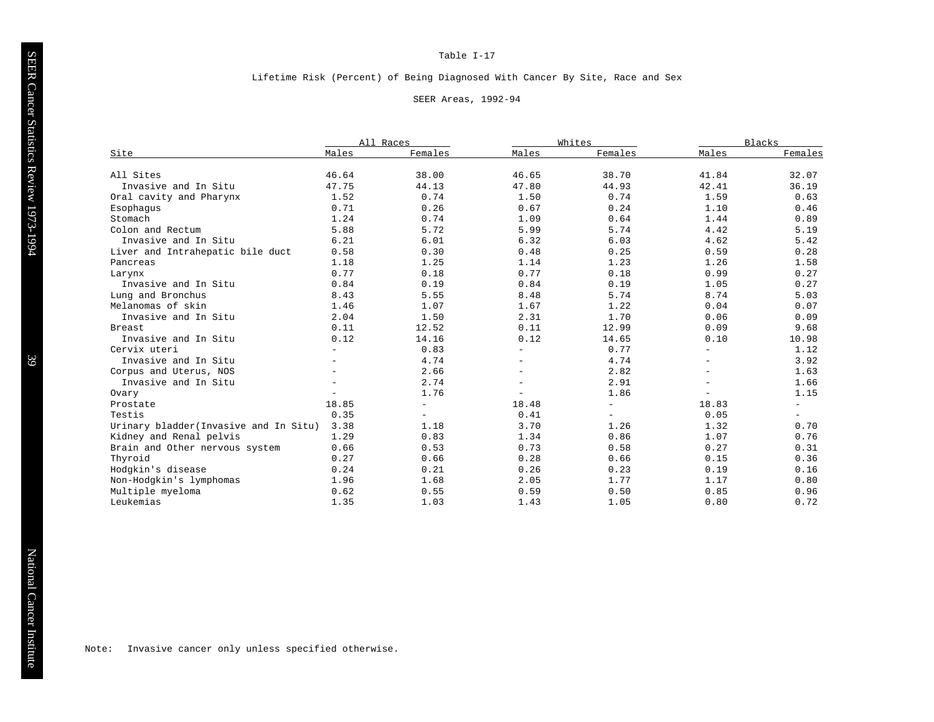#### Lifetime Risk (Percent) of Being Diagnosed With Cancer By Site, Race and Sex

#### SEER Areas, 1992-94

| Site                                  | All Races |                          | Whites                   |                          | <b>Blacks</b>            |                          |
|---------------------------------------|-----------|--------------------------|--------------------------|--------------------------|--------------------------|--------------------------|
|                                       | Males     | Females                  | Males                    | Females                  | Males                    | Females                  |
| All Sites                             | 46.64     | 38.00                    | 46.65                    | 38.70                    | 41.84                    | 32.07                    |
| Invasive and In Situ                  | 47.75     | 44.13                    | 47.80                    | 44.93                    | 42.41                    | 36.19                    |
| Oral cavity and Pharynx               | 1.52      | 0.74                     | 1.50                     | 0.74                     | 1.59                     | 0.63                     |
| Esophaqus                             | 0.71      | 0.26                     | 0.67                     | 0.24                     | 1.10                     | 0.46                     |
| Stomach                               | 1.24      | 0.74                     | 1.09                     | 0.64                     | 1.44                     | 0.89                     |
| Colon and Rectum                      | 5.88      | 5.72                     | 5.99                     | 5.74                     | 4.42                     | 5.19                     |
| Invasive and In Situ                  | 6.21      | 6.01                     | 6.32                     | 6.03                     | 4.62                     | 5.42                     |
| Liver and Intrahepatic bile duct      | 0.58      | 0.30                     | 0.48                     | 0.25                     | 0.59                     | 0.28                     |
| Pancreas                              | 1.18      | 1.25                     | 1.14                     | 1.23                     | 1.26                     | 1.58                     |
| Larynx                                | 0.77      | 0.18                     | 0.77                     | 0.18                     | 0.99                     | 0.27                     |
| Invasive and In Situ                  | 0.84      | 0.19                     | 0.84                     | 0.19                     | 1.05                     | 0.27                     |
| Lung and Bronchus                     | 8.43      | 5.55                     | 8.48                     | 5.74                     | 8.74                     | 5.03                     |
| Melanomas of skin                     | 1.46      | 1.07                     | 1.67                     | 1.22                     | 0.04                     | 0.07                     |
| Invasive and In Situ                  | 2.04      | 1.50                     | 2.31                     | 1.70                     | 0.06                     | 0.09                     |
| Breast                                | 0.11      | 12.52                    | 0.11                     | 12.99                    | 0.09                     | 9.68                     |
| Invasive and In Situ                  | 0.12      | 14.16                    | 0.12                     | 14.65                    | 0.10                     | 10.98                    |
| Cervix uteri                          |           | 0.83                     | $\overline{\phantom{a}}$ | 0.77                     |                          | 1.12                     |
| Invasive and In Situ                  |           | 4.74                     |                          | 4.74                     |                          | 3.92                     |
| Corpus and Uterus, NOS                |           | 2.66                     | $-$                      | 2.82                     | $\overline{\phantom{m}}$ | 1.63                     |
| Invasive and In Situ                  |           | 2.74                     | $\equiv$                 | 2.91                     | $\overline{\phantom{a}}$ | 1.66                     |
| Ovary                                 |           | 1.76                     | $\overline{\phantom{a}}$ | 1.86                     | $\overline{\phantom{a}}$ | 1.15                     |
| Prostate                              | 18.85     | $\overline{\phantom{0}}$ | 18.48                    | $\equiv$                 | 18.83                    | $\overline{\phantom{a}}$ |
| Testis                                | 0.35      | $-$                      | 0.41                     | $\overline{\phantom{a}}$ | 0.05                     | $\overline{\phantom{a}}$ |
| Urinary bladder(Invasive and In Situ) | 3.38      | 1.18                     | 3.70                     | 1.26                     | 1.32                     | 0.70                     |
| Kidney and Renal pelvis               | 1.29      | 0.83                     | 1.34                     | 0.86                     | 1.07                     | 0.76                     |
| Brain and Other nervous system        | 0.66      | 0.53                     | 0.73                     | 0.58                     | 0.27                     | 0.31                     |
| Thyroid                               | 0.27      | 0.66                     | 0.28                     | 0.66                     | 0.15                     | 0.36                     |
| Hodgkin's disease                     | 0.24      | 0.21                     | 0.26                     | 0.23                     | 0.19                     | 0.16                     |
| Non-Hodgkin's lymphomas               | 1.96      | 1.68                     | 2.05                     | 1.77                     | 1.17                     | 0.80                     |
| Multiple myeloma                      | 0.62      | 0.55                     | 0.59                     | 0.50                     | 0.85                     | 0.96                     |
| Leukemias                             | 1.35      | 1.03                     | 1.43                     | 1.05                     | 0.80                     | 0.72                     |

Note: Invasive cancer only unless specified otherwise.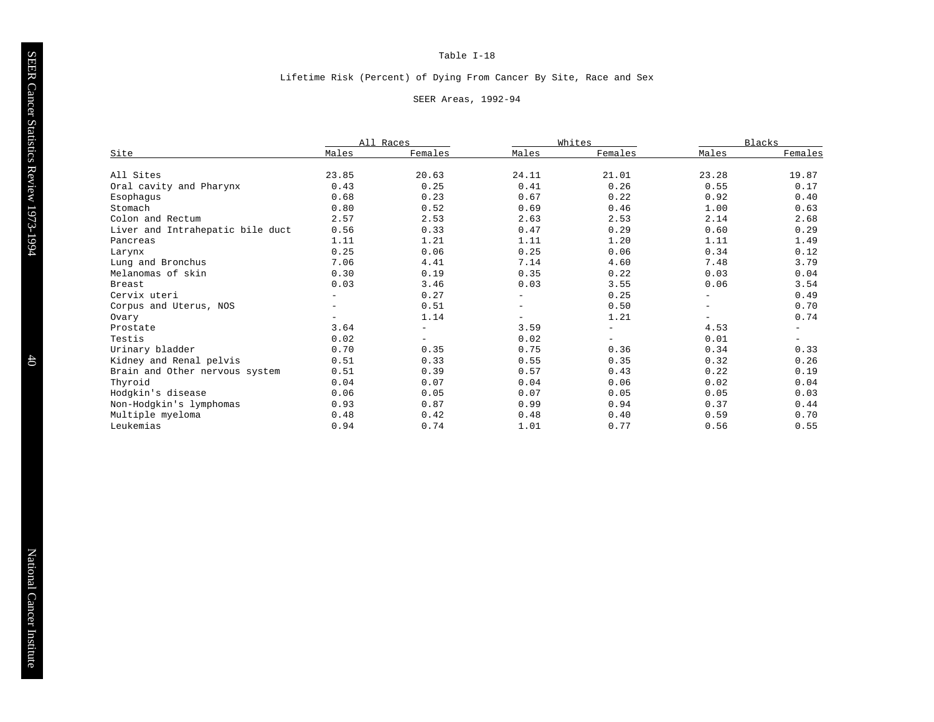### Lifetime Risk (Percent) of Dying From Cancer By Site, Race and Sex

#### SEER Areas, 1992-94

| Site                             | All Races                |                   | Whites                   |                          | <b>Blacks</b>            |                          |
|----------------------------------|--------------------------|-------------------|--------------------------|--------------------------|--------------------------|--------------------------|
|                                  | Males                    | Females           | Males                    | Females                  | Males                    | Females                  |
| All Sites                        | 23.85                    | 20.63             | 24.11                    | 21.01                    | 23.28                    | 19.87                    |
| Oral cavity and Pharynx          | 0.43                     | 0.25              | 0.41                     | 0.26                     | 0.55                     | 0.17                     |
| Esophagus                        | 0.68                     | 0.23              | 0.67                     | 0.22                     | 0.92                     | 0.40                     |
| Stomach                          | 0.80                     | 0.52              | 0.69                     | 0.46                     | 1.00                     | 0.63                     |
| Colon and Rectum                 | 2.57                     | 2.53              | 2.63                     | 2.53                     | 2.14                     | 2.68                     |
| Liver and Intrahepatic bile duct | 0.56                     | 0.33              | 0.47                     | 0.29                     | 0.60                     | 0.29                     |
| Pancreas                         | 1.11                     | 1.21              | 1.11                     | 1.20                     | 1.11                     | 1.49                     |
| Larynx                           | 0.25                     | 0.06              | 0.25                     | 0.06                     | 0.34                     | 0.12                     |
| Lung and Bronchus                | 7.06                     | 4.41              | 7.14                     | 4.60                     | 7.48                     | 3.79                     |
| Melanomas of skin                | 0.30                     | 0.19              | 0.35                     | 0.22                     | 0.03                     | 0.04                     |
| <b>Breast</b>                    | 0.03                     | 3.46              | 0.03                     | 3.55                     | 0.06                     | 3.54                     |
| Cervix uteri                     | $\qquad \qquad -$        | 0.27              | $-$                      | 0.25                     | $\overline{\phantom{m}}$ | 0.49                     |
| Corpus and Uterus, NOS           | $\overline{\phantom{0}}$ | 0.51              | $\overline{\phantom{a}}$ | 0.50                     | $\qquad \qquad -$        | 0.70                     |
| Ovary                            |                          | 1.14              |                          | 1.21                     |                          | 0.74                     |
| Prostate                         | 3.64                     | $\equiv$          | 3.59                     | $\overline{\phantom{m}}$ | 4.53                     | $\overline{\phantom{0}}$ |
| Testis                           | 0.02                     | $\qquad \qquad -$ | 0.02                     | $\overline{\phantom{a}}$ | 0.01                     | $\overline{\phantom{a}}$ |
| Urinary bladder                  | 0.70                     | 0.35              | 0.75                     | 0.36                     | 0.34                     | 0.33                     |
| Kidney and Renal pelvis          | 0.51                     | 0.33              | 0.55                     | 0.35                     | 0.32                     | 0.26                     |
| Brain and Other nervous system   | 0.51                     | 0.39              | 0.57                     | 0.43                     | 0.22                     | 0.19                     |
| Thyroid                          | 0.04                     | 0.07              | 0.04                     | 0.06                     | 0.02                     | 0.04                     |
| Hodgkin's disease                | 0.06                     | 0.05              | 0.07                     | 0.05                     | 0.05                     | 0.03                     |
| Non-Hodgkin's lymphomas          | 0.93                     | 0.87              | 0.99                     | 0.94                     | 0.37                     | 0.44                     |
| Multiple myeloma                 | 0.48                     | 0.42              | 0.48                     | 0.40                     | 0.59                     | 0.70                     |
| Leukemias                        | 0.94                     | 0.74              | 1.01                     | 0.77                     | 0.56                     | 0.55                     |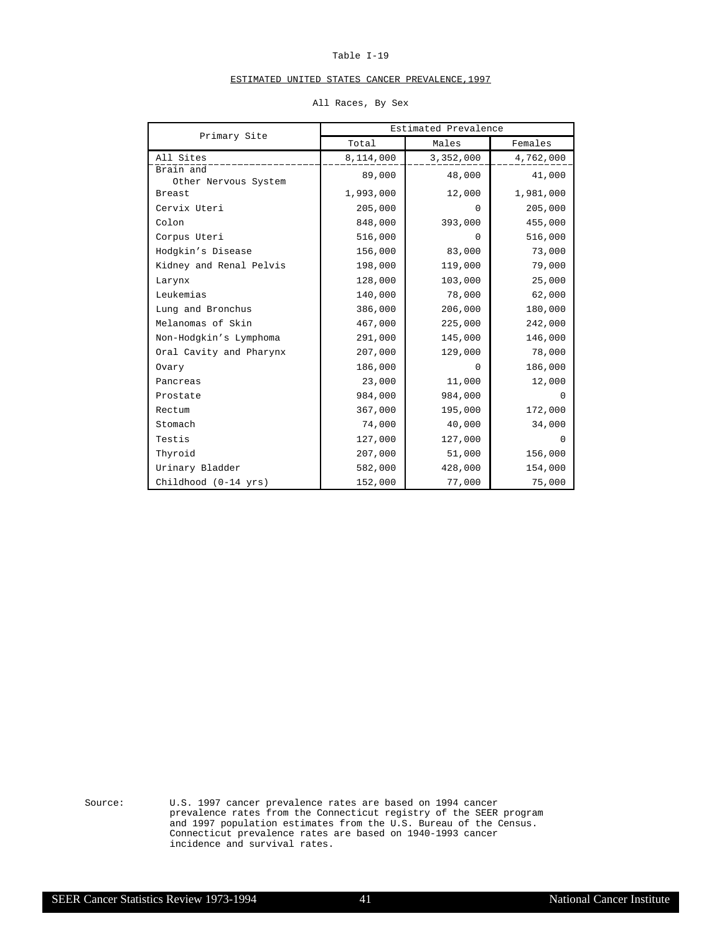## ESTIMATED UNITED STATES CANCER PREVALENCE,1997

|                                   | Estimated Prevalence |           |           |  |  |
|-----------------------------------|----------------------|-----------|-----------|--|--|
| Primary Site                      | Total                | Males     | Females   |  |  |
| All Sites                         | 8,114,000            | 3,352,000 | 4,762,000 |  |  |
| Brain and<br>Other Nervous System | 89,000               | 48,000    | 41,000    |  |  |
| <b>Breast</b>                     | 1,993,000            | 12,000    | 1,981,000 |  |  |
| Cervix Uteri                      | 205,000              | $\Omega$  | 205,000   |  |  |
| Colon                             | 848,000              | 393,000   | 455,000   |  |  |
| Corpus Uteri                      | 516,000              | $\Omega$  | 516,000   |  |  |
| Hodgkin's Disease                 | 156,000              | 83,000    | 73,000    |  |  |
| Kidney and Renal Pelvis           | 198,000              | 119,000   | 79,000    |  |  |
| Larynx                            | 128,000              | 103,000   | 25,000    |  |  |
| Leukemias                         | 140,000              | 78,000    | 62,000    |  |  |
| Lung and Bronchus                 | 386,000              | 206,000   | 180,000   |  |  |
| Melanomas of Skin                 | 467,000              | 225,000   | 242,000   |  |  |
| Non-Hodgkin's Lymphoma            | 291,000              | 145,000   | 146,000   |  |  |
| Oral Cavity and Pharynx           | 207,000              | 129,000   | 78,000    |  |  |
| Ovary                             | 186,000              | $\Omega$  | 186,000   |  |  |
| Pancreas                          | 23,000               | 11,000    | 12,000    |  |  |
| Prostate                          | 984,000              | 984,000   | $\Omega$  |  |  |
| Rectum                            | 367,000              | 195,000   | 172,000   |  |  |
| Stomach                           | 74,000               | 40,000    | 34,000    |  |  |
| Testis                            | 127,000              | 127,000   | $\Omega$  |  |  |
| Thyroid                           | 207,000              | 51,000    | 156,000   |  |  |
| Urinary Bladder                   | 582,000              | 428,000   | 154,000   |  |  |
| Childhood (0-14 yrs)              | 152,000              | 77,000    | 75,000    |  |  |

#### All Races, By Sex

Source: U.S. 1997 cancer prevalence rates are based on 1994 cancer prevalence rates from the Connecticut registry of the SEER program and 1997 population estimates from the U.S. Bureau of the Census. Connecticut prevalence rates are based on 1940-1993 cancer incidence and survival rates.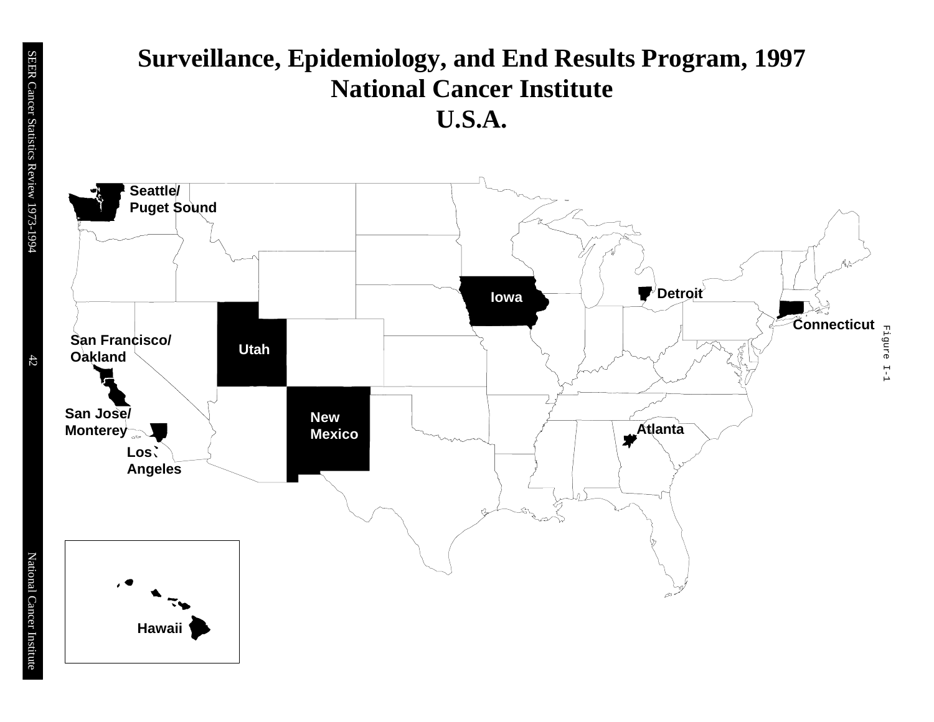# **Surveillance, Epidemiology, and End Results Program, 1997 National Cancer Institute U.S.A.**



42

National Cancer Institute

National Cancer Institute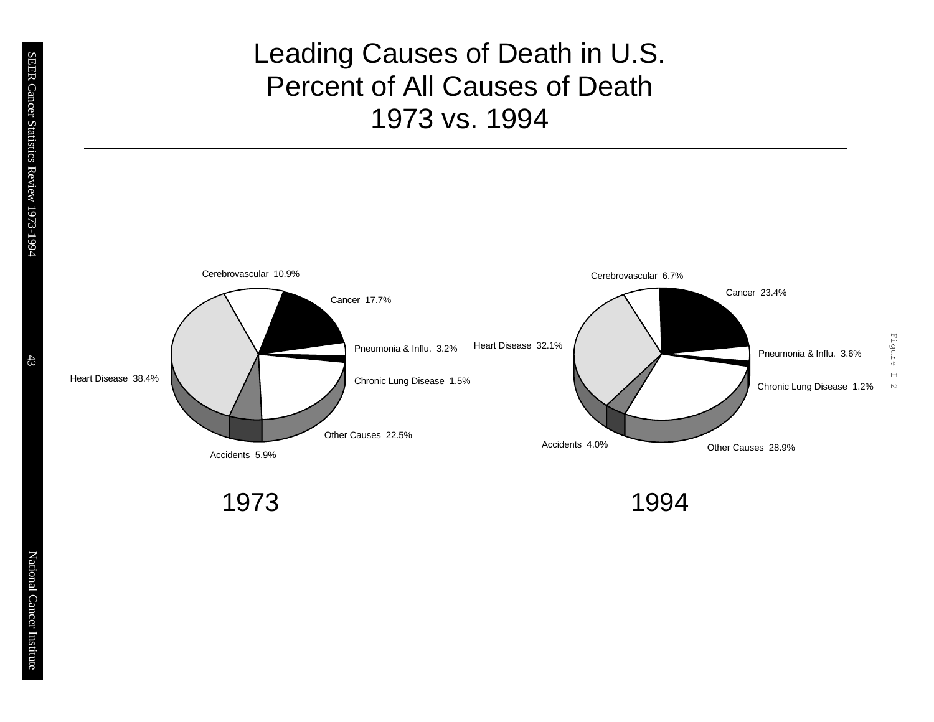# Leading Causes of Death in U.S. Percent of All Causes of Death 1973 vs. 1994



1973 1994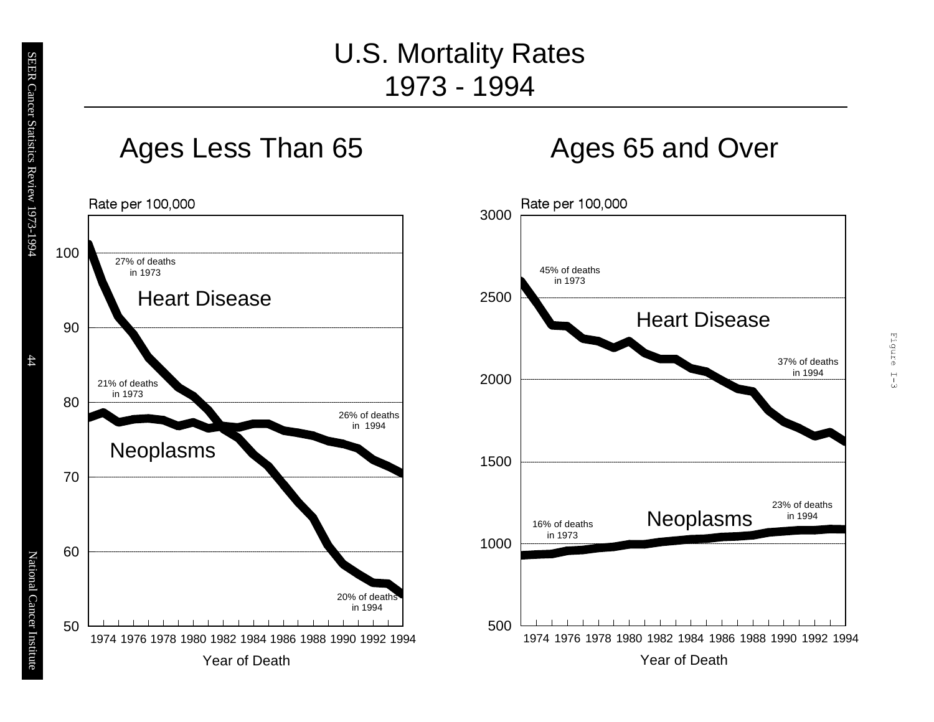# U.S. Mortality Rates 1973 - 1994







44

National Cancer Institute

National Cancer Institute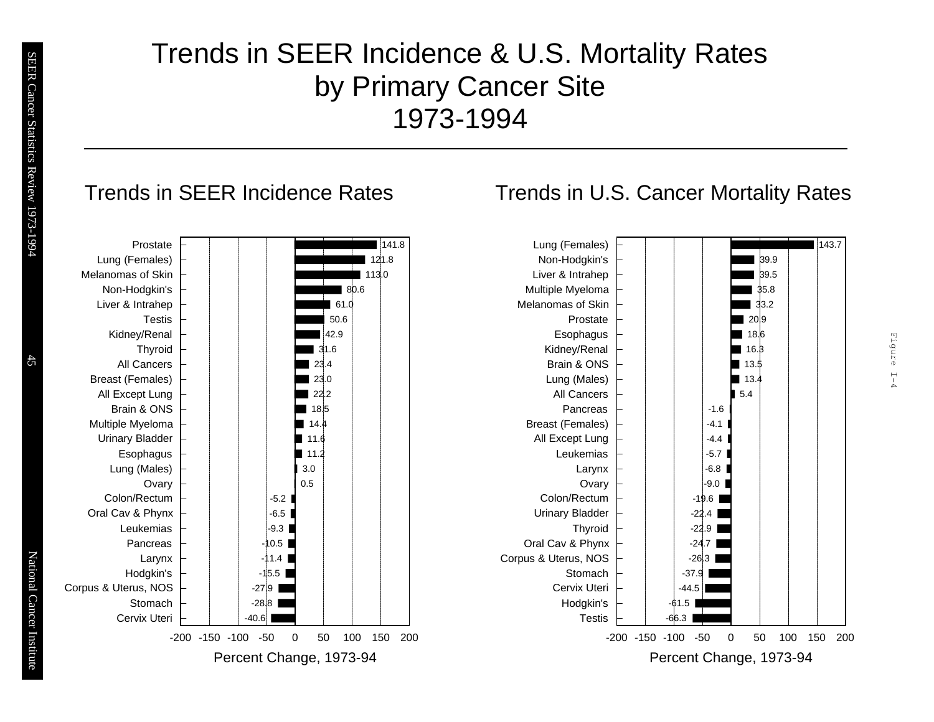# Trends in SEER Incidence & U.S. Mortality Rates by Primary Cancer Site 1973-1994



# Trends in U.S. Cancer Mortality Rates



Eigure

 $\frac{1}{1}$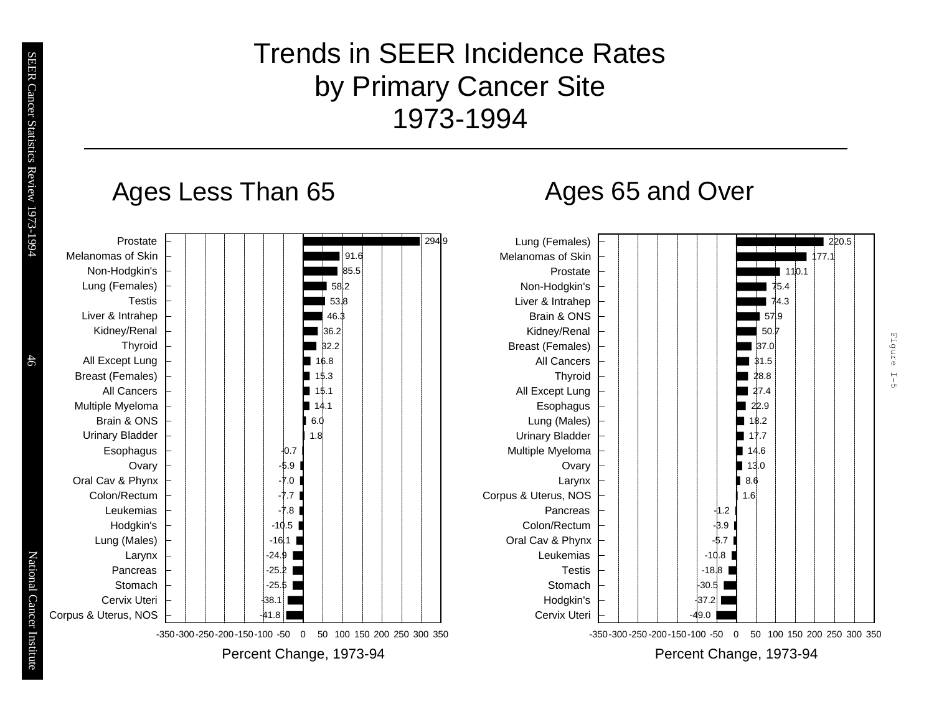# Trends in SEER Incidence Rates by Primary Cancer Site 1973-1994

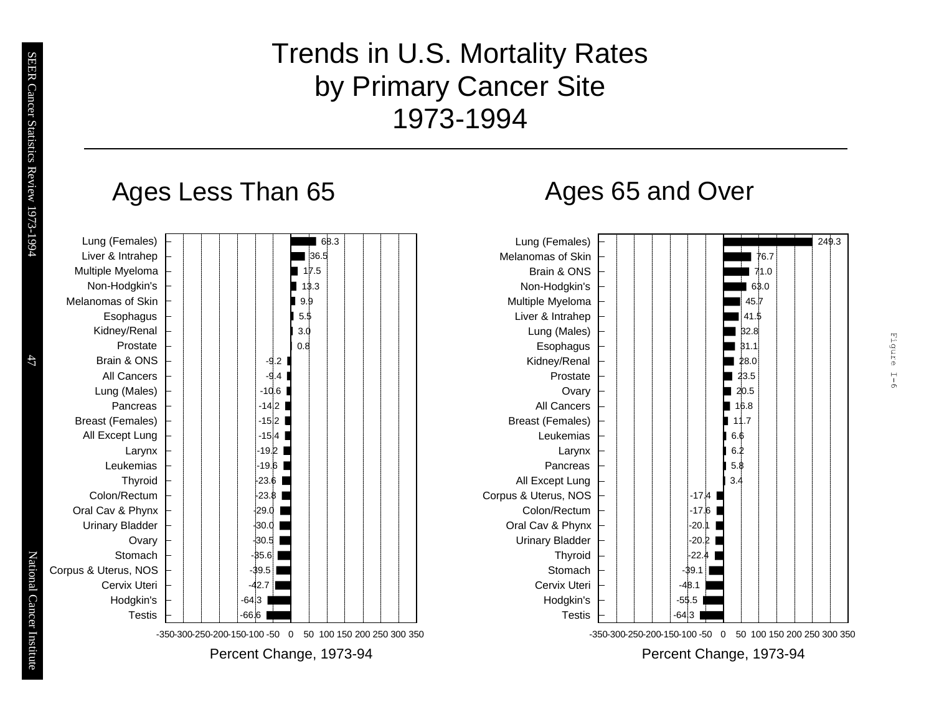# Trends in U.S. Mortality Rates by Primary Cancer Site 1973-1994

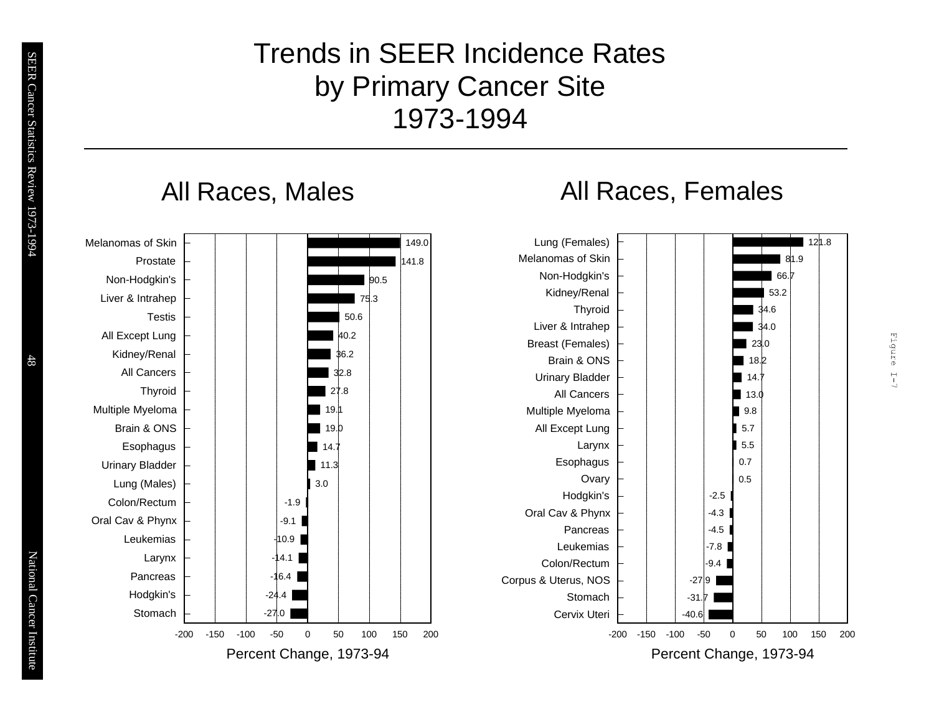# Trends in SEER Incidence Rates by Primary Cancer Site 1973-1994

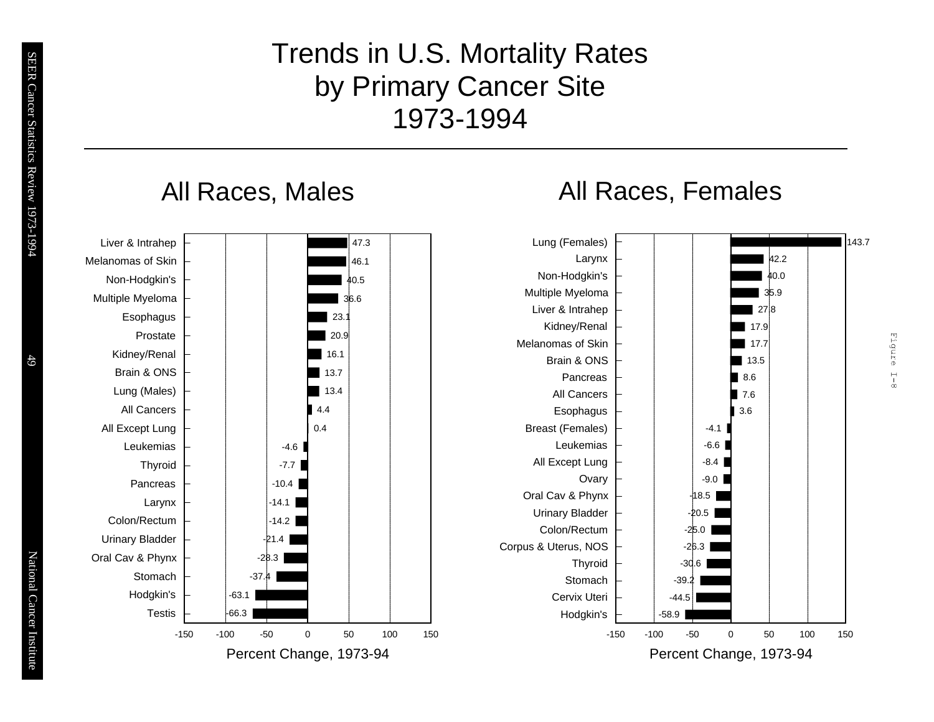# Trends in U.S. Mortality Rates by Primary Cancer Site 1973-1994

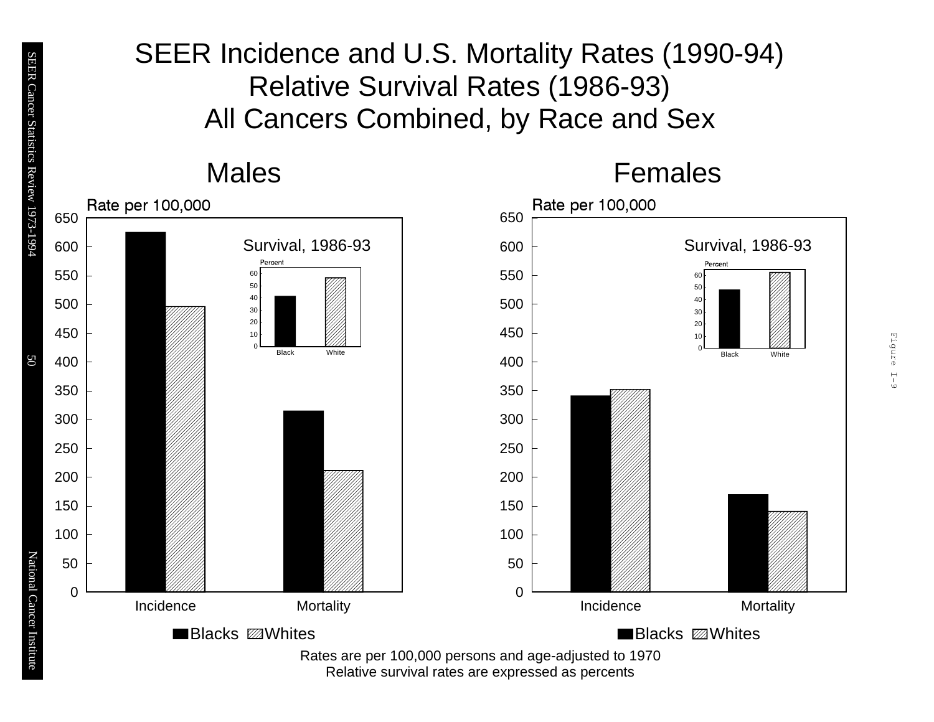# SEER Incidence and U.S. Mortality Rates (1990-94) Relative Survival Rates (1986-93) All Cancers Combined, by Race and Sex



Relative survival rates are expressed as percents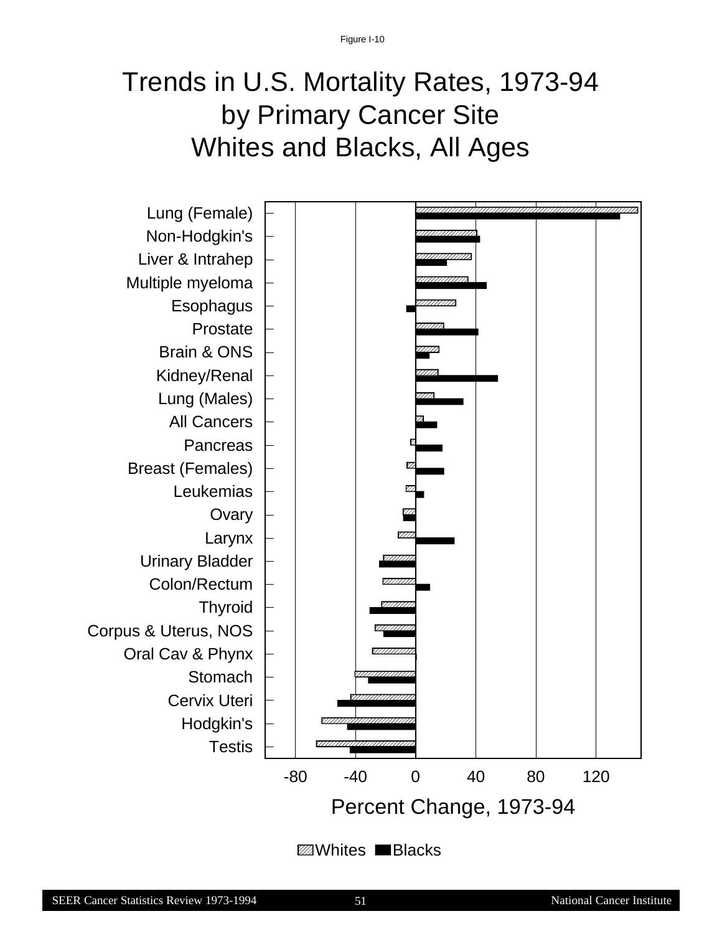# Trends in U.S. Mortality Rates, 1973-94 by Primary Cancer Site Whites and Blacks, All Ages



*<del></u>* ■Blacks</del>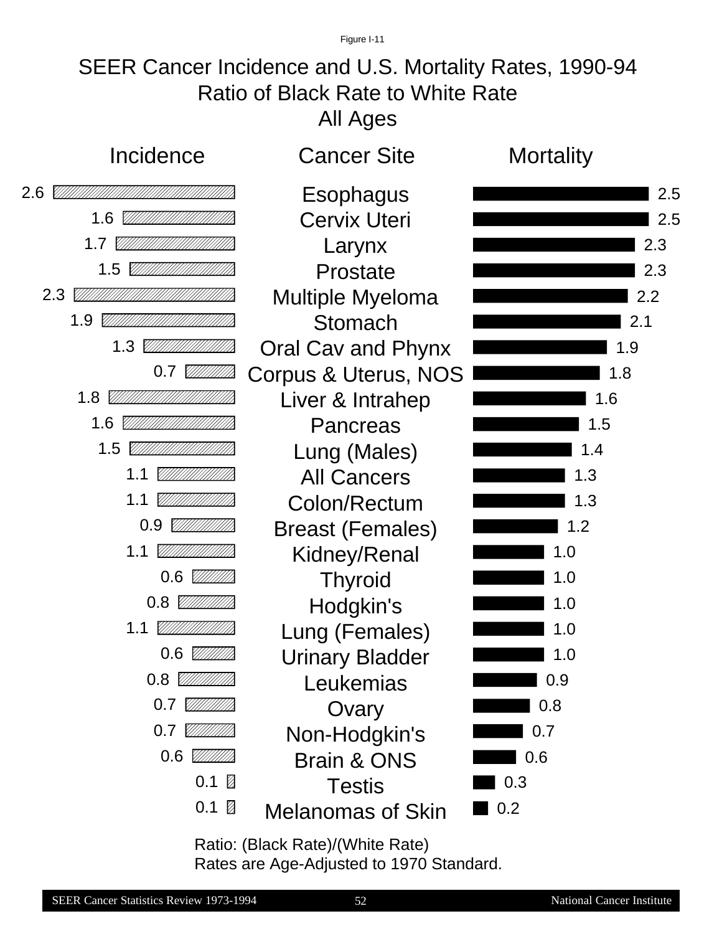Figure I-11

# SEER Cancer Incidence and U.S. Mortality Rates, 1990-94 Ratio of Black Rate to White Rate All Ages



Ratio: (Black Rate)/(White Rate) Rates are Age-Adjusted to 1970 Standard.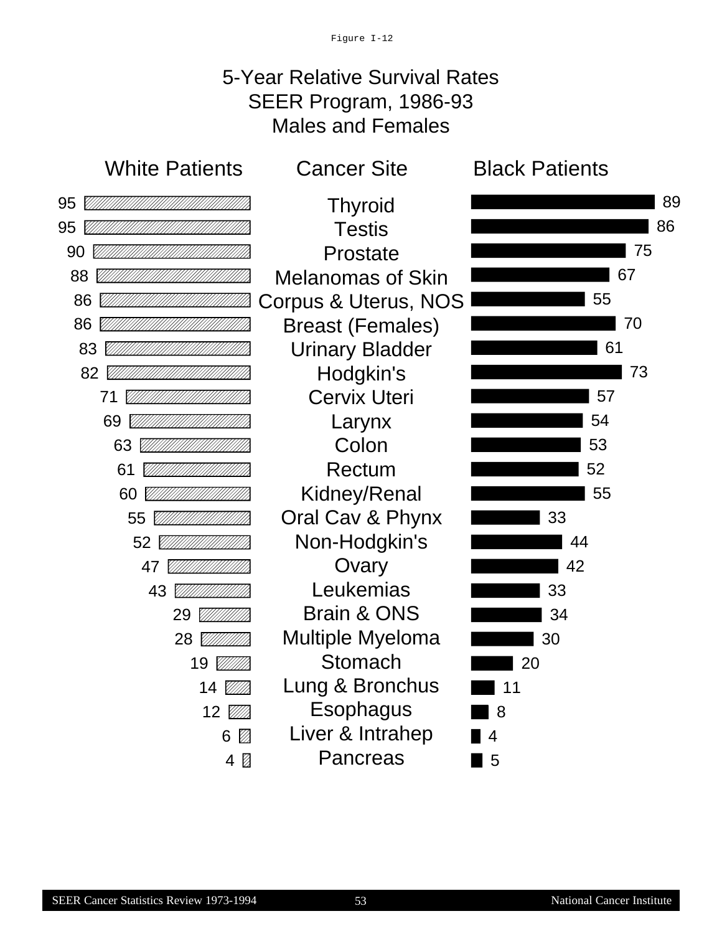# 5-Year Relative Survival Rates SEER Program, 1986-93 Males and Females



**Thyroid Testis** Prostate Melanomas of Skin Corpus & Uterus, NOS Breast (Females) Urinary Bladder Hodgkin's Cervix Uteri Larynx Colon Rectum Kidney/Renal Oral Cav & Phynx Non-Hodgkin's **Ovary** Leukemias Brain & ONS Multiple Myeloma Stomach Lung & Bronchus Esophagus Liver & Intrahep **Pancreas** 



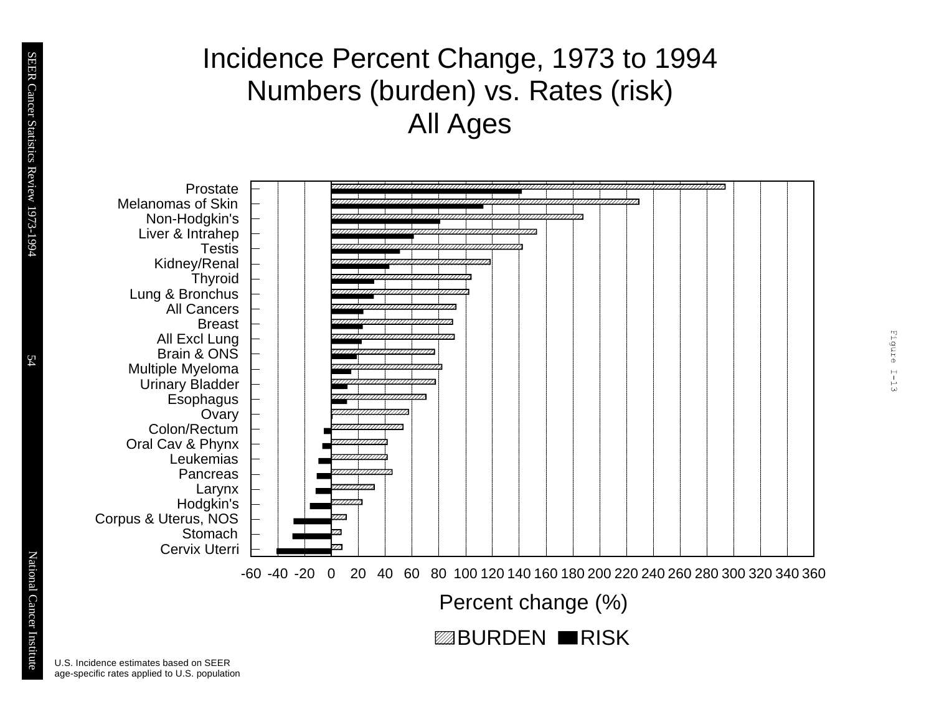# Incidence Percent Change, 1973 to 1994 Numbers (burden) vs. Rates (risk) All Ages



Percent change (%)

Eigure I-13

**ZABURDEN RISK** 

U.S. Incidence estimates based on SEER age-specific rates applied to U.S. population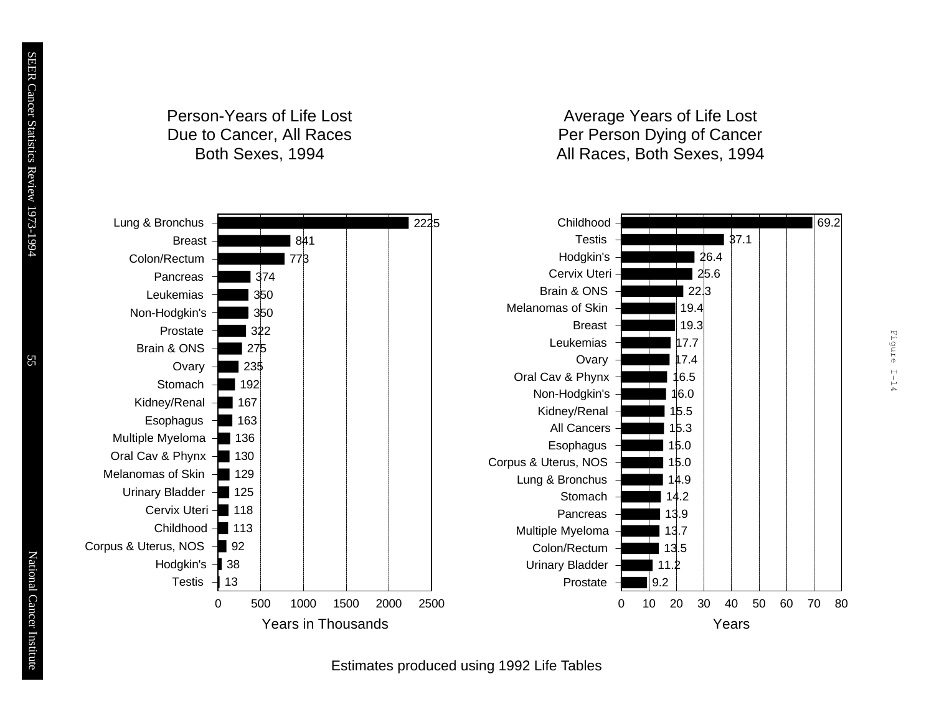# Person-Years of Life Lost Due to Cancer, All Races Both Sexes, 1994

## Average Years of Life Lost Per Person Dying of Cancer All Races, Both Sexes, 1994

Figure I-14